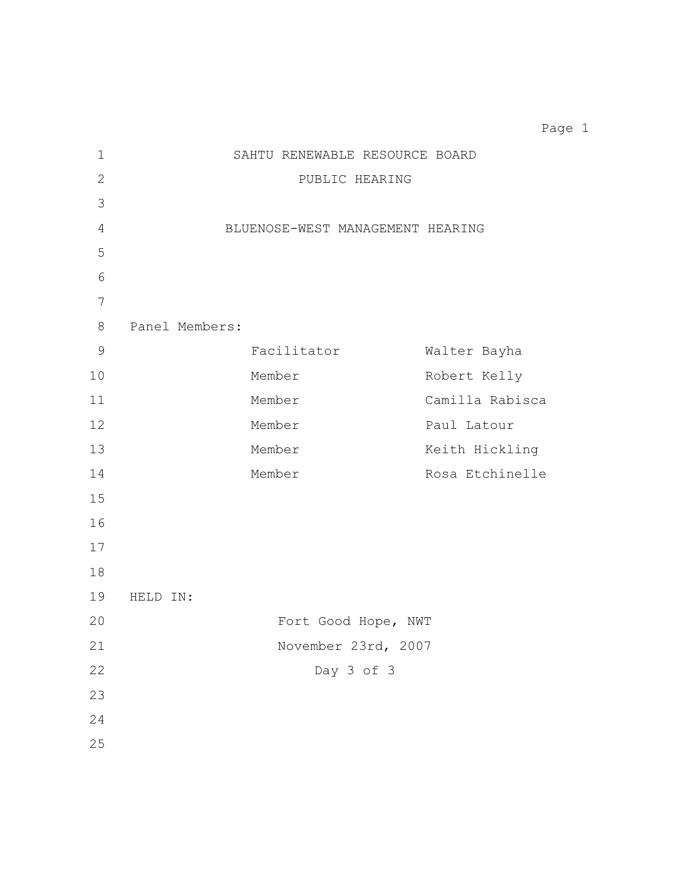SAHTU RENEWABLE RESOURCE BOARD PUBLIC HEARING BLUENOSE-WEST MANAGEMENT HEARING Panel Members: Facilitator Walter Bayha Member Robert Kelly Member Camilla Rabisca 12 Member Paul Latour 13 Member Member Keith Hickling 14 Member Member Rosa Etchinelle HELD IN: Fort Good Hope, NWT November 23rd, 2007 Day 3 of 3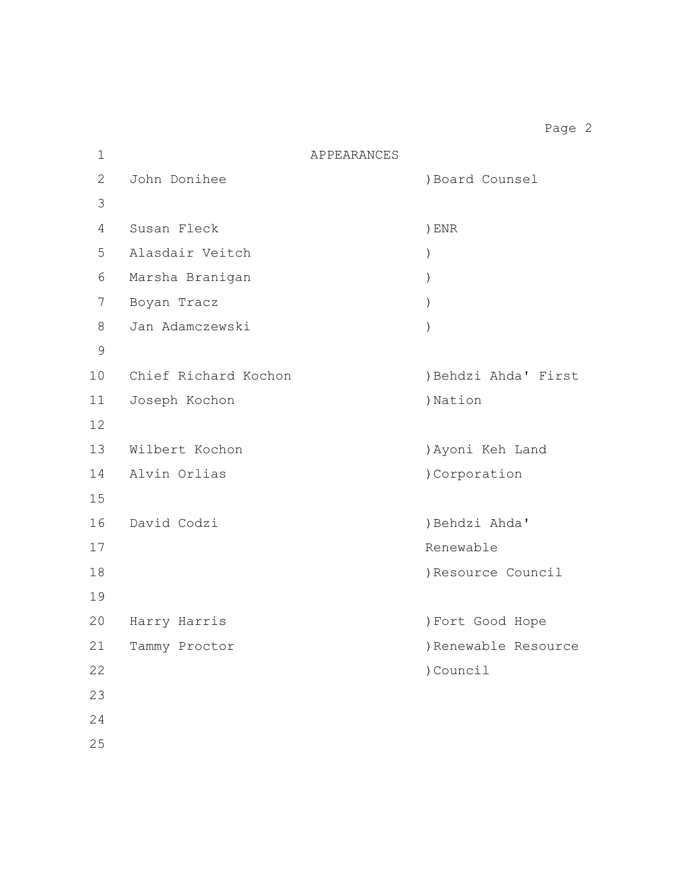| $\mathbf 1$    | APPEARANCES          |                      |
|----------------|----------------------|----------------------|
| $\overline{2}$ | John Donihee         | ) Board Counsel      |
| 3              |                      |                      |
| 4              | Susan Fleck          | ) ENR                |
| 5              | Alasdair Veitch      | $\mathcal{E}$        |
| 6              | Marsha Branigan      | $\mathcal{E}$        |
| 7              | Boyan Tracz          | $\mathcal{C}$        |
| 8              | Jan Adamczewski      |                      |
| $\mathsf 9$    |                      |                      |
| 10             | Chief Richard Kochon | ) Behdzi Ahda' First |
| 11             | Joseph Kochon        | )Nation              |
| 12             |                      |                      |
| 13             | Wilbert Kochon       | ) Ayoni Keh Land     |
| 14             | Alvin Orlias         | )Corporation         |
| 15             |                      |                      |
| 16             | David Codzi          | ) Behdzi Ahda'       |
| 17             |                      | Renewable            |
| 18             |                      | ) Resource Council   |
| 19             |                      |                      |
| 20             | Harry Harris         | ) Fort Good Hope     |
| 21             | Tammy Proctor        | ) Renewable Resource |
| 22             |                      | ) Council            |
| 23             |                      |                      |
| 24             |                      |                      |
| 25             |                      |                      |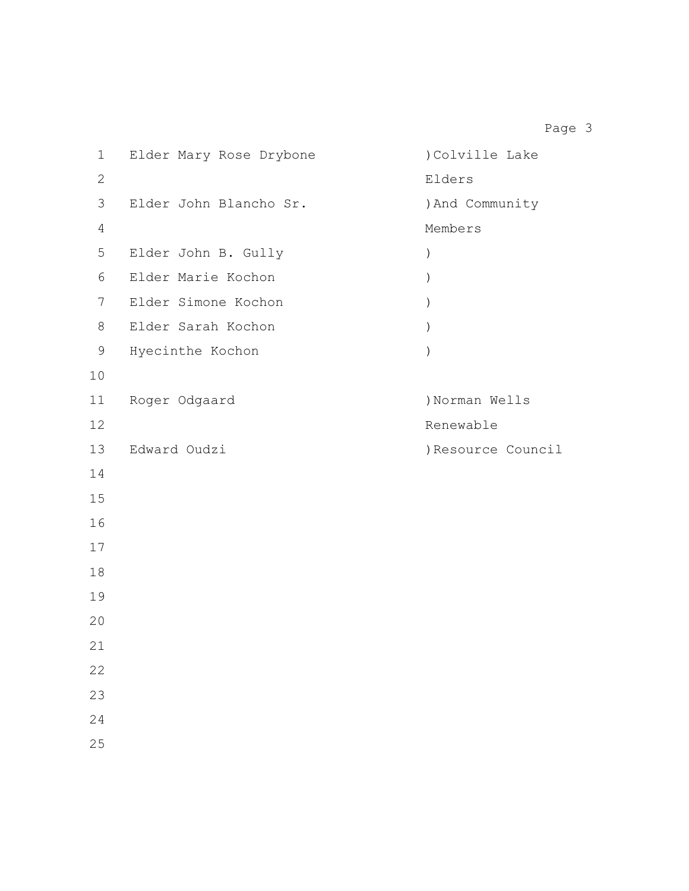| $\mathbf 1$    | Elder Mary Rose Drybone | )Colville Lake   |
|----------------|-------------------------|------------------|
| $\mathbf{2}$   |                         | Elders           |
| 3              | Elder John Blancho Sr.  | ) And Community  |
| $\overline{4}$ |                         | Members          |
| 5              | Elder John B. Gully     | $\mathcal{C}$    |
| $\sqrt{6}$     | Elder Marie Kochon      | $\mathcal{C}$    |
| 7              | Elder Simone Kochon     | $\mathcal{C}$    |
| 8              | Elder Sarah Kochon      | $\lambda$        |
| 9              | Hyecinthe Kochon        | $\mathcal{E}$    |
| 10             |                         |                  |
| 11             | Roger Odgaard           | )Norman Wells    |
| 12             |                         | Renewable        |
| 13             | Edward Oudzi            | Resource Council |
| 14             |                         |                  |
| 15             |                         |                  |
| 16             |                         |                  |
| 17             |                         |                  |
| $1\,8$         |                         |                  |
| 19             |                         |                  |
| 20             |                         |                  |
| 21             |                         |                  |
| 22             |                         |                  |
| 23             |                         |                  |
| 24             |                         |                  |
| 25             |                         |                  |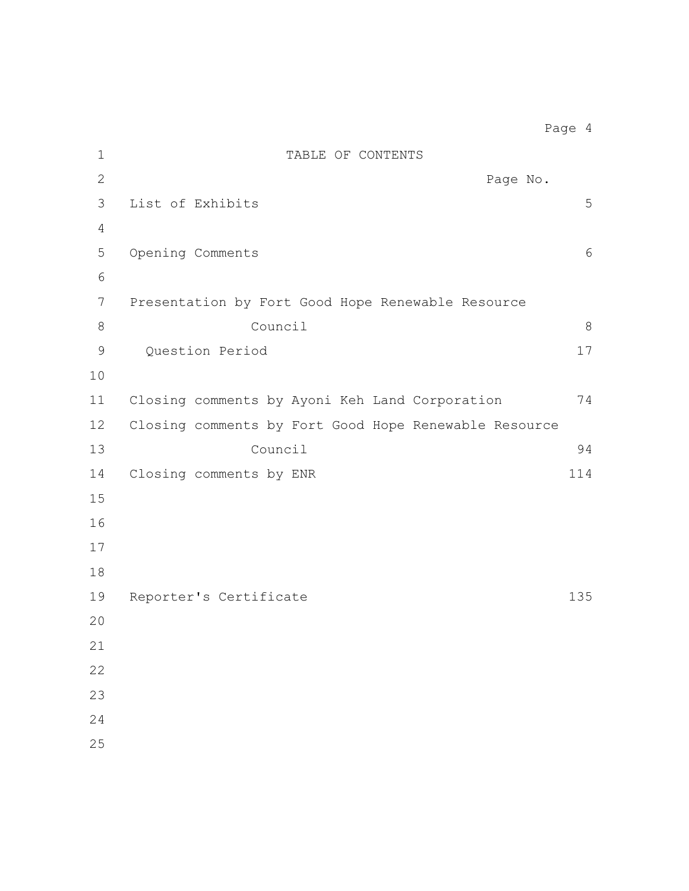| $\mathbf 1$     | TABLE OF CONTENTS                                     |         |
|-----------------|-------------------------------------------------------|---------|
| $\mathbf{2}$    | Page No.                                              |         |
| 3               | List of Exhibits                                      | 5       |
| $\overline{4}$  |                                                       |         |
| 5               | Opening Comments                                      | 6       |
| 6               |                                                       |         |
| $7\phantom{.0}$ | Presentation by Fort Good Hope Renewable Resource     |         |
| $8\,$           | Council                                               | $\,8\,$ |
| $\mathsf 9$     | Question Period                                       | 17      |
| 10              |                                                       |         |
| 11              | Closing comments by Ayoni Keh Land Corporation        | 74      |
| 12              | Closing comments by Fort Good Hope Renewable Resource |         |
| 13              | Council                                               | 94      |
| 14              | Closing comments by ENR                               | 114     |
| 15              |                                                       |         |
| 16              |                                                       |         |
| 17              |                                                       |         |
| 18              |                                                       |         |
| 19              | Reporter's Certificate                                | 135     |
| 20              |                                                       |         |
| 21              |                                                       |         |
| 22              |                                                       |         |
| 23              |                                                       |         |
| 24              |                                                       |         |
| 25              |                                                       |         |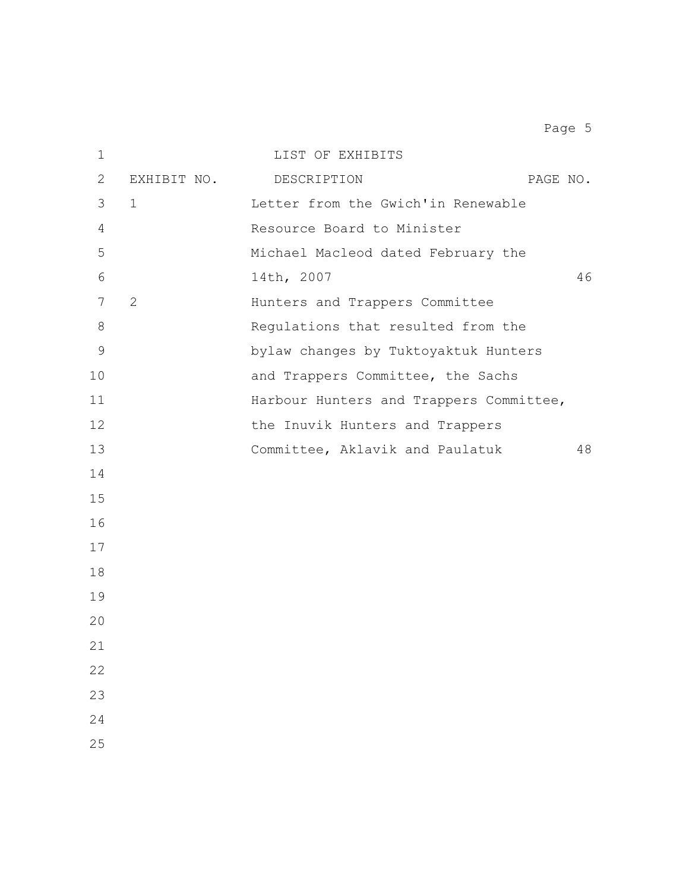| $\mathbf 1$   |             | LIST OF EXHIBITS                        |    |
|---------------|-------------|-----------------------------------------|----|
| 2             | EXHIBIT NO. | PAGE NO.<br>DESCRIPTION                 |    |
| 3             | $\mathbf 1$ | Letter from the Gwich'in Renewable      |    |
| 4             |             | Resource Board to Minister              |    |
| 5             |             | Michael Macleod dated February the      |    |
| 6             |             | 14th, 2007                              | 46 |
| 7             | 2           | Hunters and Trappers Committee          |    |
| $8\,$         |             | Regulations that resulted from the      |    |
| $\mathcal{G}$ |             | bylaw changes by Tuktoyaktuk Hunters    |    |
| 10            |             | and Trappers Committee, the Sachs       |    |
| 11            |             | Harbour Hunters and Trappers Committee, |    |
| 12            |             | the Inuvik Hunters and Trappers         |    |
| 13            |             | Committee, Aklavik and Paulatuk         | 48 |
| 14            |             |                                         |    |
| 15            |             |                                         |    |
| 16            |             |                                         |    |
| 17            |             |                                         |    |
| 18            |             |                                         |    |
| 19            |             |                                         |    |
| 20            |             |                                         |    |
| 21            |             |                                         |    |
| 22            |             |                                         |    |
| 23            |             |                                         |    |
| 24            |             |                                         |    |
| 25            |             |                                         |    |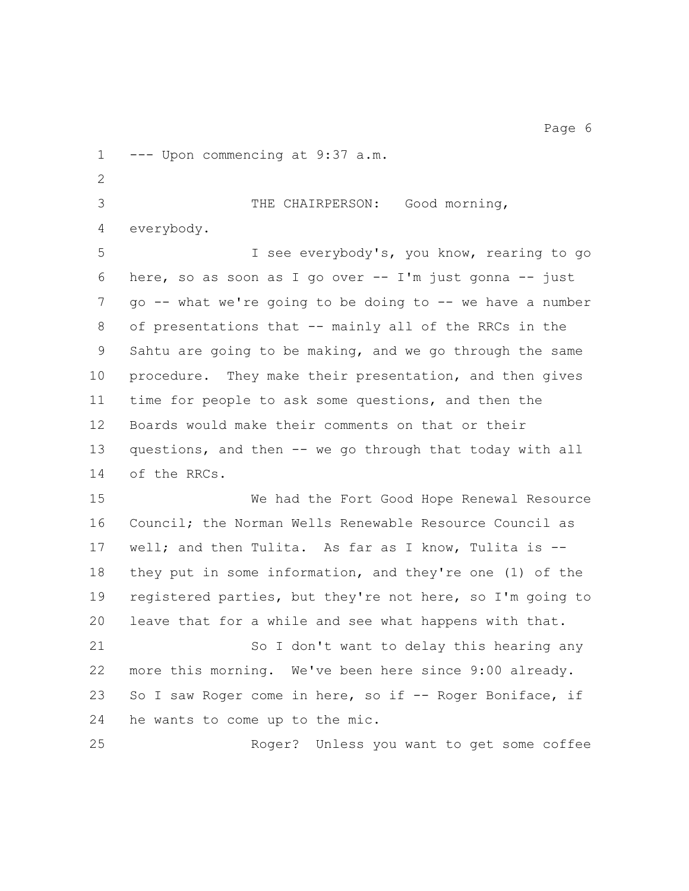--- Upon commencing at 9:37 a.m.

 THE CHAIRPERSON: Good morning, everybody. I see everybody's, you know, rearing to go

 here, so as soon as I go over -- I'm just gonna -- just go -- what we're going to be doing to -- we have a number of presentations that -- mainly all of the RRCs in the Sahtu are going to be making, and we go through the same procedure. They make their presentation, and then gives time for people to ask some questions, and then the Boards would make their comments on that or their 13 questions, and then -- we go through that today with all of the RRCs.

 We had the Fort Good Hope Renewal Resource Council; the Norman Wells Renewable Resource Council as well; and then Tulita. As far as I know, Tulita is -- they put in some information, and they're one (1) of the registered parties, but they're not here, so I'm going to leave that for a while and see what happens with that.

21 So I don't want to delay this hearing any more this morning. We've been here since 9:00 already. 23 So I saw Roger come in here, so if -- Roger Boniface, if he wants to come up to the mic.

Roger? Unless you want to get some coffee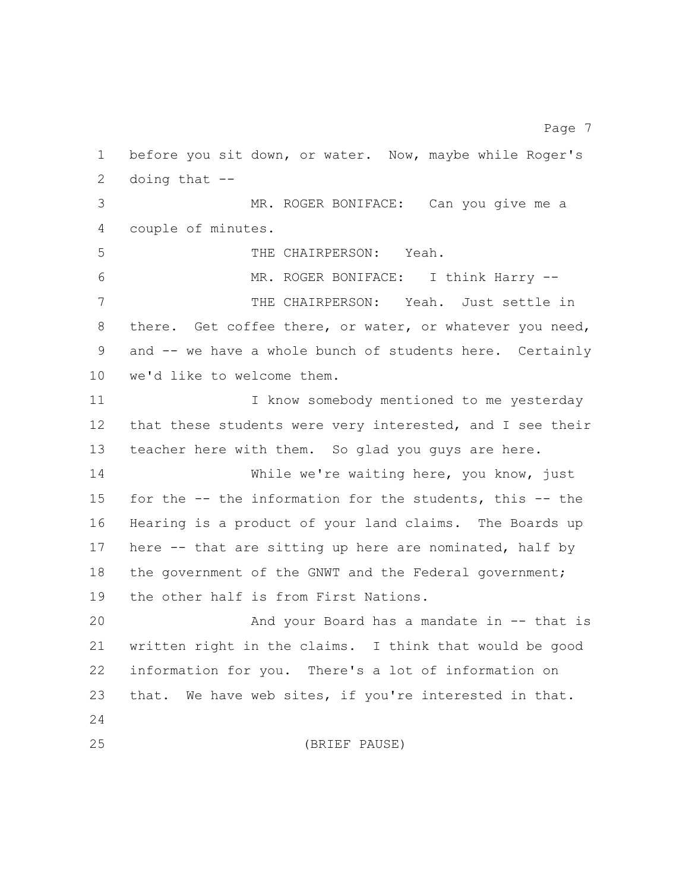before you sit down, or water. Now, maybe while Roger's doing that -- MR. ROGER BONIFACE: Can you give me a couple of minutes. THE CHAIRPERSON: Yeah. MR. ROGER BONIFACE: I think Harry -- THE CHAIRPERSON: Yeah. Just settle in 8 there. Get coffee there, or water, or whatever you need, and -- we have a whole bunch of students here. Certainly we'd like to welcome them. I know somebody mentioned to me yesterday that these students were very interested, and I see their teacher here with them. So glad you guys are here. While we're waiting here, you know, just for the -- the information for the students, this -- the Hearing is a product of your land claims. The Boards up here -- that are sitting up here are nominated, half by 18 the government of the GNWT and the Federal government; the other half is from First Nations. And your Board has a mandate in -- that is written right in the claims. I think that would be good information for you. There's a lot of information on that. We have web sites, if you're interested in that. 

Page 7

(BRIEF PAUSE)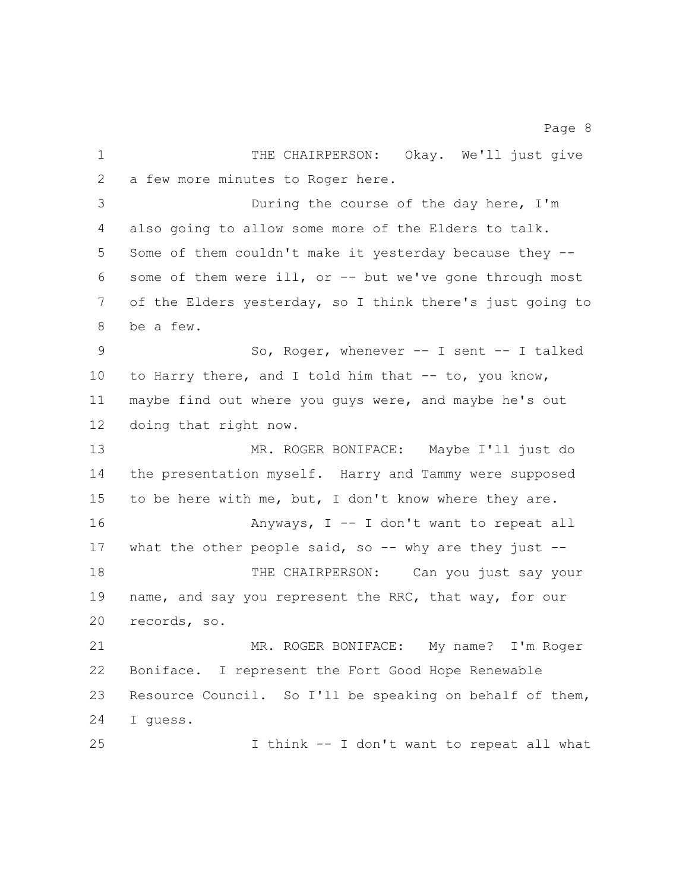1 THE CHAIRPERSON: Okay. We'll just give a few more minutes to Roger here. During the course of the day here, I'm also going to allow some more of the Elders to talk. Some of them couldn't make it yesterday because they -- some of them were ill, or -- but we've gone through most of the Elders yesterday, so I think there's just going to be a few. So, Roger, whenever -- I sent -- I talked 10 to Harry there, and I told him that -- to, you know, maybe find out where you guys were, and maybe he's out doing that right now. MR. ROGER BONIFACE: Maybe I'll just do the presentation myself. Harry and Tammy were supposed to be here with me, but, I don't know where they are. **Anyways, I** -- I don't want to repeat all 17 what the other people said, so -- why are they just --18 THE CHAIRPERSON: Can you just say your 19 name, and say you represent the RRC, that way, for our records, so. MR. ROGER BONIFACE: My name? I'm Roger Boniface. I represent the Fort Good Hope Renewable Resource Council. So I'll be speaking on behalf of them, I guess. I think -- I don't want to repeat all what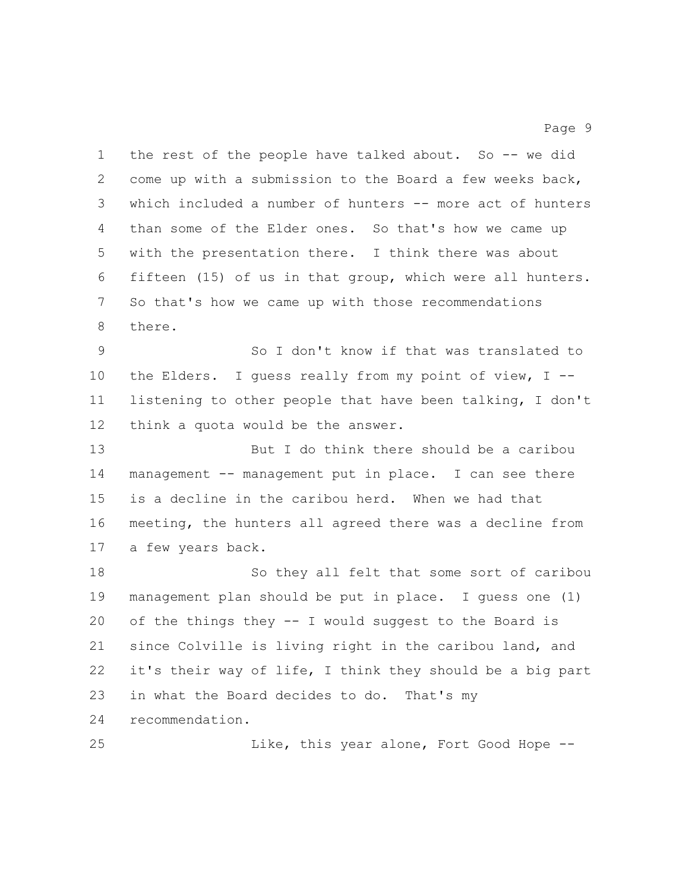1 the rest of the people have talked about. So -- we did come up with a submission to the Board a few weeks back, which included a number of hunters -- more act of hunters than some of the Elder ones. So that's how we came up with the presentation there. I think there was about fifteen (15) of us in that group, which were all hunters. So that's how we came up with those recommendations there. So I don't know if that was translated to the Elders. I guess really from my point of view, I -- listening to other people that have been talking, I don't think a quota would be the answer. But I do think there should be a caribou management -- management put in place. I can see there is a decline in the caribou herd. When we had that meeting, the hunters all agreed there was a decline from a few years back. So they all felt that some sort of caribou management plan should be put in place. I guess one (1) of the things they -- I would suggest to the Board is since Colville is living right in the caribou land, and it's their way of life, I think they should be a big part in what the Board decides to do. That's my recommendation. 25 Like, this year alone, Fort Good Hope --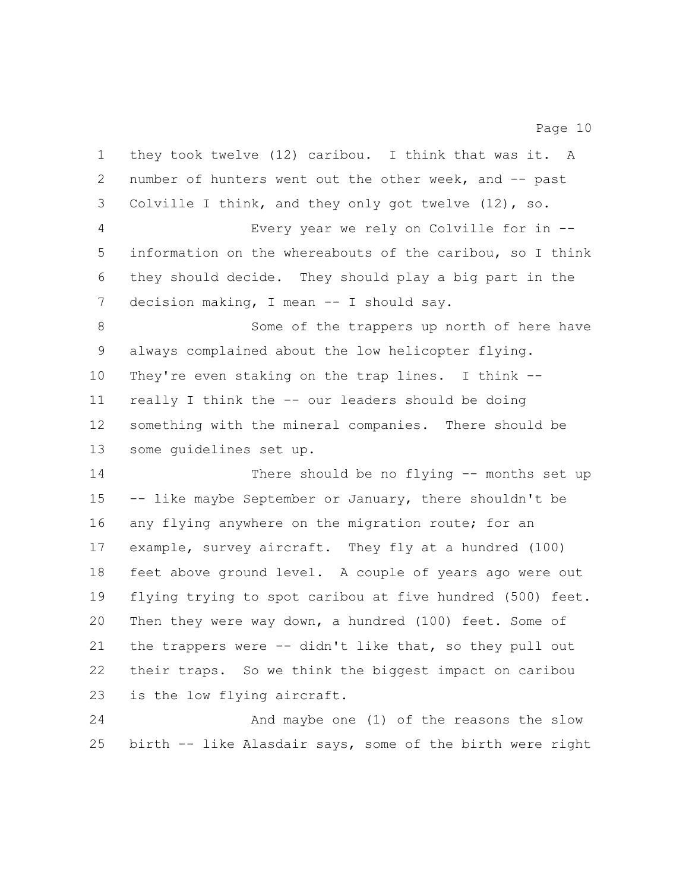| $\mathbf 1$    | they took twelve (12) caribou. I think that was it. A     |
|----------------|-----------------------------------------------------------|
| $\overline{2}$ | number of hunters went out the other week, and -- past    |
| 3              | Colville I think, and they only got twelve $(12)$ , so.   |
| $\overline{4}$ | Every year we rely on Colville for in --                  |
| 5              | information on the whereabouts of the caribou, so I think |
| 6              | they should decide. They should play a big part in the    |
| 7              | decision making, I mean -- I should say.                  |
| 8              | Some of the trappers up north of here have                |
| 9              | always complained about the low helicopter flying.        |
| 10             | They're even staking on the trap lines. I think --        |
| 11             | really I think the -- our leaders should be doing         |
| 12             | something with the mineral companies. There should be     |
| 13             | some quidelines set up.                                   |
| 14             | There should be no flying -- months set up                |
| 15             | -- like maybe September or January, there shouldn't be    |
| 16             | any flying anywhere on the migration route; for an        |
| 17             | example, survey aircraft. They fly at a hundred (100)     |
| 18             | feet above ground level. A couple of years ago were out   |
| 19             | flying trying to spot caribou at five hundred (500) feet. |
| 20             | Then they were way down, a hundred (100) feet. Some of    |
| 21             | the trappers were -- didn't like that, so they pull out   |
| 22             | their traps. So we think the biggest impact on caribou    |
| 23             | is the low flying aircraft.                               |
| 24             | And maybe one (1) of the reasons the slow                 |
| 25             | birth -- like Alasdair says, some of the birth were right |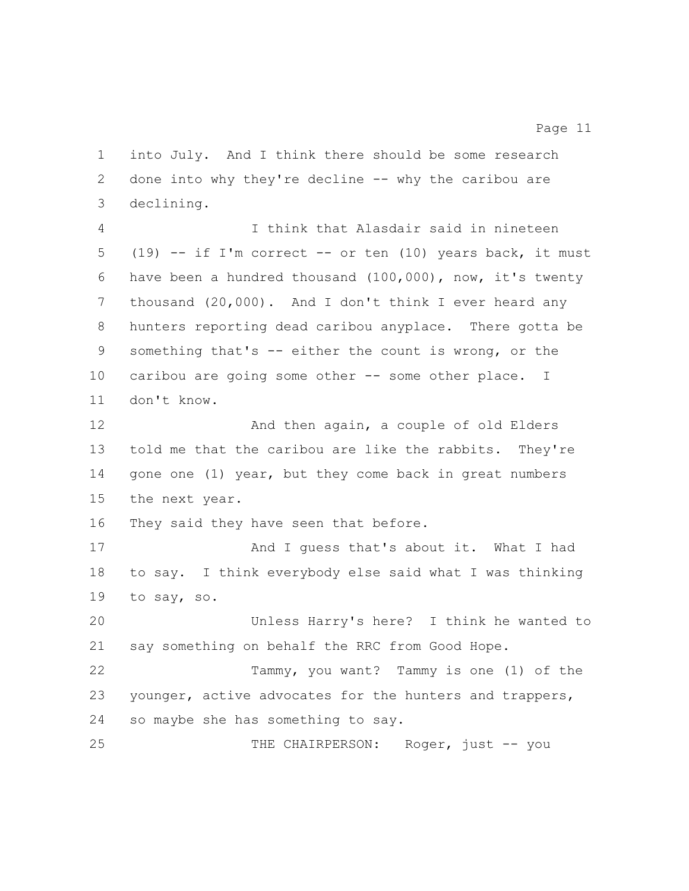into July. And I think there should be some research 2 done into why they're decline -- why the caribou are declining.

 I think that Alasdair said in nineteen (19) -- if I'm correct -- or ten (10) years back, it must have been a hundred thousand (100,000), now, it's twenty thousand (20,000). And I don't think I ever heard any hunters reporting dead caribou anyplace. There gotta be something that's -- either the count is wrong, or the 10 caribou are going some other -- some other place. I don't know.

12 And then again, a couple of old Elders told me that the caribou are like the rabbits. They're 14 gone one (1) year, but they come back in great numbers the next year.

They said they have seen that before.

17 And I quess that's about it. What I had to say. I think everybody else said what I was thinking to say, so.

 Unless Harry's here? I think he wanted to say something on behalf the RRC from Good Hope.

 Tammy, you want? Tammy is one (1) of the younger, active advocates for the hunters and trappers, so maybe she has something to say.

25 THE CHAIRPERSON: Roger, just -- you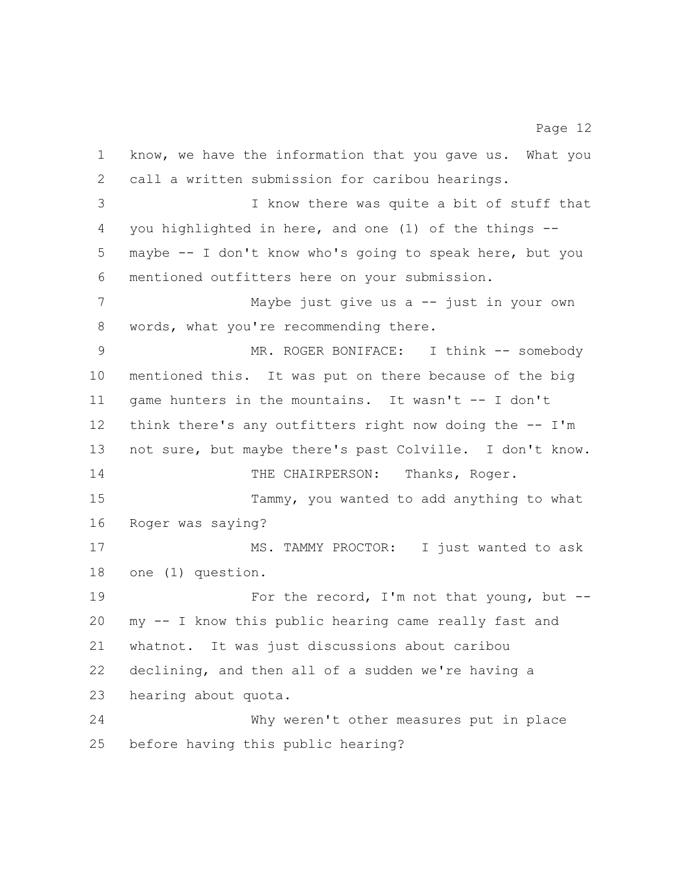know, we have the information that you gave us. What you call a written submission for caribou hearings. I know there was quite a bit of stuff that you highlighted in here, and one (1) of the things -- maybe -- I don't know who's going to speak here, but you mentioned outfitters here on your submission. Maybe just give us a -- just in your own words, what you're recommending there. MR. ROGER BONIFACE: I think -- somebody mentioned this. It was put on there because of the big game hunters in the mountains. It wasn't -- I don't think there's any outfitters right now doing the -- I'm not sure, but maybe there's past Colville. I don't know. 14 THE CHAIRPERSON: Thanks, Roger. Tammy, you wanted to add anything to what Roger was saying? 17 MS. TAMMY PROCTOR: I just wanted to ask one (1) question. 19 For the record, I'm not that young, but -- my -- I know this public hearing came really fast and whatnot. It was just discussions about caribou declining, and then all of a sudden we're having a hearing about quota. Why weren't other measures put in place before having this public hearing?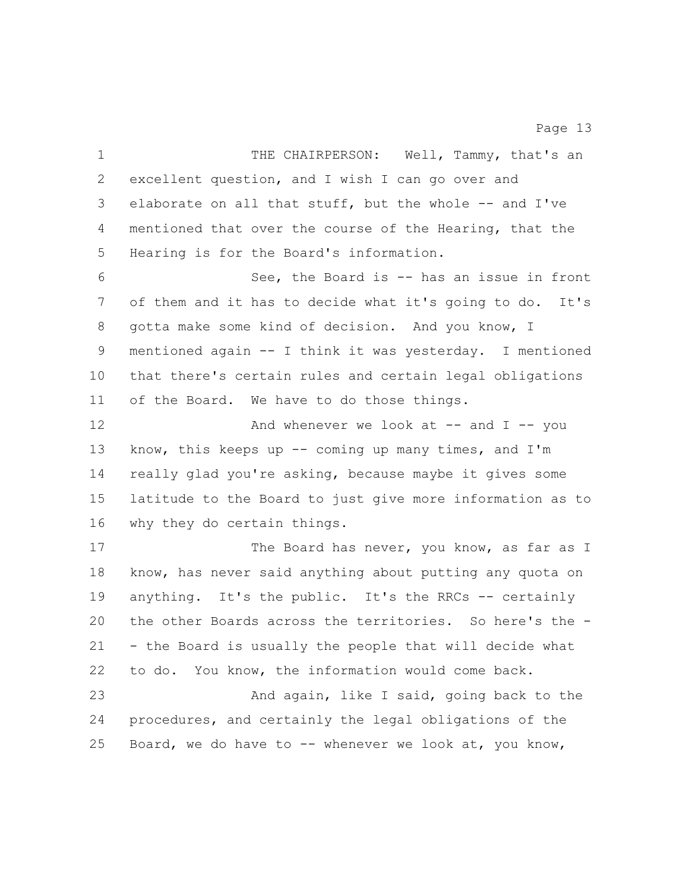1 THE CHAIRPERSON: Well, Tammy, that's an excellent question, and I wish I can go over and elaborate on all that stuff, but the whole -- and I've mentioned that over the course of the Hearing, that the Hearing is for the Board's information. See, the Board is -- has an issue in front of them and it has to decide what it's going to do. It's gotta make some kind of decision. And you know, I mentioned again -- I think it was yesterday. I mentioned that there's certain rules and certain legal obligations of the Board. We have to do those things. 12 And whenever we look at -- and I -- you know, this keeps up -- coming up many times, and I'm really glad you're asking, because maybe it gives some latitude to the Board to just give more information as to why they do certain things. 17 The Board has never, you know, as far as I know, has never said anything about putting any quota on anything. It's the public. It's the RRCs -- certainly the other Boards across the territories. So here's the - - the Board is usually the people that will decide what to do. You know, the information would come back. And again, like I said, going back to the procedures, and certainly the legal obligations of the Board, we do have to -- whenever we look at, you know,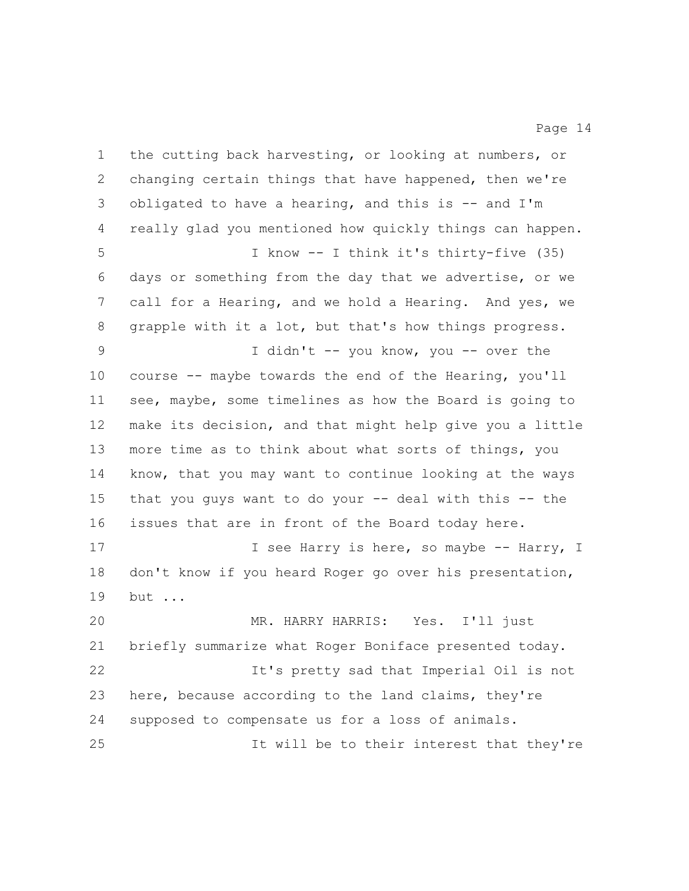the cutting back harvesting, or looking at numbers, or changing certain things that have happened, then we're obligated to have a hearing, and this is -- and I'm really glad you mentioned how quickly things can happen. I know -- I think it's thirty-five (35) days or something from the day that we advertise, or we call for a Hearing, and we hold a Hearing. And yes, we grapple with it a lot, but that's how things progress. I didn't -- you know, you -- over the course -- maybe towards the end of the Hearing, you'll see, maybe, some timelines as how the Board is going to make its decision, and that might help give you a little more time as to think about what sorts of things, you know, that you may want to continue looking at the ways that you guys want to do your -- deal with this -- the issues that are in front of the Board today here. 17 17 I see Harry is here, so maybe -- Harry, I don't know if you heard Roger go over his presentation, but ... MR. HARRY HARRIS: Yes. I'll just briefly summarize what Roger Boniface presented today. It's pretty sad that Imperial Oil is not here, because according to the land claims, they're supposed to compensate us for a loss of animals. It will be to their interest that they're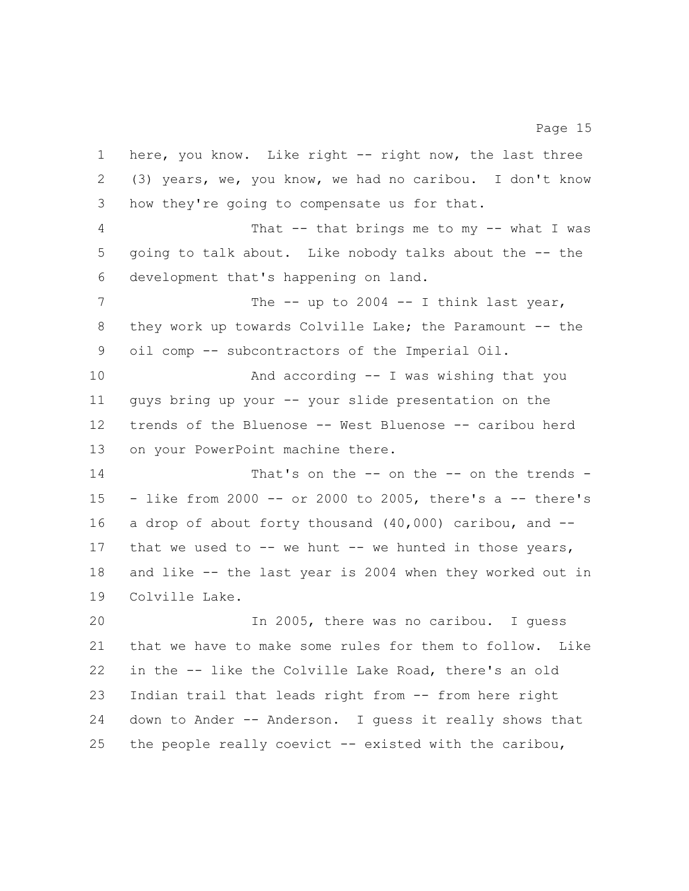here, you know. Like right -- right now, the last three (3) years, we, you know, we had no caribou. I don't know how they're going to compensate us for that. That -- that brings me to my -- what I was going to talk about. Like nobody talks about the -- the development that's happening on land. 7 The -- up to 2004 -- I think last year, 8 they work up towards Colville Lake; the Paramount -- the oil comp -- subcontractors of the Imperial Oil.

 And according -- I was wishing that you guys bring up your -- your slide presentation on the trends of the Bluenose -- West Bluenose -- caribou herd on your PowerPoint machine there.

14 That's on the -- on the -- on the trends - - like from 2000 -- or 2000 to 2005, there's a -- there's a drop of about forty thousand (40,000) caribou, and -- 17 that we used to -- we hunt -- we hunted in those years, and like -- the last year is 2004 when they worked out in Colville Lake.

 In 2005, there was no caribou. I guess that we have to make some rules for them to follow. Like in the -- like the Colville Lake Road, there's an old Indian trail that leads right from -- from here right down to Ander -- Anderson. I guess it really shows that the people really coevict -- existed with the caribou,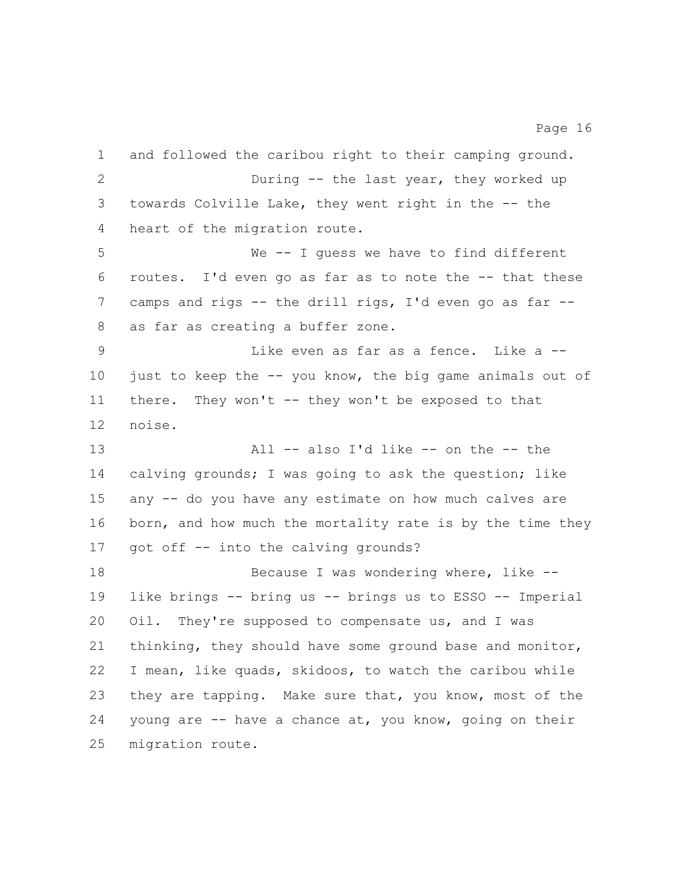and followed the caribou right to their camping ground. During -- the last year, they worked up towards Colville Lake, they went right in the -- the heart of the migration route. We -- I guess we have to find different routes. I'd even go as far as to note the -- that these camps and rigs -- the drill rigs, I'd even go as far -- as far as creating a buffer zone. Like even as far as a fence. Like a -- just to keep the -- you know, the big game animals out of there. They won't -- they won't be exposed to that noise. 13 All -- also I'd like -- on the -- the calving grounds; I was going to ask the question; like any -- do you have any estimate on how much calves are 16 born, and how much the mortality rate is by the time they got off -- into the calving grounds? 18 Because I was wondering where, like -- like brings -- bring us -- brings us to ESSO -- Imperial Oil. They're supposed to compensate us, and I was thinking, they should have some ground base and monitor, I mean, like quads, skidoos, to watch the caribou while they are tapping. Make sure that, you know, most of the 24 young are  $-$  have a chance at, you know, going on their migration route.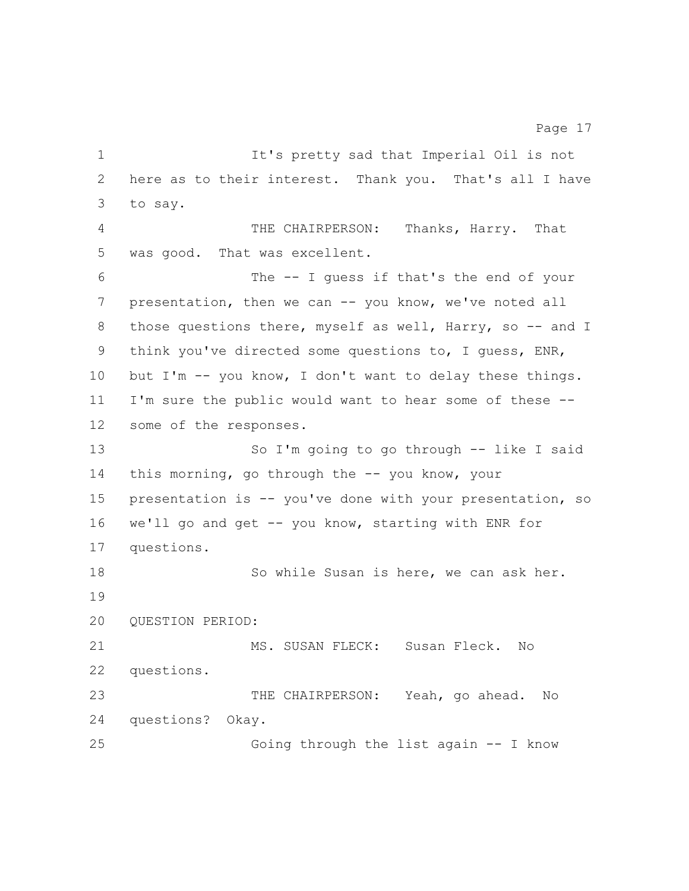It's pretty sad that Imperial Oil is not here as to their interest. Thank you. That's all I have to say. THE CHAIRPERSON: Thanks, Harry. That was good. That was excellent. The -- I guess if that's the end of your 7 presentation, then we can -- you know, we've noted all 8 those questions there, myself as well, Harry, so -- and I think you've directed some questions to, I guess, ENR, but I'm -- you know, I don't want to delay these things. I'm sure the public would want to hear some of these -- some of the responses. So I'm going to go through -- like I said 14 this morning, go through the -- you know, your presentation is -- you've done with your presentation, so we'll go and get -- you know, starting with ENR for questions. So while Susan is here, we can ask her. QUESTION PERIOD: MS. SUSAN FLECK: Susan Fleck. No questions. 23 THE CHAIRPERSON: Yeah, go ahead. No questions? Okay. Going through the list again -- I know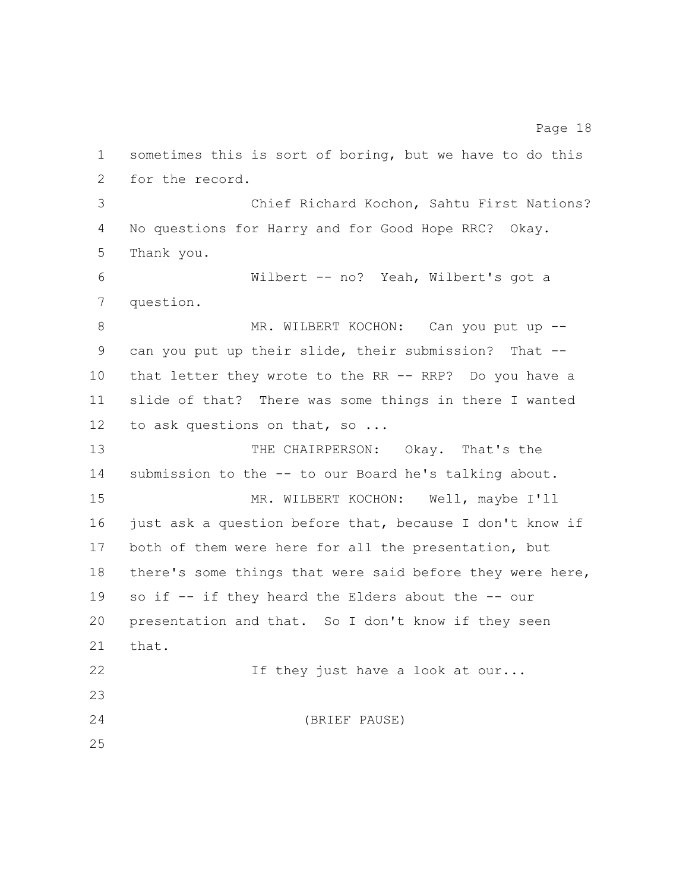sometimes this is sort of boring, but we have to do this for the record. Chief Richard Kochon, Sahtu First Nations? No questions for Harry and for Good Hope RRC? Okay. Thank you. Wilbert -- no? Yeah, Wilbert's got a question. 8 MR. WILBERT KOCHON: Can you put up -- can you put up their slide, their submission? That -- that letter they wrote to the RR -- RRP? Do you have a slide of that? There was some things in there I wanted 12 to ask questions on that, so ... THE CHAIRPERSON: Okay. That's the submission to the -- to our Board he's talking about. MR. WILBERT KOCHON: Well, maybe I'll 16 just ask a question before that, because I don't know if both of them were here for all the presentation, but there's some things that were said before they were here, so if -- if they heard the Elders about the -- our presentation and that. So I don't know if they seen that. 22 If they just have a look at our... (BRIEF PAUSE)

Page 18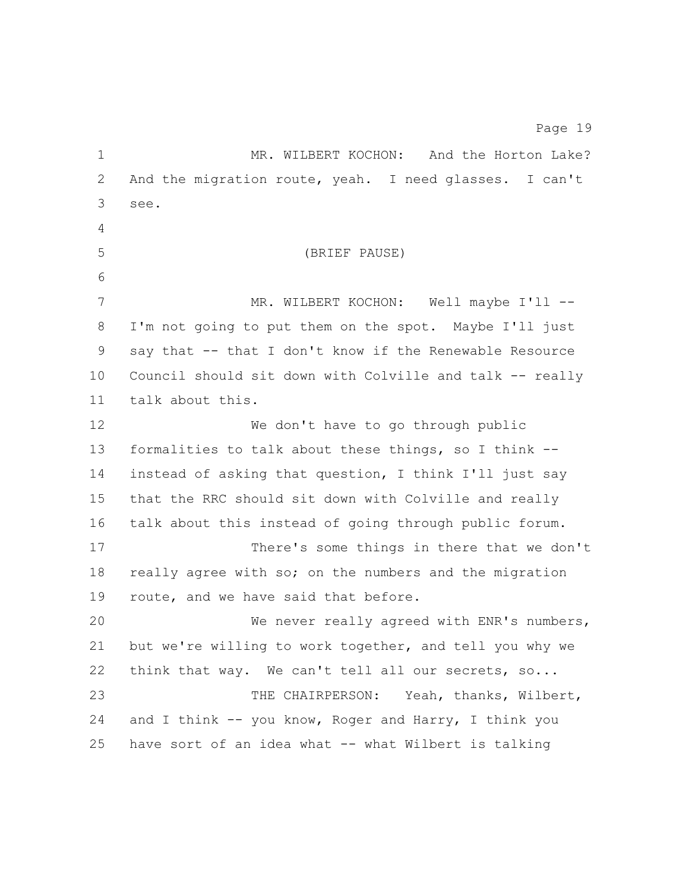1 MR. WILBERT KOCHON: And the Horton Lake? And the migration route, yeah. I need glasses. I can't see. (BRIEF PAUSE) 7 MR. WILBERT KOCHON: Well maybe I'll -- I'm not going to put them on the spot. Maybe I'll just say that -- that I don't know if the Renewable Resource Council should sit down with Colville and talk -- really talk about this. We don't have to go through public formalities to talk about these things, so I think -- instead of asking that question, I think I'll just say that the RRC should sit down with Colville and really talk about this instead of going through public forum. There's some things in there that we don't really agree with so; on the numbers and the migration route, and we have said that before. We never really agreed with ENR's numbers, but we're willing to work together, and tell you why we 22 think that way. We can't tell all our secrets, so... THE CHAIRPERSON: Yeah, thanks, Wilbert, 24 and I think  $--$  you know, Roger and Harry, I think you

have sort of an idea what -- what Wilbert is talking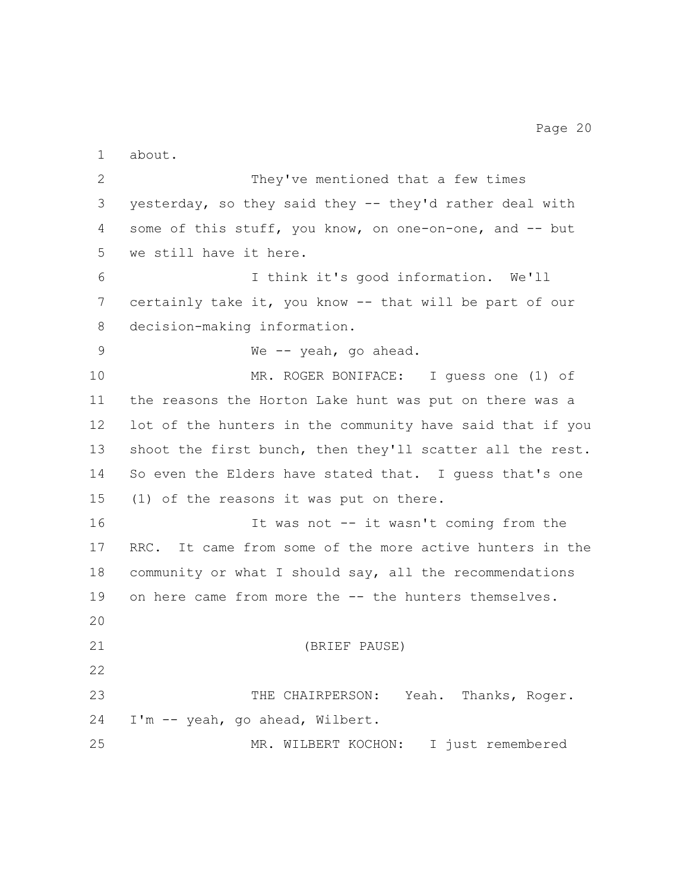about.

 They've mentioned that a few times yesterday, so they said they -- they'd rather deal with 4 some of this stuff, you know, on one-on-one, and -- but we still have it here. I think it's good information. We'll certainly take it, you know -- that will be part of our decision-making information. 9 We -- yeah, go ahead. MR. ROGER BONIFACE: I guess one (1) of the reasons the Horton Lake hunt was put on there was a lot of the hunters in the community have said that if you 13 shoot the first bunch, then they'll scatter all the rest. So even the Elders have stated that. I guess that's one (1) of the reasons it was put on there. 16 16 It was not -- it wasn't coming from the RRC. It came from some of the more active hunters in the community or what I should say, all the recommendations on here came from more the -- the hunters themselves. (BRIEF PAUSE) THE CHAIRPERSON: Yeah. Thanks, Roger. I'm -- yeah, go ahead, Wilbert. MR. WILBERT KOCHON: I just remembered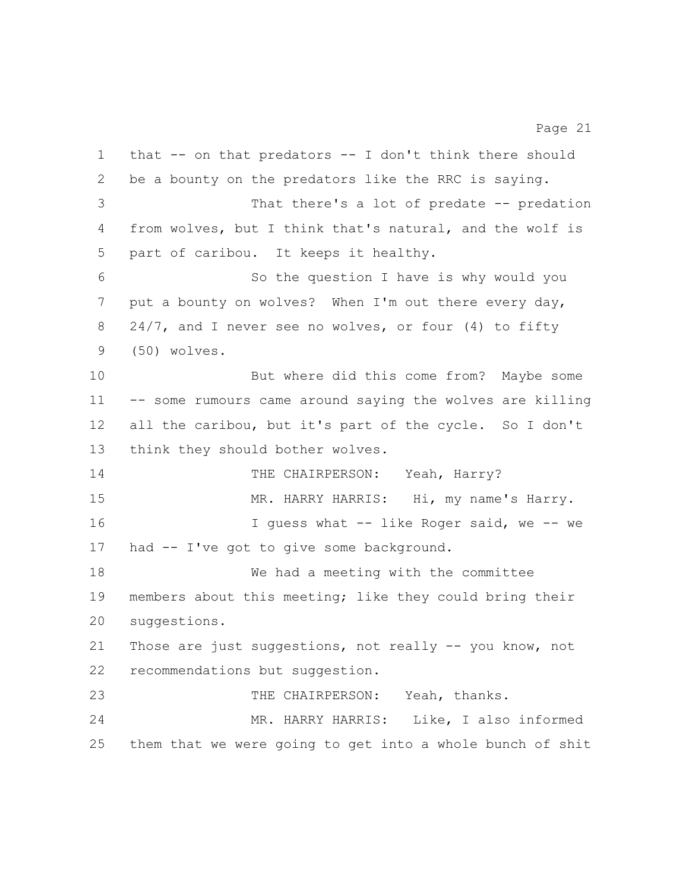that -- on that predators -- I don't think there should be a bounty on the predators like the RRC is saying. That there's a lot of predate -- predation from wolves, but I think that's natural, and the wolf is part of caribou. It keeps it healthy. So the question I have is why would you put a bounty on wolves? When I'm out there every day, 8 24/7, and I never see no wolves, or four (4) to fifty (50) wolves. But where did this come from? Maybe some -- some rumours came around saying the wolves are killing all the caribou, but it's part of the cycle. So I don't think they should bother wolves. 14 THE CHAIRPERSON: Yeah, Harry? 15 MR. HARRY HARRIS: Hi, my name's Harry. 16 16 I guess what -- like Roger said, we -- we had -- I've got to give some background. We had a meeting with the committee members about this meeting; like they could bring their suggestions. Those are just suggestions, not really -- you know, not recommendations but suggestion. 23 THE CHAIRPERSON: Yeah, thanks. MR. HARRY HARRIS: Like, I also informed

them that we were going to get into a whole bunch of shit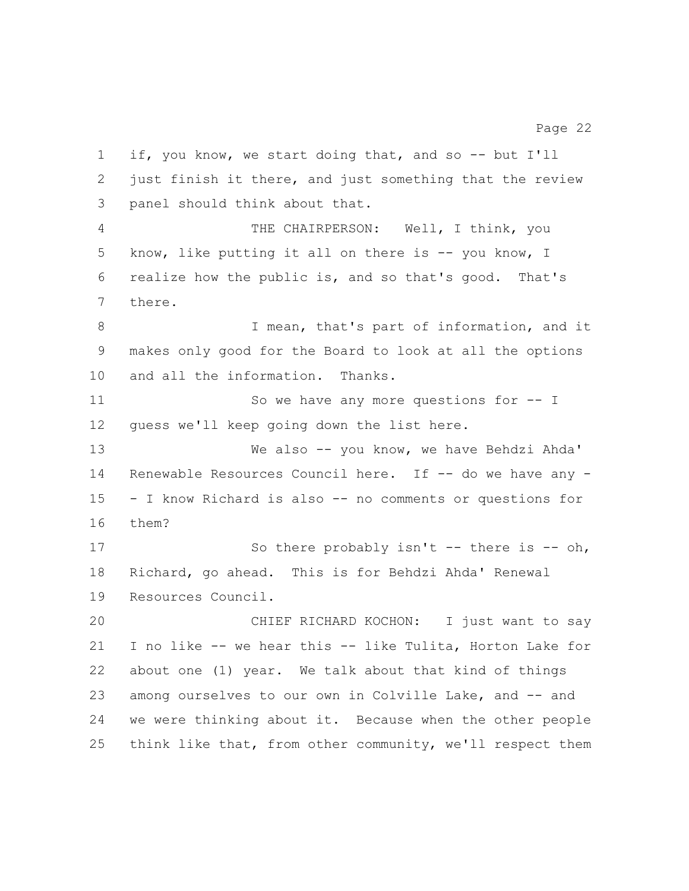if, you know, we start doing that, and so -- but I'll just finish it there, and just something that the review panel should think about that. THE CHAIRPERSON: Well, I think, you know, like putting it all on there is -- you know, I realize how the public is, and so that's good. That's there. 8 I mean, that's part of information, and it makes only good for the Board to look at all the options and all the information. Thanks. 11 So we have any more questions for  $-$  I guess we'll keep going down the list here. We also -- you know, we have Behdzi Ahda' 14 Renewable Resources Council here. If -- do we have any - - I know Richard is also -- no comments or questions for them? 17 So there probably isn't -- there is -- oh, Richard, go ahead. This is for Behdzi Ahda' Renewal Resources Council. CHIEF RICHARD KOCHON: I just want to say I no like -- we hear this -- like Tulita, Horton Lake for about one (1) year. We talk about that kind of things among ourselves to our own in Colville Lake, and -- and we were thinking about it. Because when the other people think like that, from other community, we'll respect them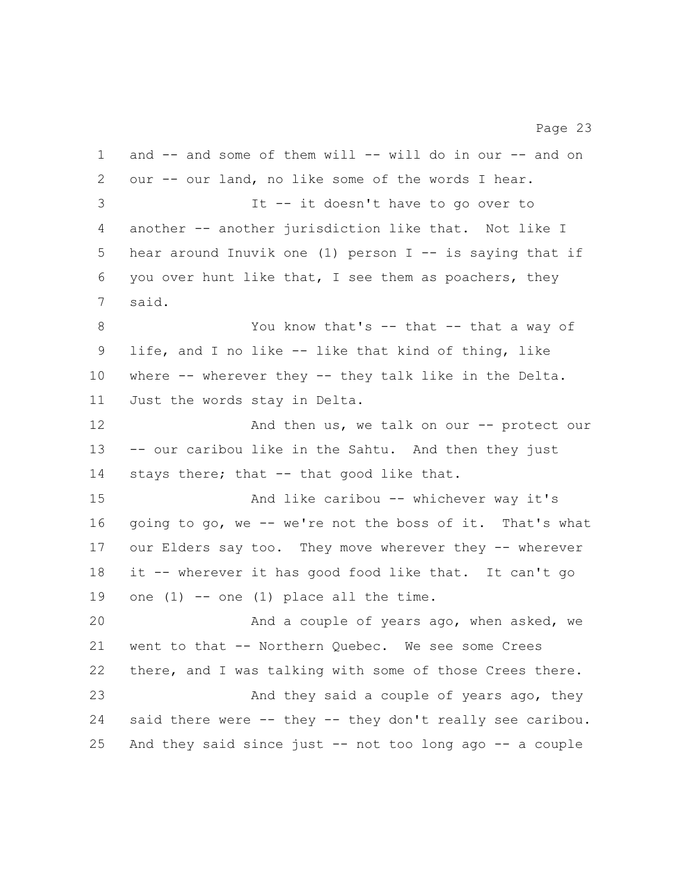and -- and some of them will -- will do in our -- and on our -- our land, no like some of the words I hear. It -- it doesn't have to go over to another -- another jurisdiction like that. Not like I hear around Inuvik one (1) person I -- is saying that if you over hunt like that, I see them as poachers, they said. 8 You know that's -- that -- that a way of life, and I no like -- like that kind of thing, like where -- wherever they -- they talk like in the Delta. Just the words stay in Delta. 12 And then us, we talk on our -- protect our -- our caribou like in the Sahtu. And then they just 14 stays there; that -- that good like that. And like caribou -- whichever way it's going to go, we -- we're not the boss of it. That's what our Elders say too. They move wherever they -- wherever it -- wherever it has good food like that. It can't go 19 one  $(1)$  -- one  $(1)$  place all the time. And a couple of years ago, when asked, we went to that -- Northern Quebec. We see some Crees there, and I was talking with some of those Crees there. 23 And they said a couple of years ago, they said there were -- they -- they don't really see caribou. And they said since just -- not too long ago -- a couple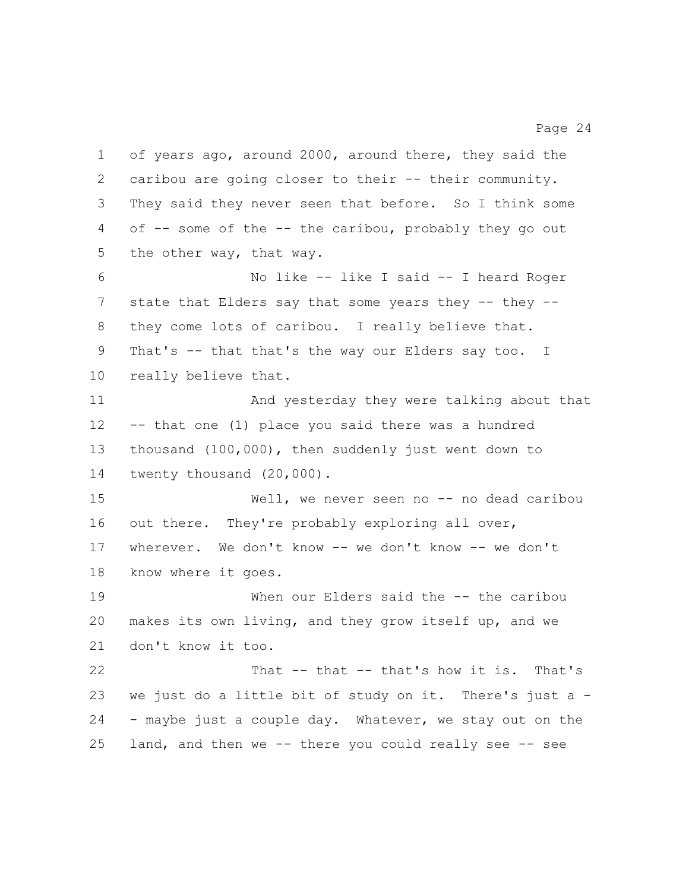of years ago, around 2000, around there, they said the 2 caribou are going closer to their -- their community. They said they never seen that before. So I think some of -- some of the -- the caribou, probably they go out the other way, that way. No like -- like I said -- I heard Roger 7 state that Elders say that some years they -- they -- they come lots of caribou. I really believe that. That's -- that that's the way our Elders say too. I really believe that. And yesterday they were talking about that -- that one (1) place you said there was a hundred thousand (100,000), then suddenly just went down to 14 twenty thousand (20,000). Well, we never seen no -- no dead caribou 16 out there. They're probably exploring all over, wherever. We don't know -- we don't know -- we don't know where it goes. When our Elders said the -- the caribou makes its own living, and they grow itself up, and we don't know it too. That -- that -- that's how it is. That's we just do a little bit of study on it. There's just a - - maybe just a couple day. Whatever, we stay out on the

land, and then we -- there you could really see -- see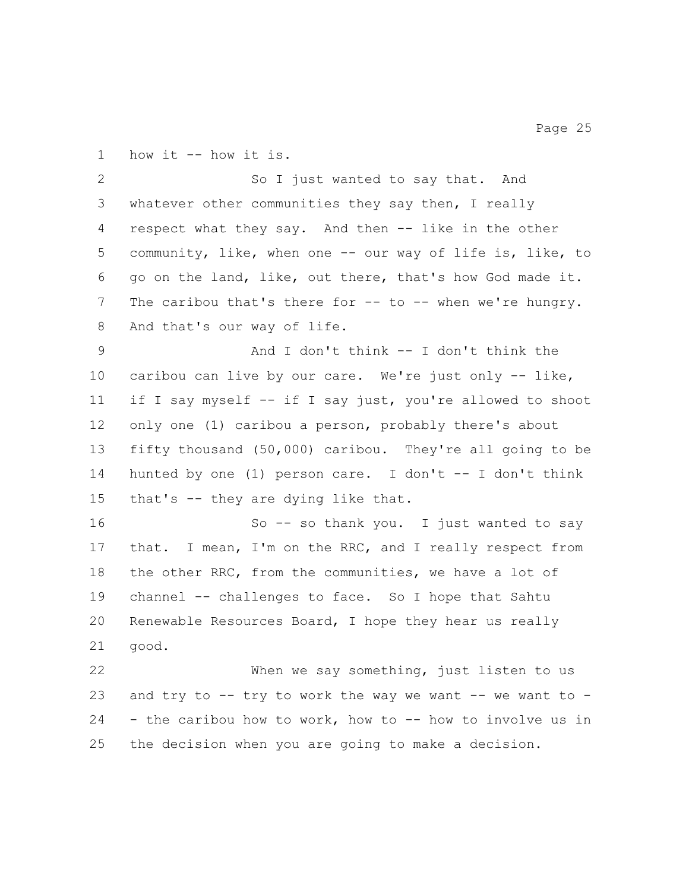how it -- how it is.

 So I just wanted to say that. And whatever other communities they say then, I really respect what they say. And then -- like in the other community, like, when one -- our way of life is, like, to go on the land, like, out there, that's how God made it. The caribou that's there for -- to -- when we're hungry. 8 And that's our way of life.

 And I don't think -- I don't think the caribou can live by our care. We're just only -- like, if I say myself -- if I say just, you're allowed to shoot only one (1) caribou a person, probably there's about fifty thousand (50,000) caribou. They're all going to be 14 hunted by one (1) person care. I don't -- I don't think that's -- they are dying like that.

 So -- so thank you. I just wanted to say that. I mean, I'm on the RRC, and I really respect from the other RRC, from the communities, we have a lot of channel -- challenges to face. So I hope that Sahtu Renewable Resources Board, I hope they hear us really good.

 When we say something, just listen to us and try to -- try to work the way we want -- we want to - - the caribou how to work, how to -- how to involve us in the decision when you are going to make a decision.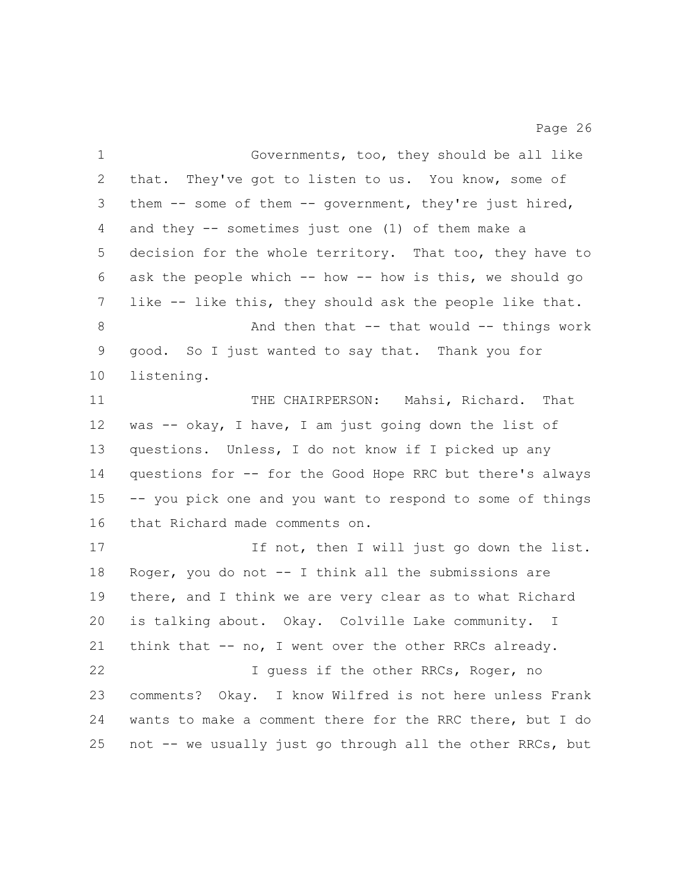| $\mathbf 1$    | Governments, too, they should be all like                 |
|----------------|-----------------------------------------------------------|
| $\overline{2}$ | that. They've got to listen to us. You know, some of      |
| 3              | them $-$ some of them $-$ government, they're just hired, |
| 4              | and they $-$ sometimes just one (1) of them make a        |
| 5              | decision for the whole territory. That too, they have to  |
| 6              | ask the people which -- how -- how is this, we should go  |
| 7              | like -- like this, they should ask the people like that.  |
| 8              | And then that $--$ that would $--$ things work            |
| 9              | good. So I just wanted to say that. Thank you for         |
| 10             | listening.                                                |
| 11             | THE CHAIRPERSON: Mahsi, Richard. That                     |
| 12             | was -- okay, I have, I am just going down the list of     |
| 13             | questions. Unless, I do not know if I picked up any       |
| 14             | questions for -- for the Good Hope RRC but there's always |
| 15             | -- you pick one and you want to respond to some of things |
| 16             | that Richard made comments on.                            |
| 17             | If not, then I will just go down the list.                |
| 18             | Roger, you do not $-$ - I think all the submissions are   |
| 19             | there, and I think we are very clear as to what Richard   |
| 20             | is talking about. Okay. Colville Lake community. I        |
| 21             | think that -- no, I went over the other RRCs already.     |
| 22             | I quess if the other RRCs, Roger, no                      |
| 23             | comments? Okay. I know Wilfred is not here unless Frank   |
| 24             | wants to make a comment there for the RRC there, but I do |
| 25             | not -- we usually just go through all the other RRCs, but |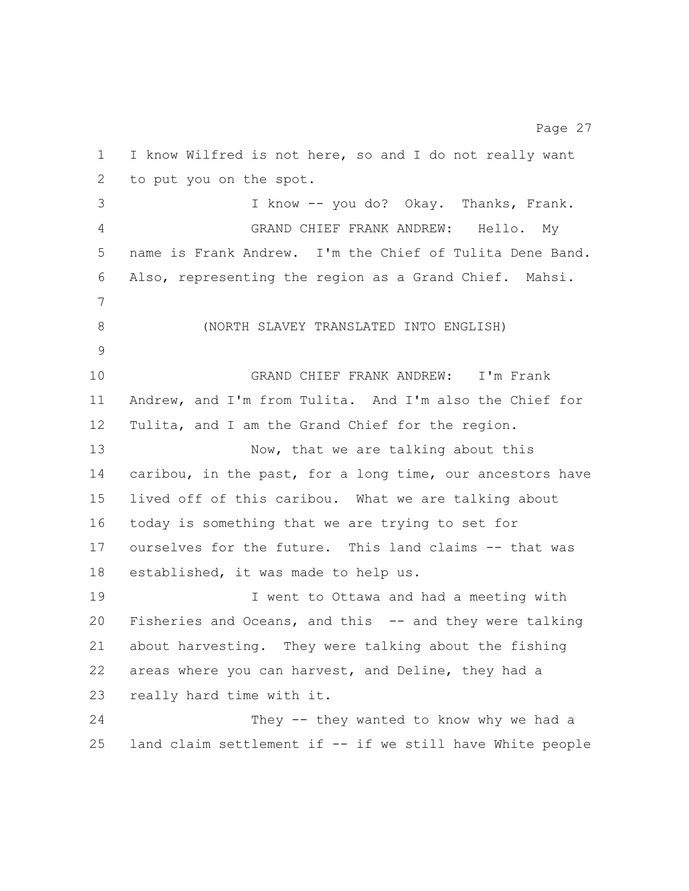I know Wilfred is not here, so and I do not really want to put you on the spot. I know -- you do? Okay. Thanks, Frank. GRAND CHIEF FRANK ANDREW: Hello. My name is Frank Andrew. I'm the Chief of Tulita Dene Band. Also, representing the region as a Grand Chief. Mahsi. (NORTH SLAVEY TRANSLATED INTO ENGLISH) GRAND CHIEF FRANK ANDREW: I'm Frank Andrew, and I'm from Tulita. And I'm also the Chief for Tulita, and I am the Grand Chief for the region. 13 Now, that we are talking about this caribou, in the past, for a long time, our ancestors have lived off of this caribou. What we are talking about today is something that we are trying to set for ourselves for the future. This land claims -- that was established, it was made to help us. I went to Ottawa and had a meeting with Fisheries and Oceans, and this -- and they were talking about harvesting. They were talking about the fishing areas where you can harvest, and Deline, they had a really hard time with it. 24 They -- they wanted to know why we had a land claim settlement if -- if we still have White people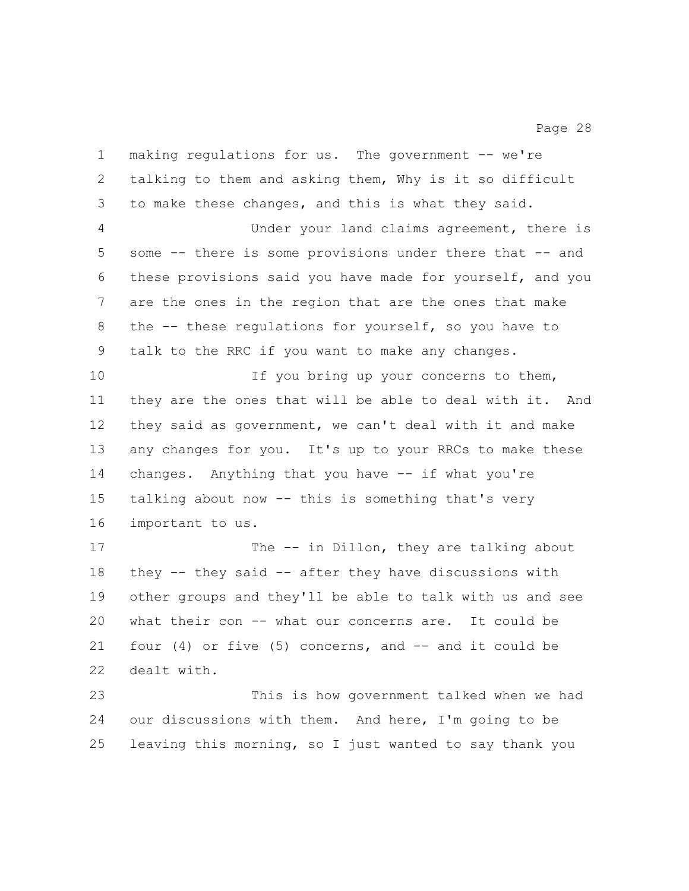making regulations for us. The government -- we're talking to them and asking them, Why is it so difficult to make these changes, and this is what they said. Under your land claims agreement, there is some -- there is some provisions under there that -- and these provisions said you have made for yourself, and you are the ones in the region that are the ones that make the -- these regulations for yourself, so you have to talk to the RRC if you want to make any changes. 10 10 If you bring up your concerns to them, they are the ones that will be able to deal with it. And they said as government, we can't deal with it and make any changes for you. It's up to your RRCs to make these changes. Anything that you have -- if what you're talking about now -- this is something that's very important to us. 17 The -- in Dillon, they are talking about they -- they said -- after they have discussions with other groups and they'll be able to talk with us and see what their con -- what our concerns are. It could be four (4) or five (5) concerns, and -- and it could be dealt with. This is how government talked when we had our discussions with them. And here, I'm going to be leaving this morning, so I just wanted to say thank you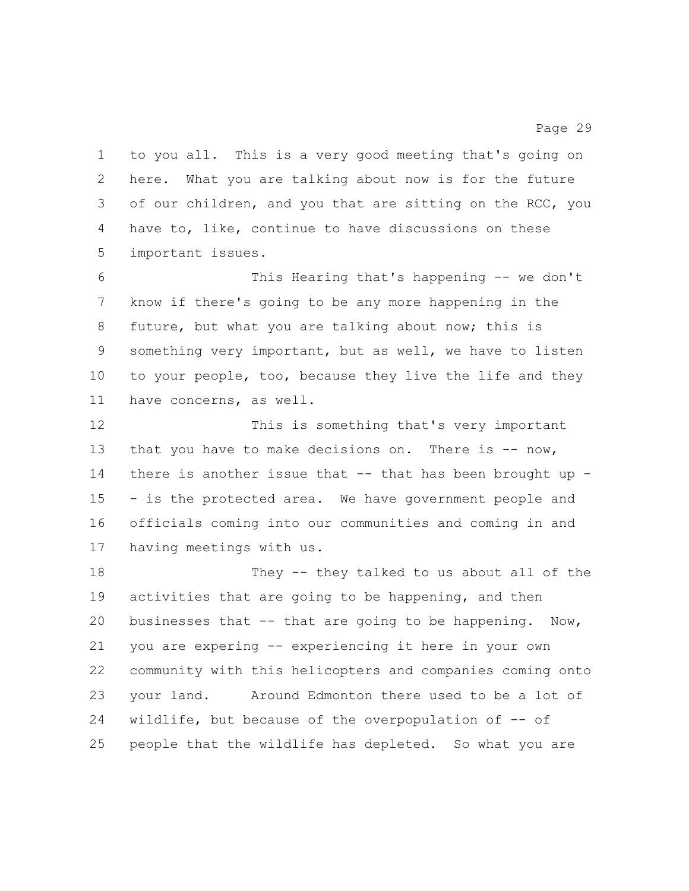to you all. This is a very good meeting that's going on here. What you are talking about now is for the future of our children, and you that are sitting on the RCC, you have to, like, continue to have discussions on these important issues.

 This Hearing that's happening -- we don't know if there's going to be any more happening in the future, but what you are talking about now; this is something very important, but as well, we have to listen to your people, too, because they live the life and they have concerns, as well.

 This is something that's very important 13 that you have to make decisions on. There is -- now, there is another issue that -- that has been brought up - - is the protected area. We have government people and officials coming into our communities and coming in and having meetings with us.

 They -- they talked to us about all of the 19 activities that are going to be happening, and then businesses that -- that are going to be happening. Now, you are expering -- experiencing it here in your own community with this helicopters and companies coming onto your land. Around Edmonton there used to be a lot of wildlife, but because of the overpopulation of -- of people that the wildlife has depleted. So what you are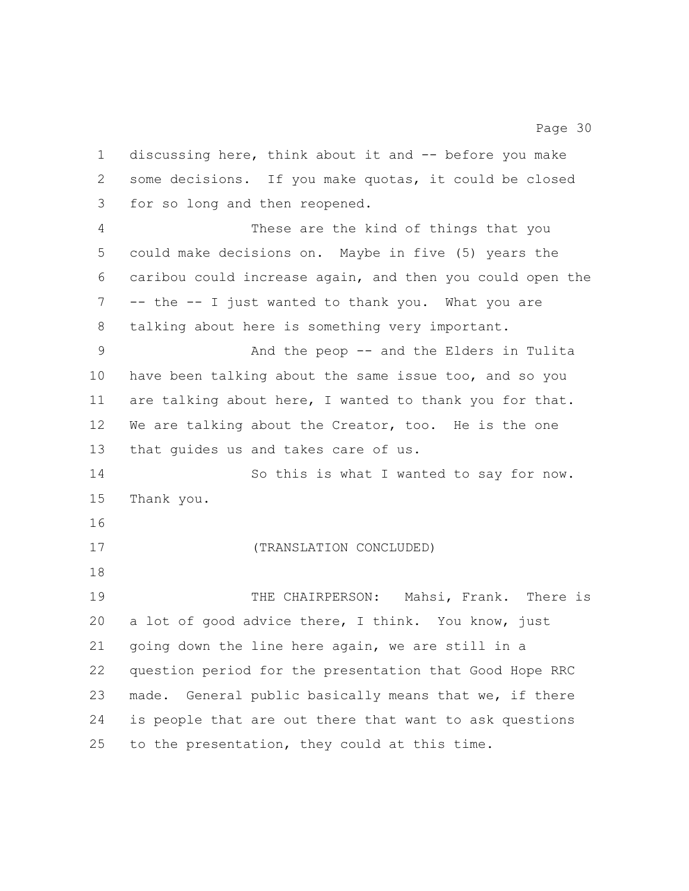discussing here, think about it and -- before you make some decisions. If you make quotas, it could be closed for so long and then reopened. These are the kind of things that you could make decisions on. Maybe in five (5) years the caribou could increase again, and then you could open the -- the -- I just wanted to thank you. What you are talking about here is something very important. And the peop -- and the Elders in Tulita have been talking about the same issue too, and so you are talking about here, I wanted to thank you for that. We are talking about the Creator, too. He is the one that guides us and takes care of us. 14 So this is what I wanted to say for now. Thank you. (TRANSLATION CONCLUDED) THE CHAIRPERSON: Mahsi, Frank. There is a lot of good advice there, I think. You know, just going down the line here again, we are still in a question period for the presentation that Good Hope RRC made. General public basically means that we, if there is people that are out there that want to ask questions to the presentation, they could at this time.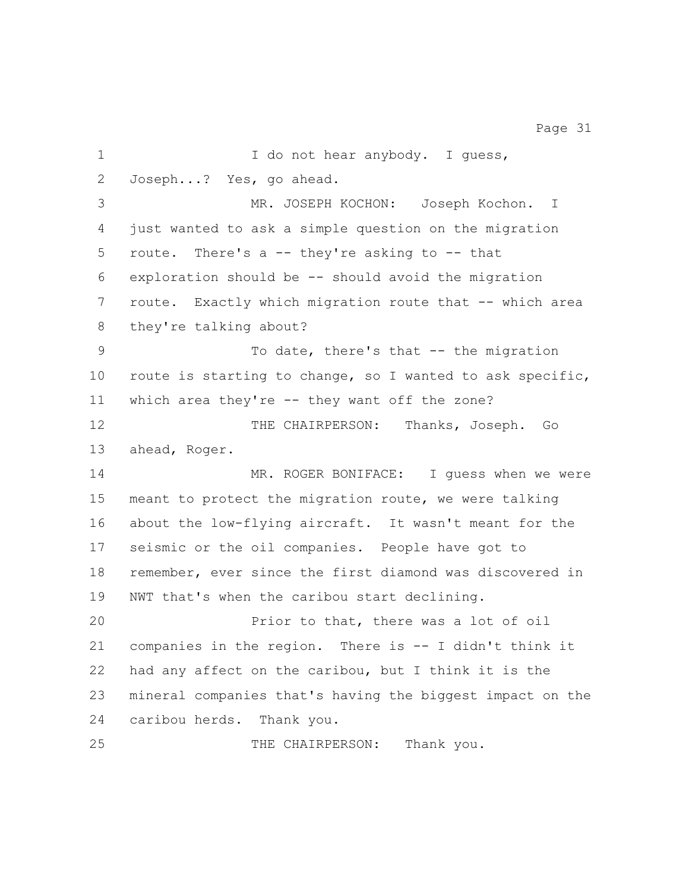1 I do not hear anybody. I guess, Joseph...? Yes, go ahead. MR. JOSEPH KOCHON: Joseph Kochon. I just wanted to ask a simple question on the migration route. There's a -- they're asking to -- that exploration should be -- should avoid the migration route. Exactly which migration route that -- which area they're talking about? 9 To date, there's that -- the migration route is starting to change, so I wanted to ask specific, which area they're -- they want off the zone? 12 THE CHAIRPERSON: Thanks, Joseph. Go ahead, Roger. 14 MR. ROGER BONIFACE: I quess when we were meant to protect the migration route, we were talking about the low-flying aircraft. It wasn't meant for the seismic or the oil companies. People have got to remember, ever since the first diamond was discovered in NWT that's when the caribou start declining. Prior to that, there was a lot of oil companies in the region. There is -- I didn't think it had any affect on the caribou, but I think it is the mineral companies that's having the biggest impact on the caribou herds. Thank you. 25 THE CHAIRPERSON: Thank you.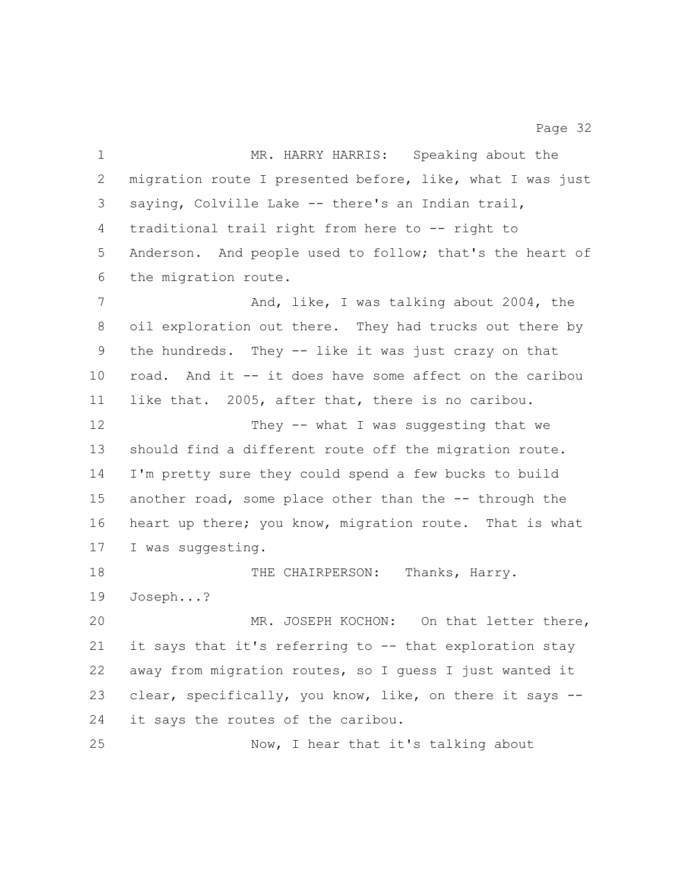| $\mathbf 1$ | MR. HARRY HARRIS: Speaking about the                      |
|-------------|-----------------------------------------------------------|
| 2           | migration route I presented before, like, what I was just |
| 3           | saying, Colville Lake -- there's an Indian trail,         |
| 4           | traditional trail right from here to -- right to          |
| 5           | Anderson. And people used to follow; that's the heart of  |
| 6           | the migration route.                                      |
| 7           | And, like, I was talking about 2004, the                  |
| 8           | oil exploration out there. They had trucks out there by   |
| 9           | the hundreds. They -- like it was just crazy on that      |
| 10          | road. And it -- it does have some affect on the caribou   |
| 11          | like that. 2005, after that, there is no caribou.         |
| 12          | They -- what I was suggesting that we                     |
| 13          | should find a different route off the migration route.    |
| 14          | I'm pretty sure they could spend a few bucks to build     |
| 15          | another road, some place other than the -- through the    |
| 16          | heart up there; you know, migration route. That is what   |
| 17          | I was suggesting.                                         |
| 18          | Thanks, Harry.<br>THE CHAIRPERSON:                        |
| 19          | Joseph?                                                   |
| 20          | MR. JOSEPH KOCHON: On that letter there,                  |
| 21          | it says that it's referring to -- that exploration stay   |
| 22          | away from migration routes, so I guess I just wanted it   |
| 23          | clear, specifically, you know, like, on there it says --  |
| 24          | it says the routes of the caribou.                        |
| 25          | Now, I hear that it's talking about                       |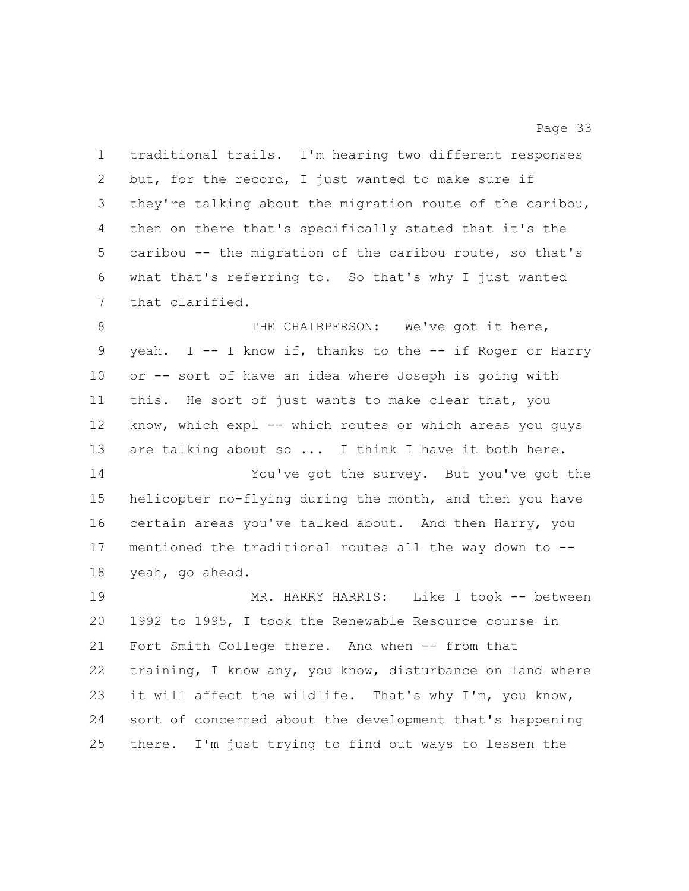traditional trails. I'm hearing two different responses but, for the record, I just wanted to make sure if they're talking about the migration route of the caribou, then on there that's specifically stated that it's the caribou -- the migration of the caribou route, so that's what that's referring to. So that's why I just wanted that clarified. 8 THE CHAIRPERSON: We've got it here, yeah. I -- I know if, thanks to the -- if Roger or Harry or -- sort of have an idea where Joseph is going with this. He sort of just wants to make clear that, you

 know, which expl -- which routes or which areas you guys are talking about so ... I think I have it both here.

 You've got the survey. But you've got the helicopter no-flying during the month, and then you have certain areas you've talked about. And then Harry, you mentioned the traditional routes all the way down to -- yeah, go ahead.

 MR. HARRY HARRIS: Like I took -- between 1992 to 1995, I took the Renewable Resource course in Fort Smith College there. And when -- from that training, I know any, you know, disturbance on land where it will affect the wildlife. That's why I'm, you know, sort of concerned about the development that's happening there. I'm just trying to find out ways to lessen the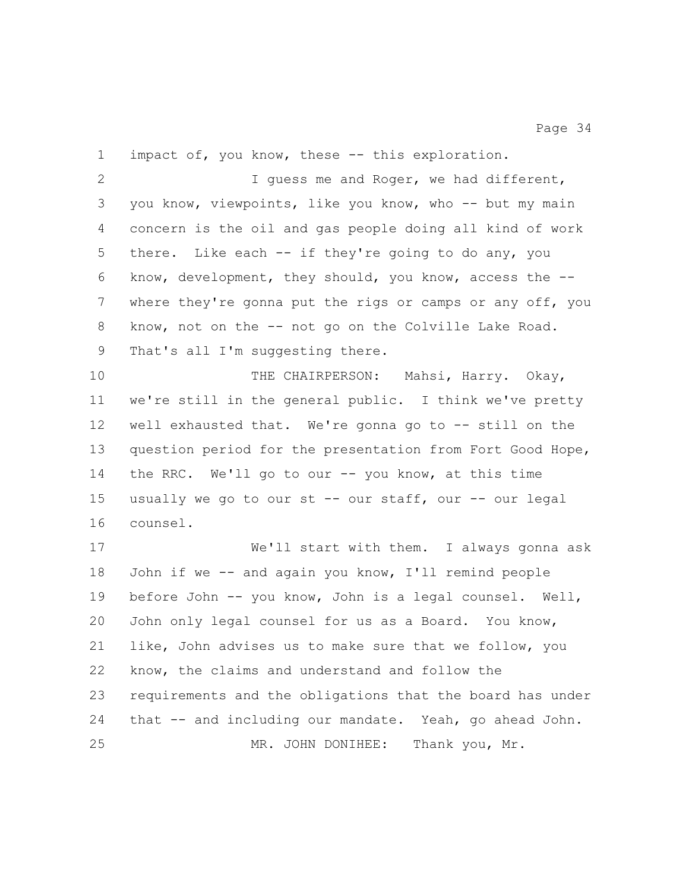impact of, you know, these -- this exploration. I guess me and Roger, we had different, you know, viewpoints, like you know, who -- but my main concern is the oil and gas people doing all kind of work there. Like each -- if they're going to do any, you know, development, they should, you know, access the -- where they're gonna put the rigs or camps or any off, you know, not on the -- not go on the Colville Lake Road. 9 That's all I'm suggesting there. THE CHAIRPERSON: Mahsi, Harry. Okay, we're still in the general public. I think we've pretty well exhausted that. We're gonna go to -- still on the question period for the presentation from Fort Good Hope, the RRC. We'll go to our -- you know, at this time usually we go to our st -- our staff, our -- our legal counsel. We'll start with them. I always gonna ask John if we -- and again you know, I'll remind people before John -- you know, John is a legal counsel. Well, John only legal counsel for us as a Board. You know, like, John advises us to make sure that we follow, you know, the claims and understand and follow the requirements and the obligations that the board has under that -- and including our mandate. Yeah, go ahead John.

MR. JOHN DONIHEE: Thank you, Mr.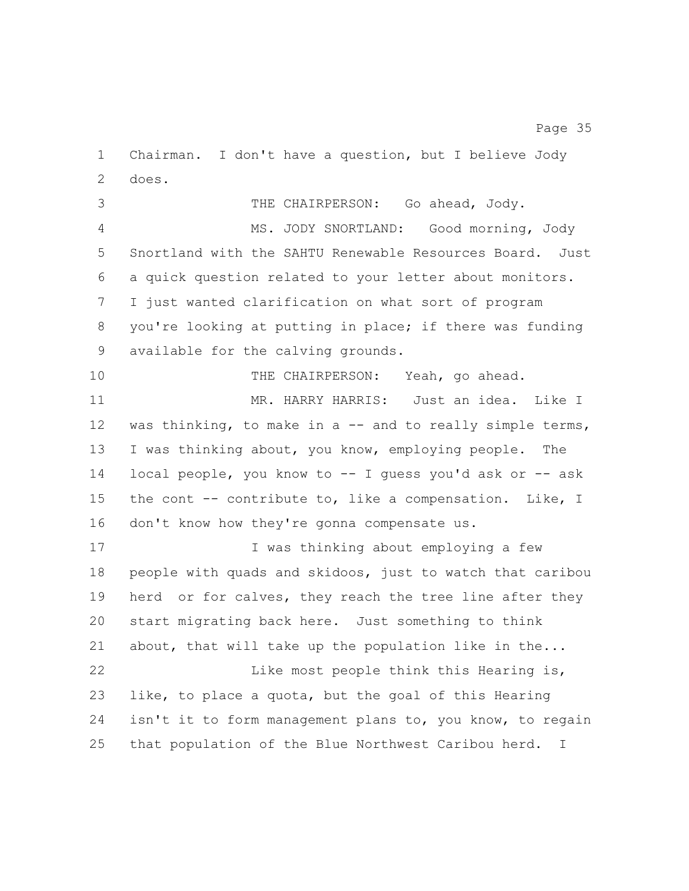Chairman. I don't have a question, but I believe Jody does.

THE CHAIRPERSON: Go ahead, Jody.

 MS. JODY SNORTLAND: Good morning, Jody Snortland with the SAHTU Renewable Resources Board. Just a quick question related to your letter about monitors. I just wanted clarification on what sort of program you're looking at putting in place; if there was funding available for the calving grounds.

 THE CHAIRPERSON: Yeah, go ahead. MR. HARRY HARRIS: Just an idea. Like I 12 was thinking, to make in a -- and to really simple terms, I was thinking about, you know, employing people. The local people, you know to -- I guess you'd ask or -- ask the cont -- contribute to, like a compensation. Like, I 16 don't know how they're gonna compensate us.

 I was thinking about employing a few people with quads and skidoos, just to watch that caribou herd or for calves, they reach the tree line after they start migrating back here. Just something to think about, that will take up the population like in the... Like most people think this Hearing is, like, to place a quota, but the goal of this Hearing isn't it to form management plans to, you know, to regain that population of the Blue Northwest Caribou herd. I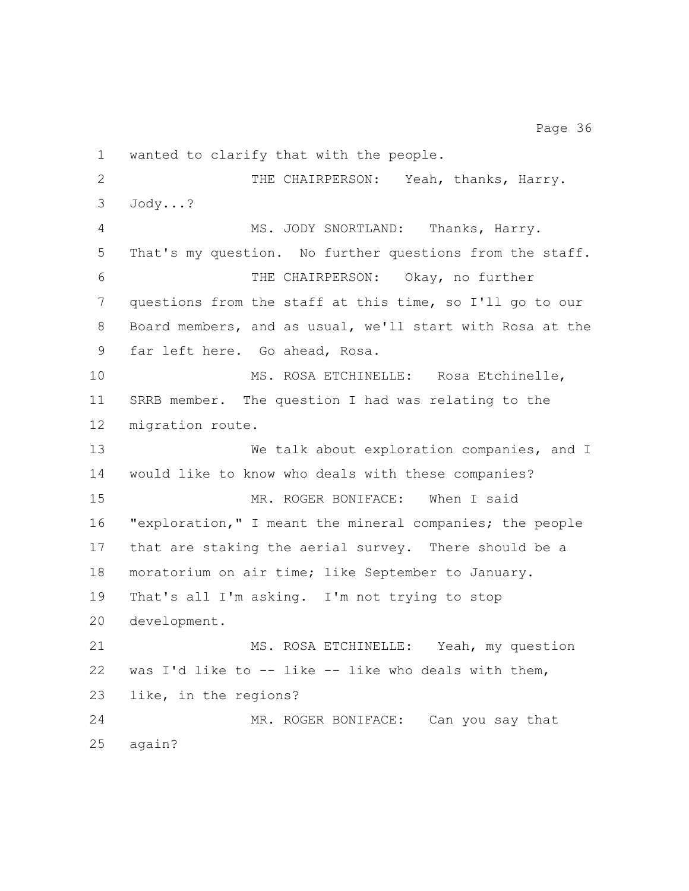wanted to clarify that with the people. THE CHAIRPERSON: Yeah, thanks, Harry. Jody...? MS. JODY SNORTLAND: Thanks, Harry. That's my question. No further questions from the staff. THE CHAIRPERSON: Okay, no further questions from the staff at this time, so I'll go to our Board members, and as usual, we'll start with Rosa at the far left here. Go ahead, Rosa. MS. ROSA ETCHINELLE: Rosa Etchinelle, SRRB member. The question I had was relating to the migration route. 13 We talk about exploration companies, and I would like to know who deals with these companies? MR. ROGER BONIFACE: When I said "exploration," I meant the mineral companies; the people that are staking the aerial survey. There should be a moratorium on air time; like September to January. That's all I'm asking. I'm not trying to stop development. 21 MS. ROSA ETCHINELLE: Yeah, my question 22 was I'd like to  $--$  like  $--$  like who deals with them, like, in the regions? MR. ROGER BONIFACE: Can you say that again?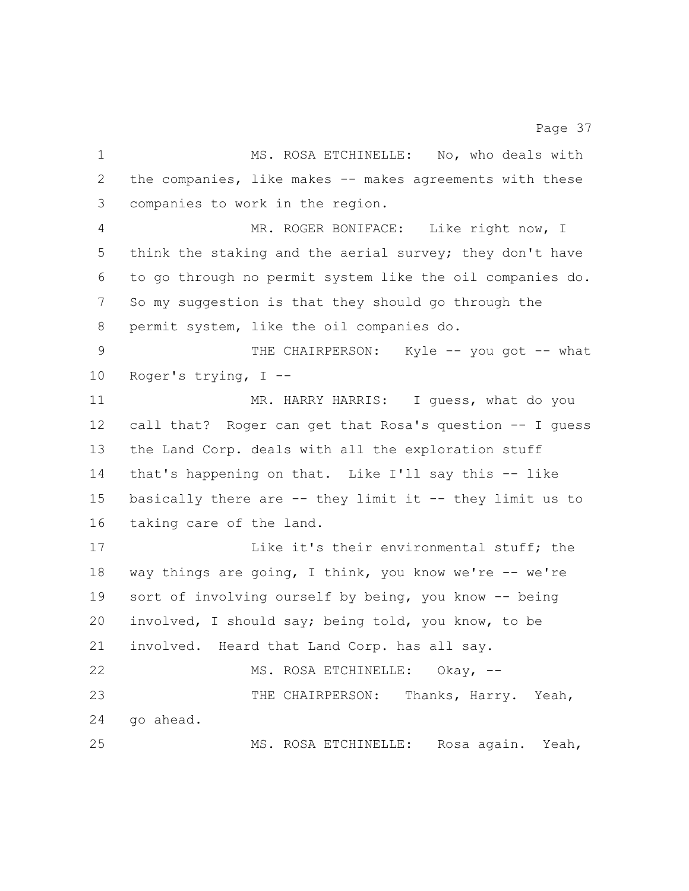MS. ROSA ETCHINELLE: No, who deals with the companies, like makes -- makes agreements with these

 MR. ROGER BONIFACE: Like right now, I think the staking and the aerial survey; they don't have to go through no permit system like the oil companies do. So my suggestion is that they should go through the permit system, like the oil companies do.

companies to work in the region.

9 THE CHAIRPERSON: Kyle -- you got -- what Roger's trying, I --

 MR. HARRY HARRIS: I guess, what do you call that? Roger can get that Rosa's question -- I guess the Land Corp. deals with all the exploration stuff that's happening on that. Like I'll say this -- like basically there are -- they limit it -- they limit us to taking care of the land.

17 Like it's their environmental stuff; the way things are going, I think, you know we're -- we're sort of involving ourself by being, you know -- being involved, I should say; being told, you know, to be involved. Heard that Land Corp. has all say. 22 MS. ROSA ETCHINELLE: Okay, -- THE CHAIRPERSON: Thanks, Harry. Yeah, go ahead.

MS. ROSA ETCHINELLE: Rosa again. Yeah,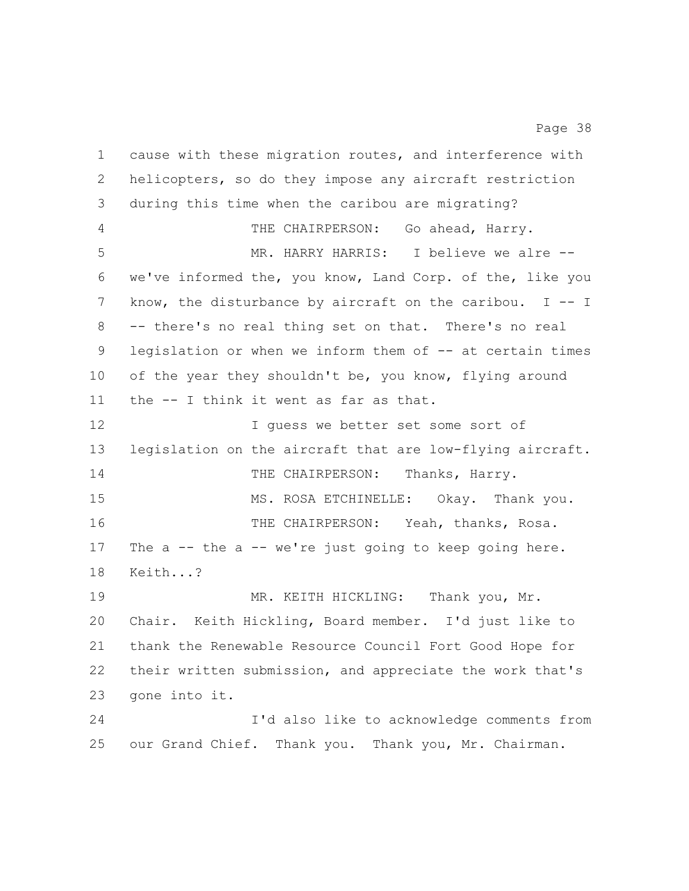cause with these migration routes, and interference with helicopters, so do they impose any aircraft restriction during this time when the caribou are migrating? THE CHAIRPERSON: Go ahead, Harry. MR. HARRY HARRIS: I believe we alre -- we've informed the, you know, Land Corp. of the, like you know, the disturbance by aircraft on the caribou. I -- I -- there's no real thing set on that. There's no real legislation or when we inform them of -- at certain times 10 of the year they shouldn't be, you know, flying around the -- I think it went as far as that. I guess we better set some sort of legislation on the aircraft that are low-flying aircraft. 14 THE CHAIRPERSON: Thanks, Harry. MS. ROSA ETCHINELLE: Okay. Thank you. THE CHAIRPERSON: Yeah, thanks, Rosa. 17 The a -- the a -- we're just going to keep going here. Keith...? MR. KEITH HICKLING: Thank you, Mr. Chair. Keith Hickling, Board member. I'd just like to thank the Renewable Resource Council Fort Good Hope for their written submission, and appreciate the work that's gone into it. I'd also like to acknowledge comments from our Grand Chief. Thank you. Thank you, Mr. Chairman.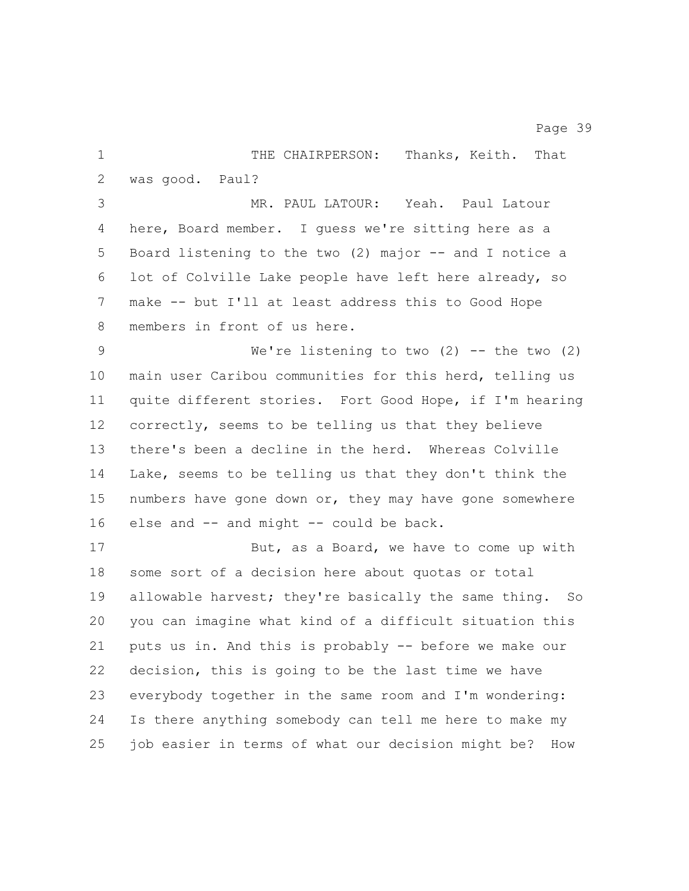1 THE CHAIRPERSON: Thanks, Keith. That was good. Paul? MR. PAUL LATOUR: Yeah. Paul Latour here, Board member. I guess we're sitting here as a Board listening to the two (2) major -- and I notice a lot of Colville Lake people have left here already, so make -- but I'll at least address this to Good Hope members in front of us here. We're listening to two (2) -- the two (2) main user Caribou communities for this herd, telling us quite different stories. Fort Good Hope, if I'm hearing correctly, seems to be telling us that they believe there's been a decline in the herd. Whereas Colville Lake, seems to be telling us that they don't think the numbers have gone down or, they may have gone somewhere 16 else and -- and might -- could be back. 17 But, as a Board, we have to come up with some sort of a decision here about quotas or total allowable harvest; they're basically the same thing. So you can imagine what kind of a difficult situation this puts us in. And this is probably -- before we make our decision, this is going to be the last time we have everybody together in the same room and I'm wondering: Is there anything somebody can tell me here to make my

job easier in terms of what our decision might be? How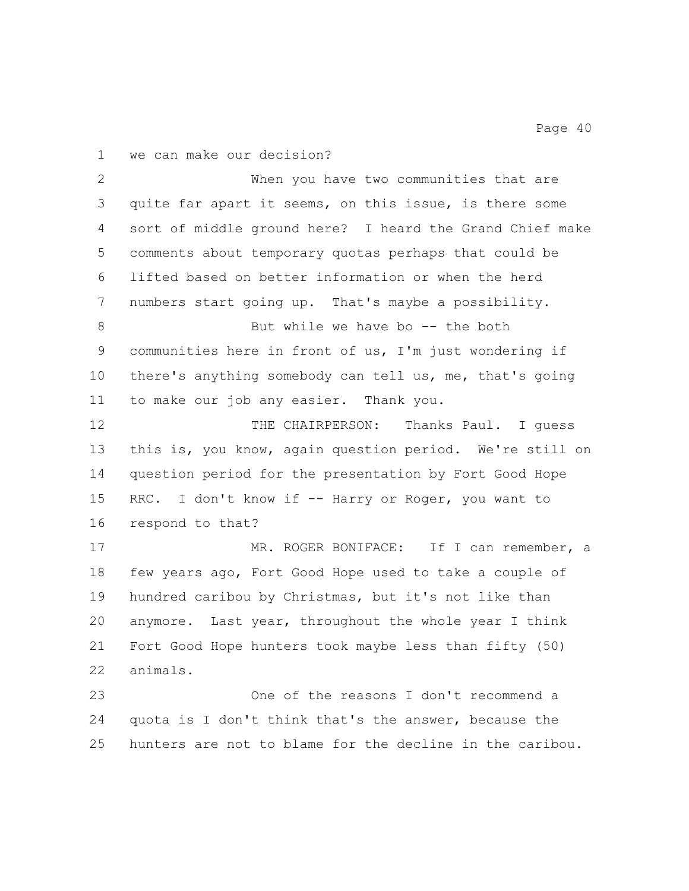we can make our decision?

 When you have two communities that are quite far apart it seems, on this issue, is there some sort of middle ground here? I heard the Grand Chief make comments about temporary quotas perhaps that could be lifted based on better information or when the herd numbers start going up. That's maybe a possibility. 8 But while we have bo -- the both communities here in front of us, I'm just wondering if there's anything somebody can tell us, me, that's going to make our job any easier. Thank you. THE CHAIRPERSON: Thanks Paul. I guess this is, you know, again question period. We're still on question period for the presentation by Fort Good Hope 15 RRC. I don't know if -- Harry or Roger, you want to respond to that? 17 MR. ROGER BONIFACE: If I can remember, a few years ago, Fort Good Hope used to take a couple of hundred caribou by Christmas, but it's not like than anymore. Last year, throughout the whole year I think Fort Good Hope hunters took maybe less than fifty (50) animals. One of the reasons I don't recommend a quota is I don't think that's the answer, because the hunters are not to blame for the decline in the caribou.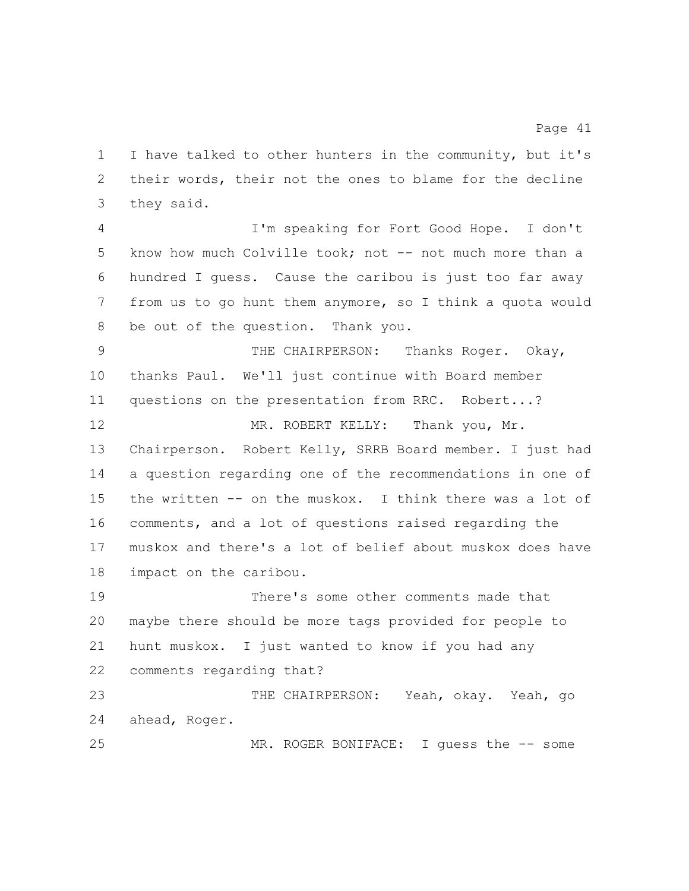I have talked to other hunters in the community, but it's their words, their not the ones to blame for the decline they said.

 I'm speaking for Fort Good Hope. I don't 5 know how much Colville took; not -- not much more than a hundred I guess. Cause the caribou is just too far away from us to go hunt them anymore, so I think a quota would be out of the question. Thank you.

 THE CHAIRPERSON: Thanks Roger. Okay, thanks Paul. We'll just continue with Board member questions on the presentation from RRC. Robert...?

12 MR. ROBERT KELLY: Thank you, Mr. Chairperson. Robert Kelly, SRRB Board member. I just had a question regarding one of the recommendations in one of the written -- on the muskox. I think there was a lot of comments, and a lot of questions raised regarding the muskox and there's a lot of belief about muskox does have impact on the caribou.

 There's some other comments made that maybe there should be more tags provided for people to hunt muskox. I just wanted to know if you had any comments regarding that?

 THE CHAIRPERSON: Yeah, okay. Yeah, go ahead, Roger. MR. ROGER BONIFACE: I guess the -- some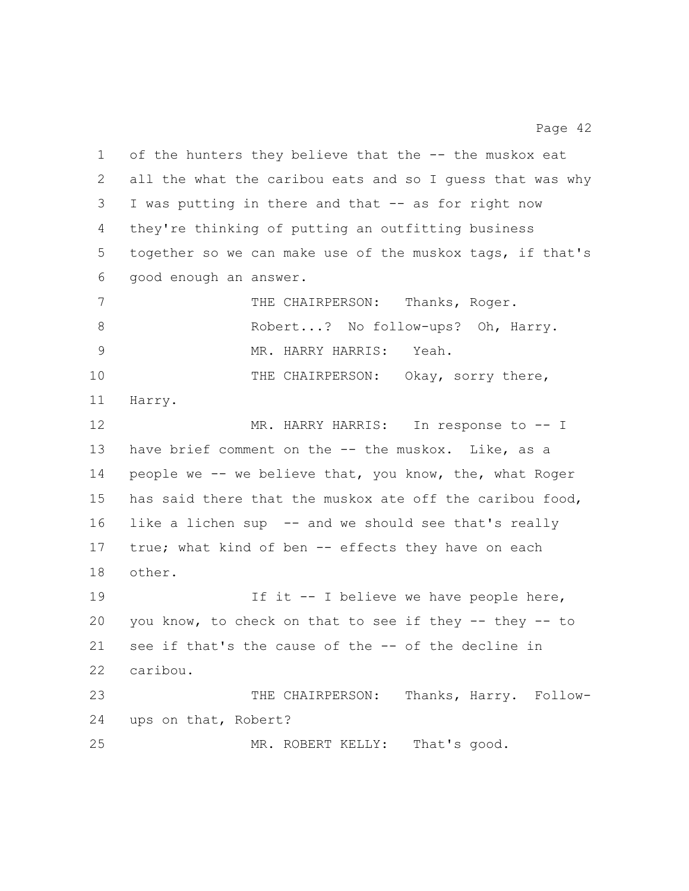of the hunters they believe that the -- the muskox eat all the what the caribou eats and so I guess that was why I was putting in there and that -- as for right now they're thinking of putting an outfitting business together so we can make use of the muskox tags, if that's good enough an answer. 7 THE CHAIRPERSON: Thanks, Roger. 8 Robert...? No follow-ups? Oh, Harry. MR. HARRY HARRIS: Yeah. 10 THE CHAIRPERSON: Okay, sorry there, Harry. 12 MR. HARRY HARRIS: In response to -- I 13 have brief comment on the -- the muskox. Like, as a people we -- we believe that, you know, the, what Roger has said there that the muskox ate off the caribou food, like a lichen sup -- and we should see that's really 17 true; what kind of ben -- effects they have on each other. 19 19 If it -- I believe we have people here, you know, to check on that to see if they -- they -- to see if that's the cause of the -- of the decline in caribou. THE CHAIRPERSON: Thanks, Harry. Follow- ups on that, Robert? 25 MR. ROBERT KELLY: That's good.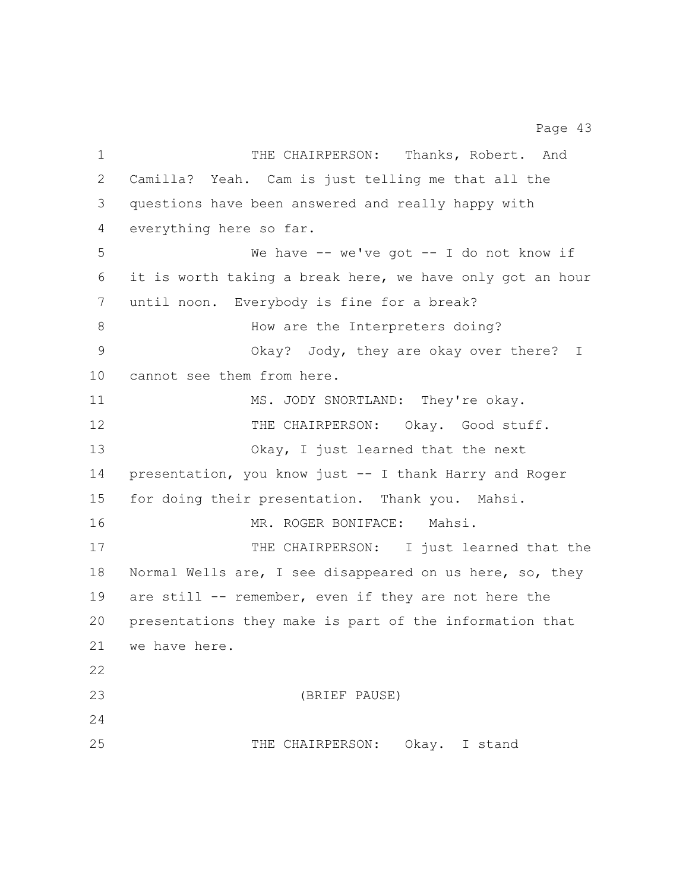1 THE CHAIRPERSON: Thanks, Robert. And Camilla? Yeah. Cam is just telling me that all the questions have been answered and really happy with everything here so far. We have -- we've got -- I do not know if it is worth taking a break here, we have only got an hour until noon. Everybody is fine for a break? 8 How are the Interpreters doing? Okay? Jody, they are okay over there? I cannot see them from here. 11 MS. JODY SNORTLAND: They're okay. 12 THE CHAIRPERSON: Okay. Good stuff. Okay, I just learned that the next presentation, you know just -- I thank Harry and Roger for doing their presentation. Thank you. Mahsi. MR. ROGER BONIFACE: Mahsi. 17 THE CHAIRPERSON: I just learned that the Normal Wells are, I see disappeared on us here, so, they 19 are still -- remember, even if they are not here the presentations they make is part of the information that we have here. (BRIEF PAUSE) THE CHAIRPERSON: Okay. I stand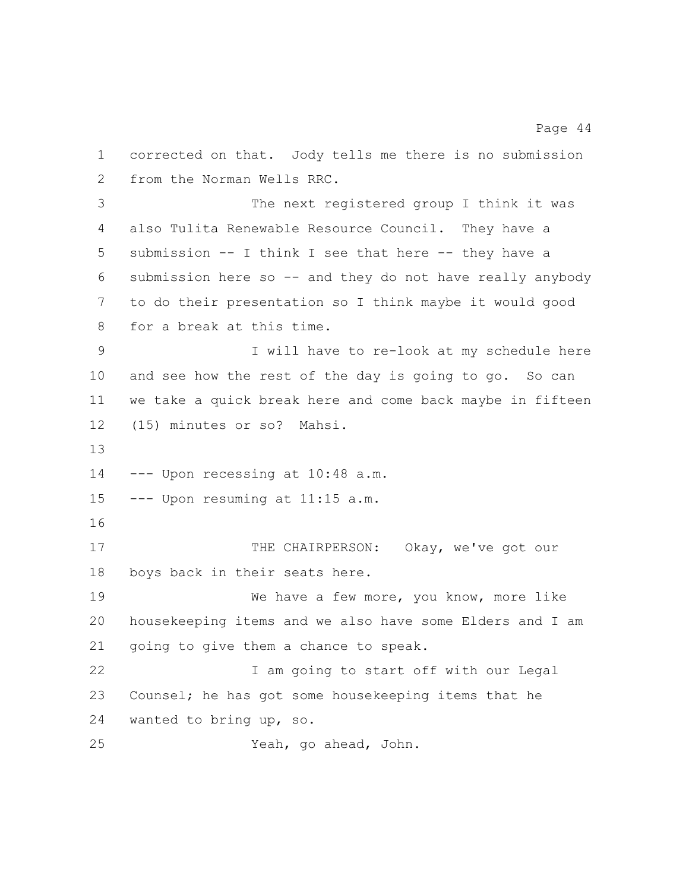corrected on that. Jody tells me there is no submission from the Norman Wells RRC. The next registered group I think it was also Tulita Renewable Resource Council. They have a submission -- I think I see that here -- they have a submission here so -- and they do not have really anybody to do their presentation so I think maybe it would good for a break at this time. I will have to re-look at my schedule here and see how the rest of the day is going to go. So can we take a quick break here and come back maybe in fifteen (15) minutes or so? Mahsi. --- Upon recessing at 10:48 a.m. --- Upon resuming at 11:15 a.m. 17 THE CHAIRPERSON: Okay, we've got our boys back in their seats here. We have a few more, you know, more like housekeeping items and we also have some Elders and I am going to give them a chance to speak. I am going to start off with our Legal Counsel; he has got some housekeeping items that he wanted to bring up, so. Yeah, go ahead, John.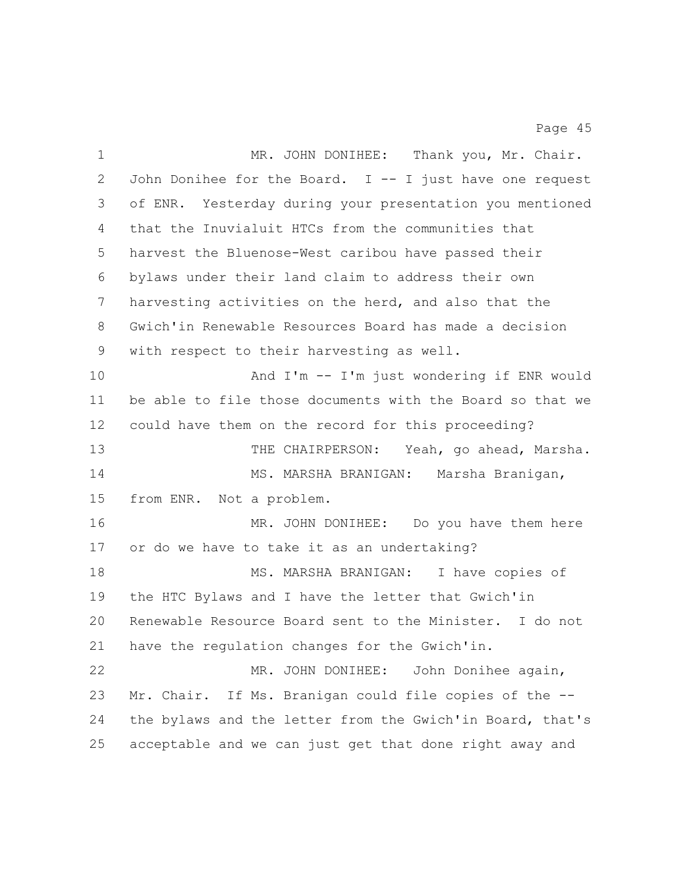| $\mathbf 1$ | MR. JOHN DONIHEE: Thank you, Mr. Chair.                   |
|-------------|-----------------------------------------------------------|
| 2           | John Donihee for the Board. I -- I just have one request  |
| 3           | of ENR. Yesterday during your presentation you mentioned  |
| 4           | that the Inuvialuit HTCs from the communities that        |
| 5           | harvest the Bluenose-West caribou have passed their       |
| 6           | bylaws under their land claim to address their own        |
| 7           | harvesting activities on the herd, and also that the      |
| 8           | Gwich'in Renewable Resources Board has made a decision    |
| 9           | with respect to their harvesting as well.                 |
| 10          | And I'm -- I'm just wondering if ENR would                |
| 11          | be able to file those documents with the Board so that we |
| 12          | could have them on the record for this proceeding?        |
| 13          | THE CHAIRPERSON: Yeah, go ahead, Marsha.                  |
| 14          | MS. MARSHA BRANIGAN: Marsha Branigan,                     |
| 15          | from ENR. Not a problem.                                  |
| 16          | MR. JOHN DONIHEE: Do you have them here                   |
| 17          | or do we have to take it as an undertaking?               |
| 18          | MS. MARSHA BRANIGAN: I have copies of                     |
| 19          | the HTC Bylaws and I have the letter that Gwich'in        |
| 20          | Renewable Resource Board sent to the Minister. I do not   |
| 21          | have the regulation changes for the Gwich'in.             |
| 22          | MR. JOHN DONIHEE: John Donihee again,                     |
| 23          | If Ms. Branigan could file copies of the --<br>Mr. Chair. |
| 24          | the bylaws and the letter from the Gwich'in Board, that's |
| 25          | acceptable and we can just get that done right away and   |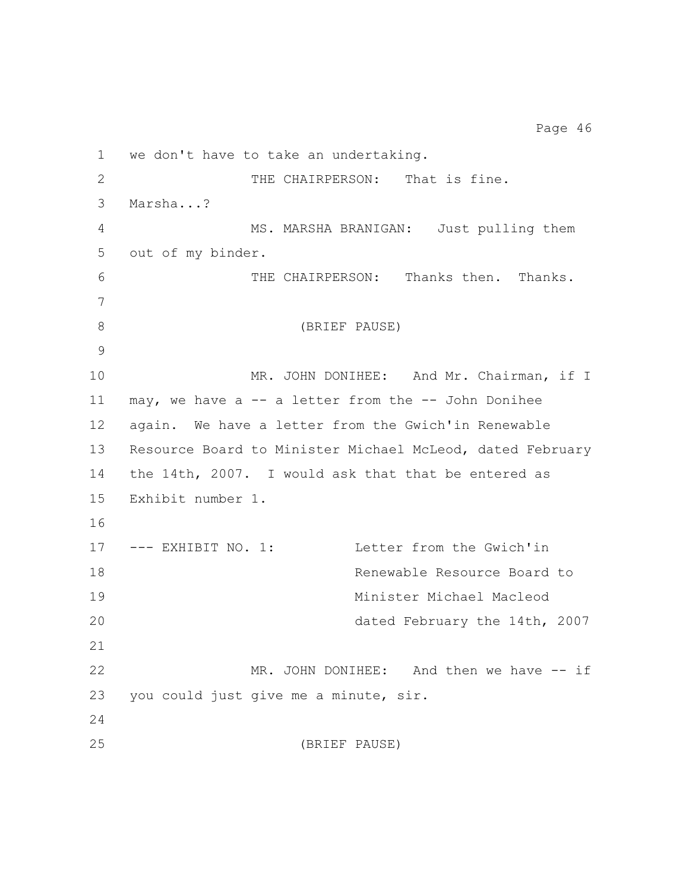we don't have to take an undertaking. THE CHAIRPERSON: That is fine. Marsha...? MS. MARSHA BRANIGAN: Just pulling them out of my binder. THE CHAIRPERSON: Thanks then. Thanks. (BRIEF PAUSE) 10 MR. JOHN DONIHEE: And Mr. Chairman, if I may, we have a -- a letter from the -- John Donihee again. We have a letter from the Gwich'in Renewable Resource Board to Minister Michael McLeod, dated February the 14th, 2007. I would ask that that be entered as Exhibit number 1. --- EXHIBIT NO. 1: Letter from the Gwich'in Renewable Resource Board to Minister Michael Macleod dated February the 14th, 2007 22 MR. JOHN DONIHEE: And then we have -- if you could just give me a minute, sir. (BRIEF PAUSE)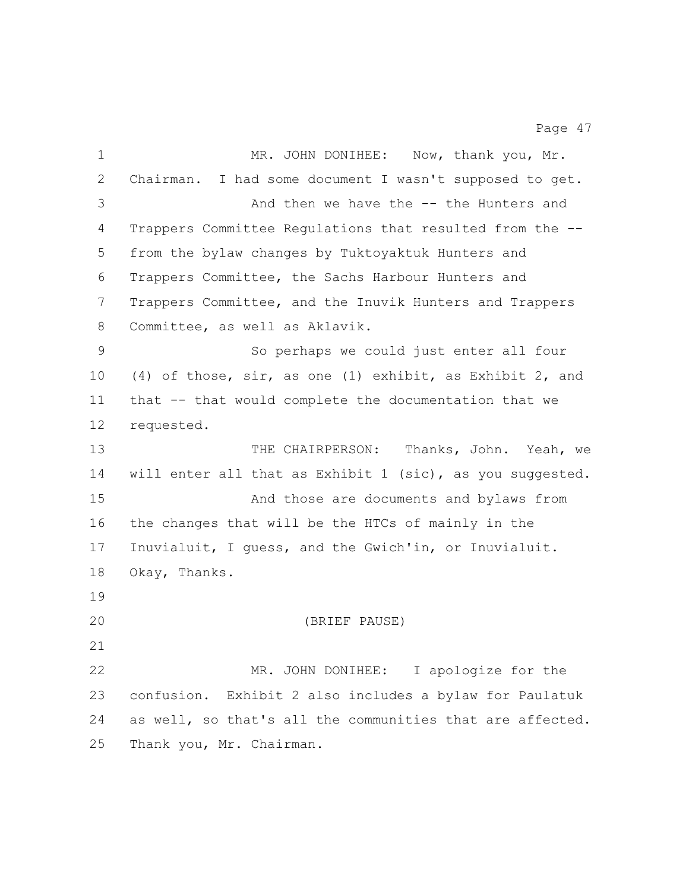| $\mathbf 1$ | MR. JOHN DONIHEE: Now, thank you, Mr.                     |
|-------------|-----------------------------------------------------------|
| 2           | Chairman. I had some document I wasn't supposed to get.   |
| 3           | And then we have the -- the Hunters and                   |
| 4           | Trappers Committee Regulations that resulted from the --  |
| 5           | from the bylaw changes by Tuktoyaktuk Hunters and         |
| 6           | Trappers Committee, the Sachs Harbour Hunters and         |
| 7           | Trappers Committee, and the Inuvik Hunters and Trappers   |
| $8\,$       | Committee, as well as Aklavik.                            |
| $\mathsf 9$ | So perhaps we could just enter all four                   |
| 10          | (4) of those, sir, as one (1) exhibit, as Exhibit 2, and  |
| 11          | that -- that would complete the documentation that we     |
| 12          | requested.                                                |
| 13          | THE CHAIRPERSON: Thanks, John. Yeah, we                   |
| 14          | will enter all that as Exhibit 1 (sic), as you suggested. |
| 15          | And those are documents and bylaws from                   |
| 16          | the changes that will be the HTCs of mainly in the        |
| 17          | Inuvialuit, I quess, and the Gwich'in, or Inuvialuit.     |
| 18          | Okay, Thanks.                                             |
| 19          |                                                           |
| 20          | (BRIEF PAUSE)                                             |
| 21          |                                                           |
| 22          | MR. JOHN DONIHEE: I apologize for the                     |
| 23          | confusion. Exhibit 2 also includes a bylaw for Paulatuk   |
| 24          | as well, so that's all the communities that are affected. |
| 25          | Thank you, Mr. Chairman.                                  |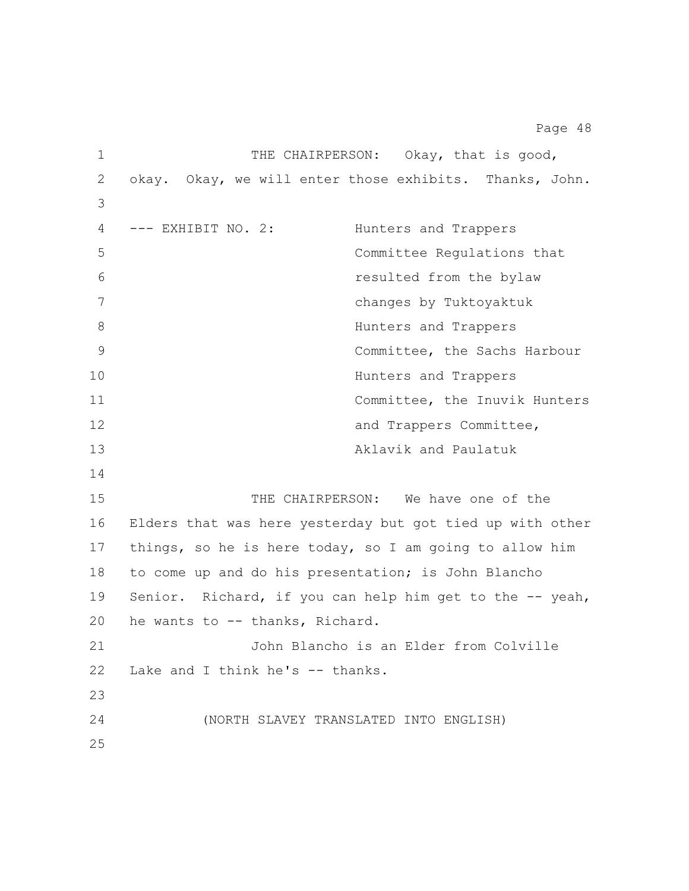1 THE CHAIRPERSON: Okay, that is good, okay. Okay, we will enter those exhibits. Thanks, John. --- EXHIBIT NO. 2: Hunters and Trappers Committee Regulations that resulted from the bylaw changes by Tuktoyaktuk 8 Bunters and Trappers Committee, the Sachs Harbour Hunters and Trappers Committee, the Inuvik Hunters **and Trappers Committee,**  Aklavik and Paulatuk THE CHAIRPERSON: We have one of the Elders that was here yesterday but got tied up with other things, so he is here today, so I am going to allow him to come up and do his presentation; is John Blancho Senior. Richard, if you can help him get to the -- yeah, he wants to -- thanks, Richard. John Blancho is an Elder from Colville Lake and I think he's -- thanks. (NORTH SLAVEY TRANSLATED INTO ENGLISH)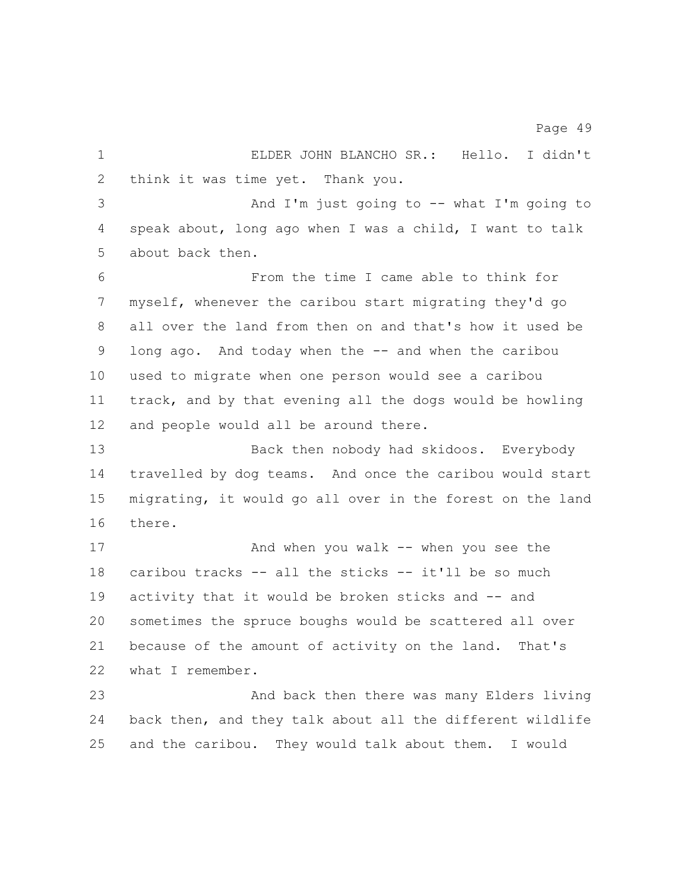| $\mathbf 1$     | ELDER JOHN BLANCHO SR.: Hello. I didn't                   |
|-----------------|-----------------------------------------------------------|
| $\overline{2}$  | think it was time yet. Thank you.                         |
| 3               | And I'm just going to $-$ what I'm going to               |
| 4               | speak about, long ago when I was a child, I want to talk  |
| 5               | about back then.                                          |
| 6               | From the time I came able to think for                    |
| 7               | myself, whenever the caribou start migrating they'd go    |
| 8               | all over the land from then on and that's how it used be  |
| 9               | long ago. And today when the -- and when the caribou      |
| 10 <sub>o</sub> | used to migrate when one person would see a caribou       |
| 11              | track, and by that evening all the dogs would be howling  |
| 12              | and people would all be around there.                     |
| 13              | Back then nobody had skidoos. Everybody                   |
| 14              | travelled by dog teams. And once the caribou would start  |
| 15              | migrating, it would go all over in the forest on the land |
| 16              | there.                                                    |
| 17              | And when you walk $--$ when you see the                   |
| 18              | caribou tracks -- all the sticks -- it'll be so much      |
| 19              | activity that it would be broken sticks and -- and        |
| 20              | sometimes the spruce boughs would be scattered all over   |
| 21              | because of the amount of activity on the land.<br>That's  |
| 22              | what I remember.                                          |
| 23              | And back then there was many Elders living                |
| 24              | back then, and they talk about all the different wildlife |
| 25              | and the caribou.<br>They would talk about them. I would   |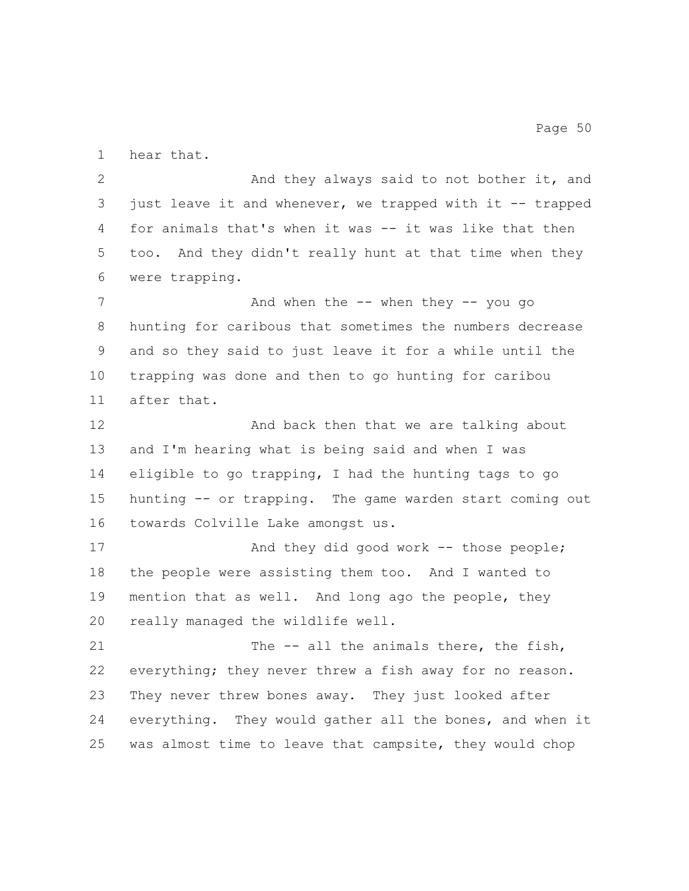hear that.

2 And they always said to not bother it, and just leave it and whenever, we trapped with it -- trapped for animals that's when it was -- it was like that then too. And they didn't really hunt at that time when they were trapping. 7 And when the -- when they -- you go hunting for caribous that sometimes the numbers decrease and so they said to just leave it for a while until the trapping was done and then to go hunting for caribou after that. 12 And back then that we are talking about and I'm hearing what is being said and when I was eligible to go trapping, I had the hunting tags to go hunting -- or trapping. The game warden start coming out towards Colville Lake amongst us. 17 And they did good work -- those people; the people were assisting them too. And I wanted to mention that as well. And long ago the people, they really managed the wildlife well. 21 The -- all the animals there, the fish, everything; they never threw a fish away for no reason. They never threw bones away. They just looked after everything. They would gather all the bones, and when it was almost time to leave that campsite, they would chop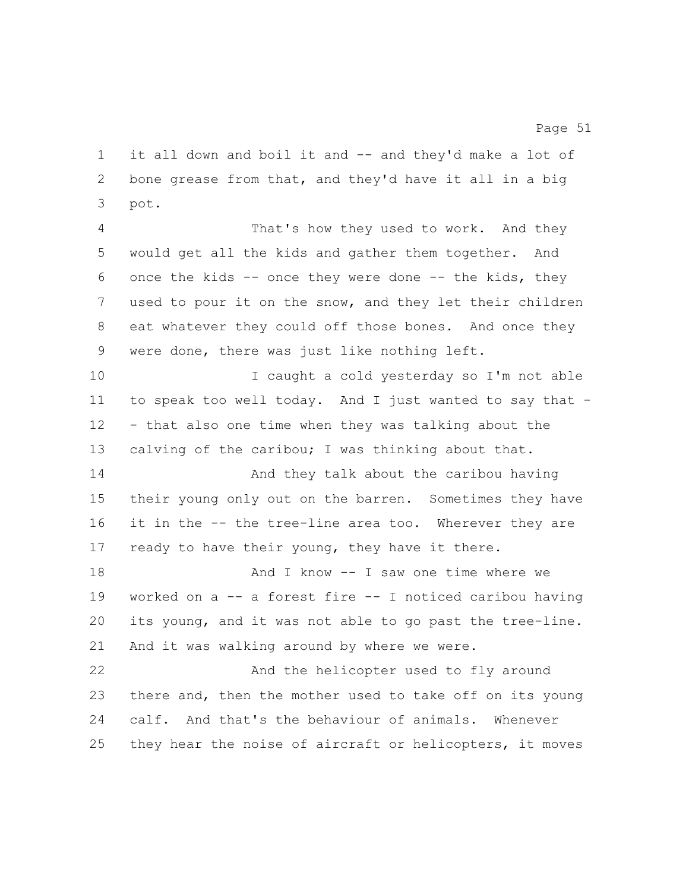it all down and boil it and -- and they'd make a lot of bone grease from that, and they'd have it all in a big pot.

 That's how they used to work. And they would get all the kids and gather them together. And once the kids -- once they were done -- the kids, they used to pour it on the snow, and they let their children eat whatever they could off those bones. And once they were done, there was just like nothing left.

10 I caught a cold yesterday so I'm not able to speak too well today. And I just wanted to say that - - that also one time when they was talking about the calving of the caribou; I was thinking about that.

 And they talk about the caribou having their young only out on the barren. Sometimes they have it in the -- the tree-line area too. Wherever they are 17 ready to have their young, they have it there.

**And I know -- I saw one time where we**  worked on a -- a forest fire -- I noticed caribou having its young, and it was not able to go past the tree-line. And it was walking around by where we were.

 And the helicopter used to fly around there and, then the mother used to take off on its young calf. And that's the behaviour of animals. Whenever they hear the noise of aircraft or helicopters, it moves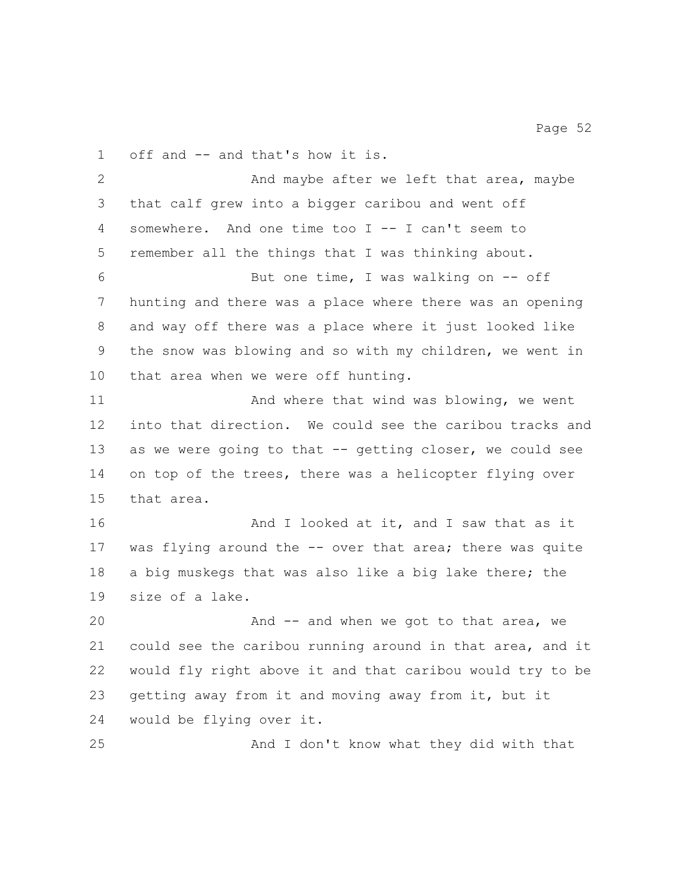off and -- and that's how it is. 2 And maybe after we left that area, maybe that calf grew into a bigger caribou and went off somewhere. And one time too I -- I can't seem to remember all the things that I was thinking about.

 But one time, I was walking on -- off hunting and there was a place where there was an opening and way off there was a place where it just looked like the snow was blowing and so with my children, we went in that area when we were off hunting.

11 And where that wind was blowing, we went into that direction. We could see the caribou tracks and as we were going to that -- getting closer, we could see on top of the trees, there was a helicopter flying over that area.

**And I** looked at it, and I saw that as it was flying around the -- over that area; there was quite a big muskegs that was also like a big lake there; the size of a lake.

20 And -- and when we got to that area, we could see the caribou running around in that area, and it would fly right above it and that caribou would try to be getting away from it and moving away from it, but it would be flying over it.

And I don't know what they did with that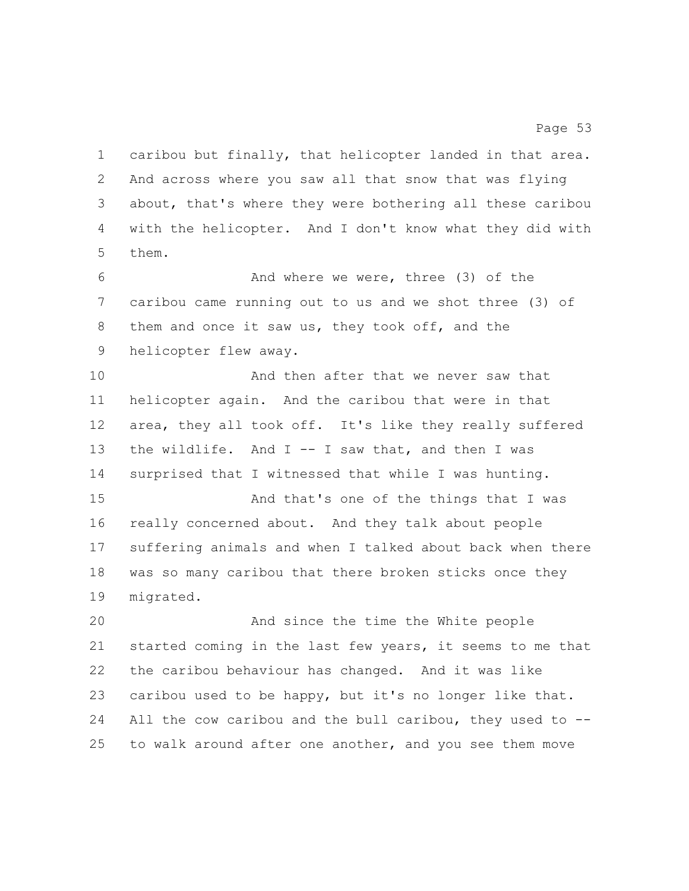caribou but finally, that helicopter landed in that area. And across where you saw all that snow that was flying about, that's where they were bothering all these caribou with the helicopter. And I don't know what they did with them.

 And where we were, three (3) of the caribou came running out to us and we shot three (3) of them and once it saw us, they took off, and the helicopter flew away.

**And then after that we never saw that**  helicopter again. And the caribou that were in that area, they all took off. It's like they really suffered the wildlife. And I -- I saw that, and then I was surprised that I witnessed that while I was hunting. And that's one of the things that I was really concerned about. And they talk about people suffering animals and when I talked about back when there was so many caribou that there broken sticks once they

migrated.

 And since the time the White people started coming in the last few years, it seems to me that the caribou behaviour has changed. And it was like caribou used to be happy, but it's no longer like that. All the cow caribou and the bull caribou, they used to -- to walk around after one another, and you see them move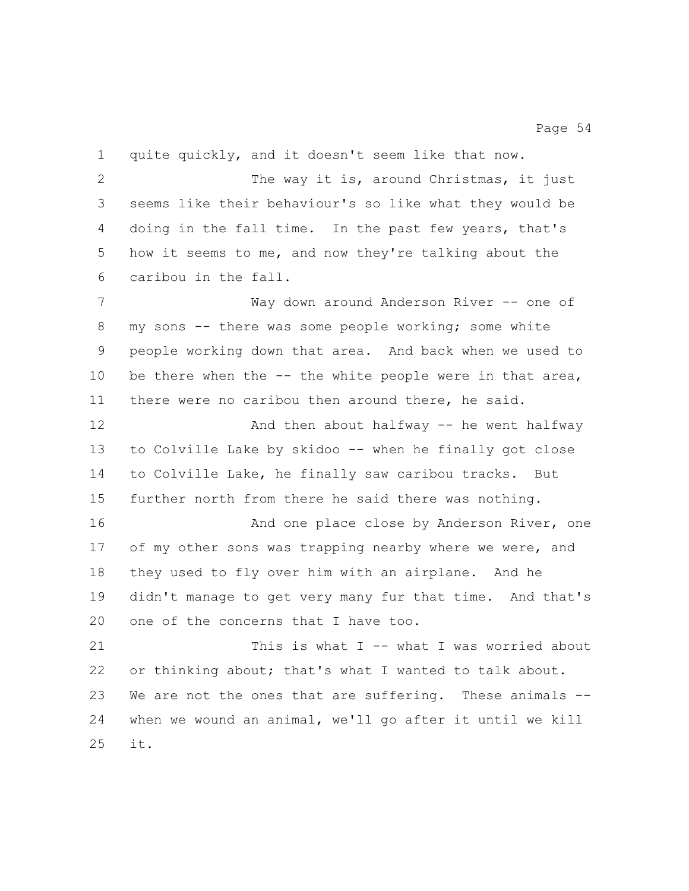quite quickly, and it doesn't seem like that now. The way it is, around Christmas, it just seems like their behaviour's so like what they would be doing in the fall time. In the past few years, that's how it seems to me, and now they're talking about the caribou in the fall. 7 Way down around Anderson River -- one of my sons -- there was some people working; some white people working down that area. And back when we used to 10 be there when the -- the white people were in that area, there were no caribou then around there, he said. And then about halfway -- he went halfway to Colville Lake by skidoo -- when he finally got close to Colville Lake, he finally saw caribou tracks. But further north from there he said there was nothing. 16 And one place close by Anderson River, one 17 of my other sons was trapping nearby where we were, and they used to fly over him with an airplane. And he didn't manage to get very many fur that time. And that's 20 one of the concerns that I have too. This is what I -- what I was worried about or thinking about; that's what I wanted to talk about. We are not the ones that are suffering. These animals -- when we wound an animal, we'll go after it until we kill it.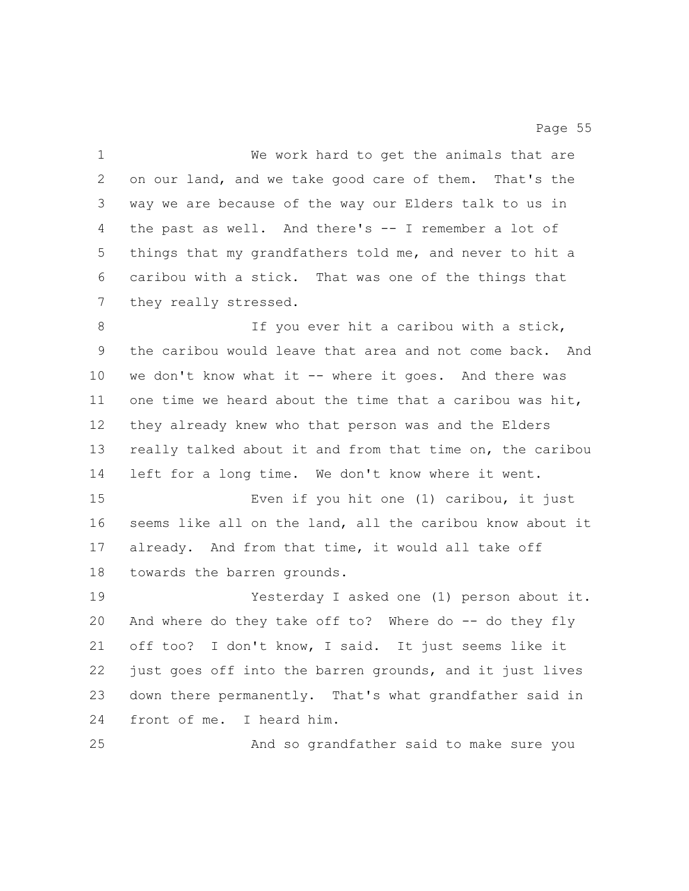We work hard to get the animals that are on our land, and we take good care of them. That's the way we are because of the way our Elders talk to us in the past as well. And there's -- I remember a lot of things that my grandfathers told me, and never to hit a caribou with a stick. That was one of the things that they really stressed. 8 1f you ever hit a caribou with a stick, the caribou would leave that area and not come back. And 10 we don't know what it -- where it goes. And there was one time we heard about the time that a caribou was hit, they already knew who that person was and the Elders really talked about it and from that time on, the caribou left for a long time. We don't know where it went. Even if you hit one (1) caribou, it just seems like all on the land, all the caribou know about it already. And from that time, it would all take off towards the barren grounds. Yesterday I asked one (1) person about it. And where do they take off to? Where do -- do they fly off too? I don't know, I said. It just seems like it just goes off into the barren grounds, and it just lives down there permanently. That's what grandfather said in front of me. I heard him. And so grandfather said to make sure you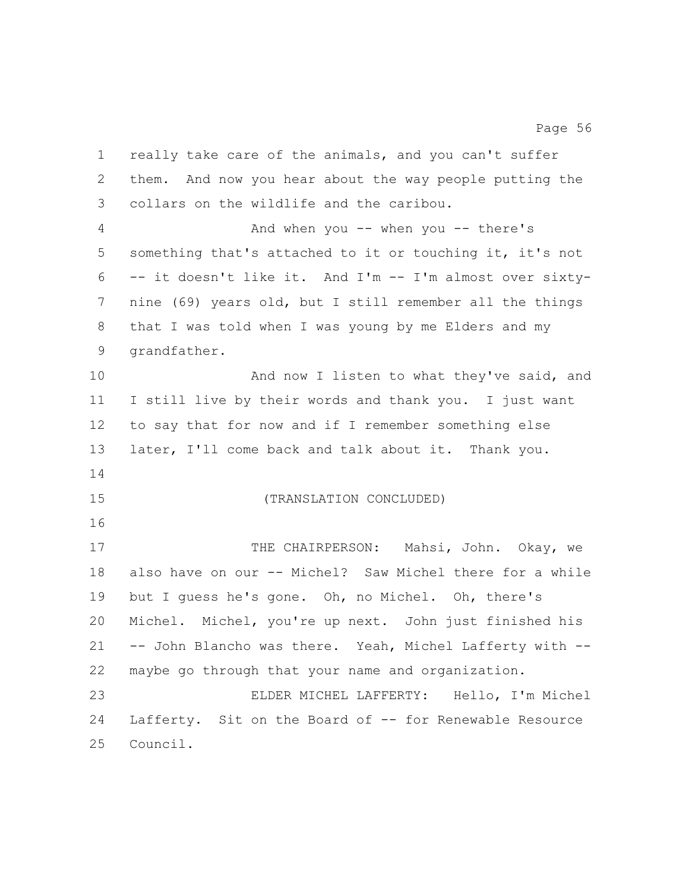really take care of the animals, and you can't suffer them. And now you hear about the way people putting the collars on the wildlife and the caribou. And when you -- when you -- there's something that's attached to it or touching it, it's not -- it doesn't like it. And I'm -- I'm almost over sixty- nine (69) years old, but I still remember all the things that I was told when I was young by me Elders and my grandfather. 10 And now I listen to what they've said, and I still live by their words and thank you. I just want to say that for now and if I remember something else later, I'll come back and talk about it. Thank you. (TRANSLATION CONCLUDED) 17 THE CHAIRPERSON: Mahsi, John. Okay, we also have on our -- Michel? Saw Michel there for a while but I guess he's gone. Oh, no Michel. Oh, there's Michel. Michel, you're up next. John just finished his -- John Blancho was there. Yeah, Michel Lafferty with -- maybe go through that your name and organization. ELDER MICHEL LAFFERTY: Hello, I'm Michel Lafferty. Sit on the Board of -- for Renewable Resource Council.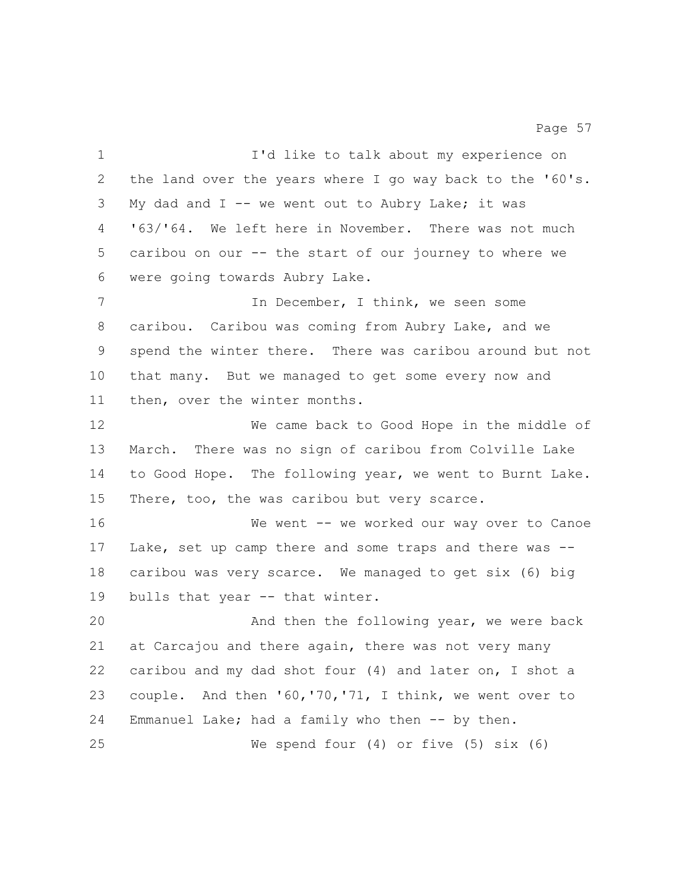| $\mathbf 1$  | I'd like to talk about my experience on                   |
|--------------|-----------------------------------------------------------|
| $\mathbf{2}$ | the land over the years where I go way back to the '60's. |
| 3            | My dad and $I$ -- we went out to Aubry Lake; it was       |
| 4            | '63/'64. We left here in November. There was not much     |
| 5            | caribou on our -- the start of our journey to where we    |
| 6            | were going towards Aubry Lake.                            |
| 7            | In December, I think, we seen some                        |
| 8            | caribou. Caribou was coming from Aubry Lake, and we       |
| 9            | spend the winter there. There was caribou around but not  |
| 10           | that many. But we managed to get some every now and       |
| 11           | then, over the winter months.                             |
| 12           | We came back to Good Hope in the middle of                |
| 13           | March. There was no sign of caribou from Colville Lake    |
| 14           | to Good Hope. The following year, we went to Burnt Lake.  |
| 15           | There, too, the was caribou but very scarce.              |
| 16           | We went -- we worked our way over to Canoe                |
| 17           | Lake, set up camp there and some traps and there was --   |
| 18           | caribou was very scarce. We managed to get six (6) big    |
| 19           | bulls that year -- that winter.                           |
| 20           | And then the following year, we were back                 |
| 21           | at Carcajou and there again, there was not very many      |
| 22           | caribou and my dad shot four (4) and later on, I shot a   |
| 23           | couple. And then '60, '70, '71, I think, we went over to  |
| 24           | Emmanuel Lake; had a family who then -- by then.          |
| 25           | We spend four $(4)$ or five $(5)$ six $(6)$               |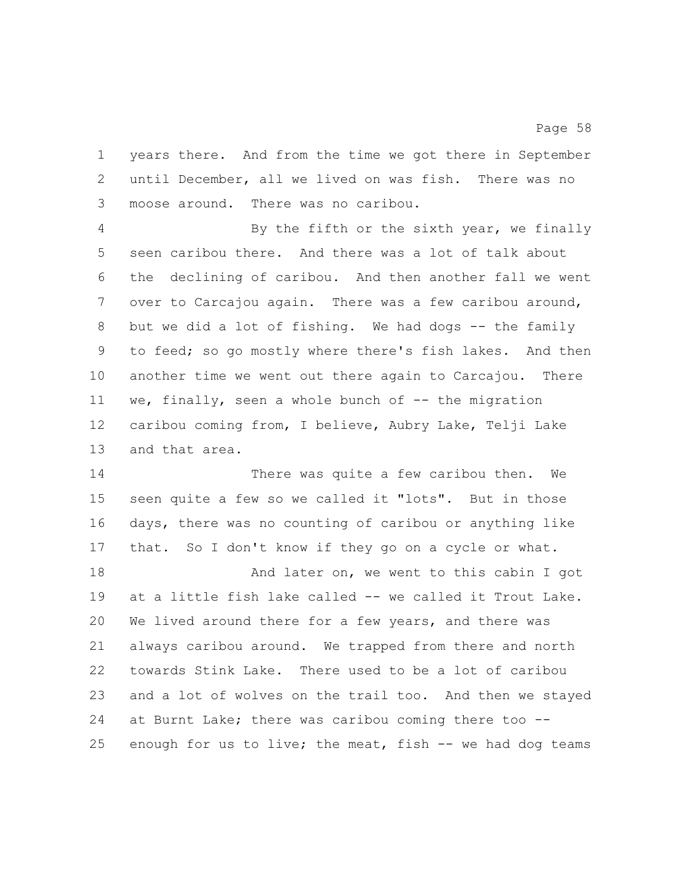years there. And from the time we got there in September until December, all we lived on was fish. There was no moose around. There was no caribou.

 By the fifth or the sixth year, we finally seen caribou there. And there was a lot of talk about the declining of caribou. And then another fall we went over to Carcajou again. There was a few caribou around, but we did a lot of fishing. We had dogs -- the family to feed; so go mostly where there's fish lakes. And then another time we went out there again to Carcajou. There 11 we, finally, seen a whole bunch of -- the migration caribou coming from, I believe, Aubry Lake, Telji Lake and that area.

 There was quite a few caribou then. We seen quite a few so we called it "lots". But in those days, there was no counting of caribou or anything like that. So I don't know if they go on a cycle or what.

18 And later on, we went to this cabin I got at a little fish lake called -- we called it Trout Lake. We lived around there for a few years, and there was always caribou around. We trapped from there and north towards Stink Lake. There used to be a lot of caribou and a lot of wolves on the trail too. And then we stayed at Burnt Lake; there was caribou coming there too -- enough for us to live; the meat, fish -- we had dog teams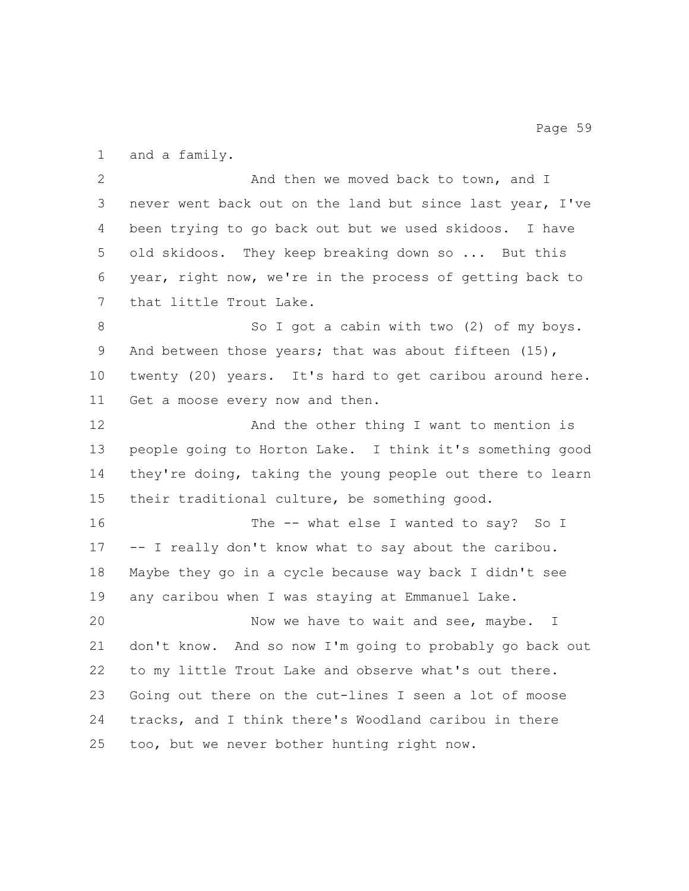and a family.

2 And then we moved back to town, and I never went back out on the land but since last year, I've been trying to go back out but we used skidoos. I have old skidoos. They keep breaking down so ... But this year, right now, we're in the process of getting back to that little Trout Lake.

8 So I got a cabin with two (2) of my boys. 9 And between those years; that was about fifteen (15), twenty (20) years. It's hard to get caribou around here. Get a moose every now and then.

12 And the other thing I want to mention is people going to Horton Lake. I think it's something good they're doing, taking the young people out there to learn their traditional culture, be something good.

16 The -- what else I wanted to say? So I -- I really don't know what to say about the caribou. Maybe they go in a cycle because way back I didn't see any caribou when I was staying at Emmanuel Lake.

 Now we have to wait and see, maybe. I don't know. And so now I'm going to probably go back out to my little Trout Lake and observe what's out there. Going out there on the cut-lines I seen a lot of moose tracks, and I think there's Woodland caribou in there too, but we never bother hunting right now.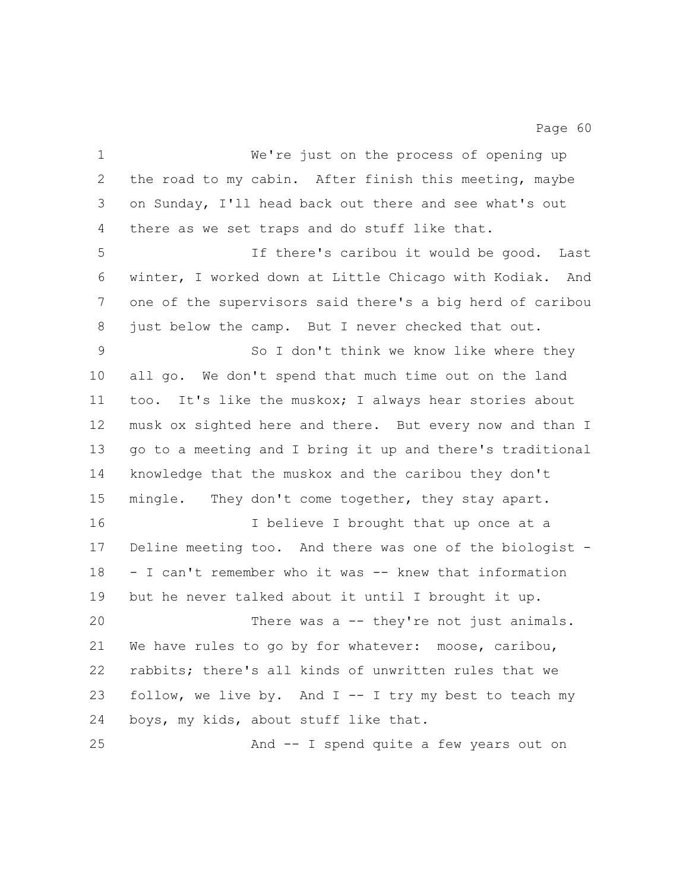We're just on the process of opening up the road to my cabin. After finish this meeting, maybe on Sunday, I'll head back out there and see what's out there as we set traps and do stuff like that. If there's caribou it would be good. Last winter, I worked down at Little Chicago with Kodiak. And one of the supervisors said there's a big herd of caribou just below the camp. But I never checked that out. So I don't think we know like where they all go. We don't spend that much time out on the land too. It's like the muskox; I always hear stories about musk ox sighted here and there. But every now and than I go to a meeting and I bring it up and there's traditional knowledge that the muskox and the caribou they don't mingle. They don't come together, they stay apart. I believe I brought that up once at a Deline meeting too. And there was one of the biologist - - I can't remember who it was -- knew that information but he never talked about it until I brought it up. There was a -- they're not just animals. We have rules to go by for whatever: moose, caribou, rabbits; there's all kinds of unwritten rules that we follow, we live by. And I -- I try my best to teach my boys, my kids, about stuff like that. And -- I spend quite a few years out on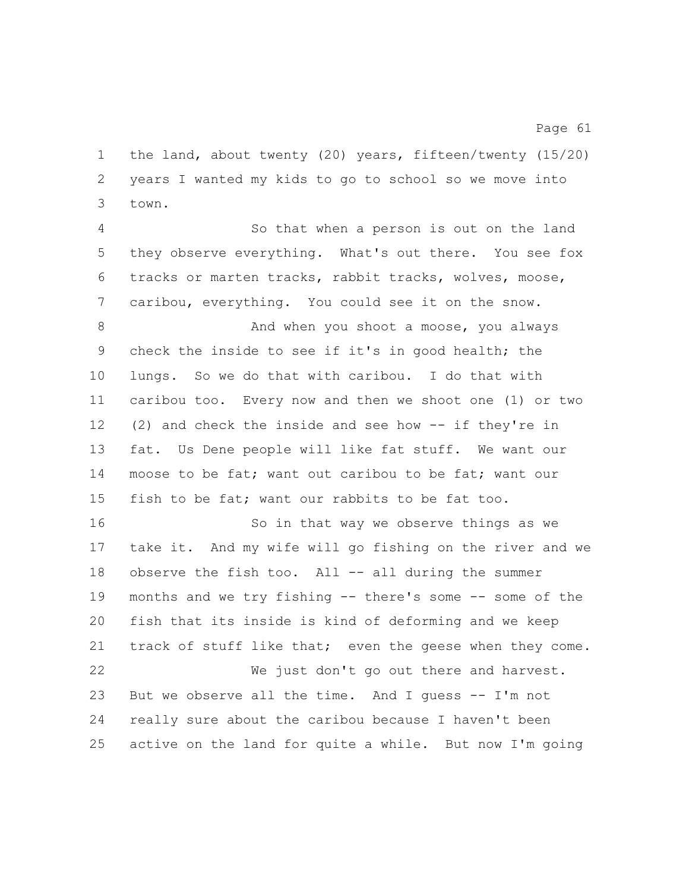the land, about twenty (20) years, fifteen/twenty (15/20) years I wanted my kids to go to school so we move into town.

 So that when a person is out on the land they observe everything. What's out there. You see fox tracks or marten tracks, rabbit tracks, wolves, moose, caribou, everything. You could see it on the snow.

8 And when you shoot a moose, you always check the inside to see if it's in good health; the lungs. So we do that with caribou. I do that with caribou too. Every now and then we shoot one (1) or two (2) and check the inside and see how -- if they're in fat. Us Dene people will like fat stuff. We want our 14 moose to be fat; want out caribou to be fat; want our fish to be fat; want our rabbits to be fat too.

16 So in that way we observe things as we take it. And my wife will go fishing on the river and we observe the fish too. All -- all during the summer months and we try fishing -- there's some -- some of the fish that its inside is kind of deforming and we keep track of stuff like that; even the geese when they come. We just don't go out there and harvest. But we observe all the time. And I guess -- I'm not

active on the land for quite a while. But now I'm going

really sure about the caribou because I haven't been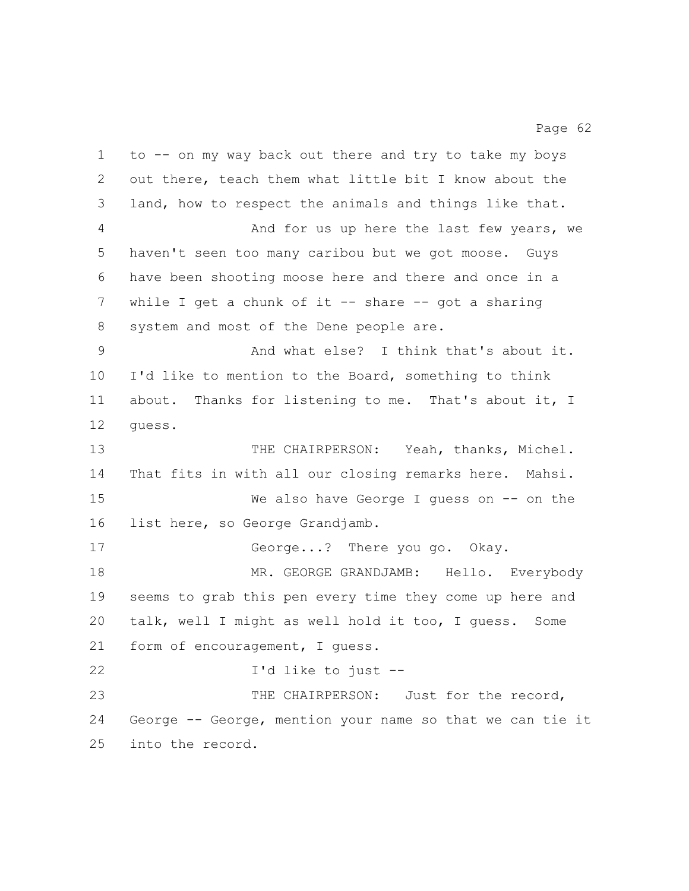to -- on my way back out there and try to take my boys out there, teach them what little bit I know about the land, how to respect the animals and things like that. And for us up here the last few years, we haven't seen too many caribou but we got moose. Guys have been shooting moose here and there and once in a while I get a chunk of it -- share -- got a sharing system and most of the Dene people are. And what else? I think that's about it. I'd like to mention to the Board, something to think about. Thanks for listening to me. That's about it, I guess. THE CHAIRPERSON: Yeah, thanks, Michel. That fits in with all our closing remarks here. Mahsi. We also have George I guess on -- on the list here, so George Grandjamb. George...? There you go. Okay. MR. GEORGE GRANDJAMB: Hello. Everybody seems to grab this pen every time they come up here and talk, well I might as well hold it too, I guess. Some form of encouragement, I guess. I'd like to just -- 23 THE CHAIRPERSON: Just for the record, George -- George, mention your name so that we can tie it into the record.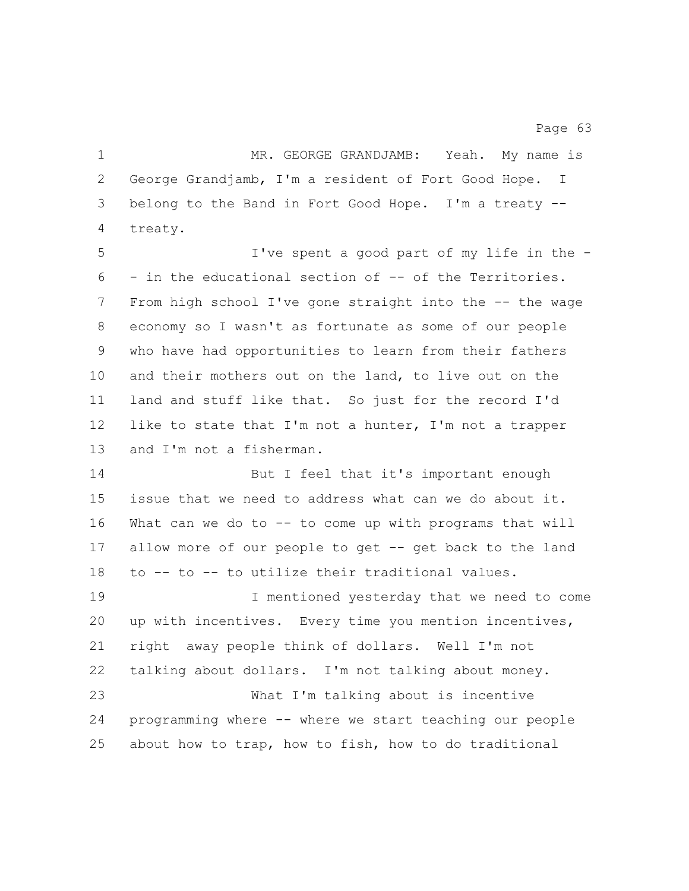1 MR. GEORGE GRANDJAMB: Yeah. My name is George Grandjamb, I'm a resident of Fort Good Hope. I belong to the Band in Fort Good Hope. I'm a treaty -- treaty. I've spent a good part of my life in the - - in the educational section of -- of the Territories. From high school I've gone straight into the -- the wage economy so I wasn't as fortunate as some of our people who have had opportunities to learn from their fathers and their mothers out on the land, to live out on the land and stuff like that. So just for the record I'd like to state that I'm not a hunter, I'm not a trapper and I'm not a fisherman. 14 But I feel that it's important enough issue that we need to address what can we do about it. What can we do to -- to come up with programs that will allow more of our people to get -- get back to the land to -- to -- to utilize their traditional values. I mentioned yesterday that we need to come up with incentives. Every time you mention incentives, right away people think of dollars. Well I'm not talking about dollars. I'm not talking about money. What I'm talking about is incentive programming where -- where we start teaching our people about how to trap, how to fish, how to do traditional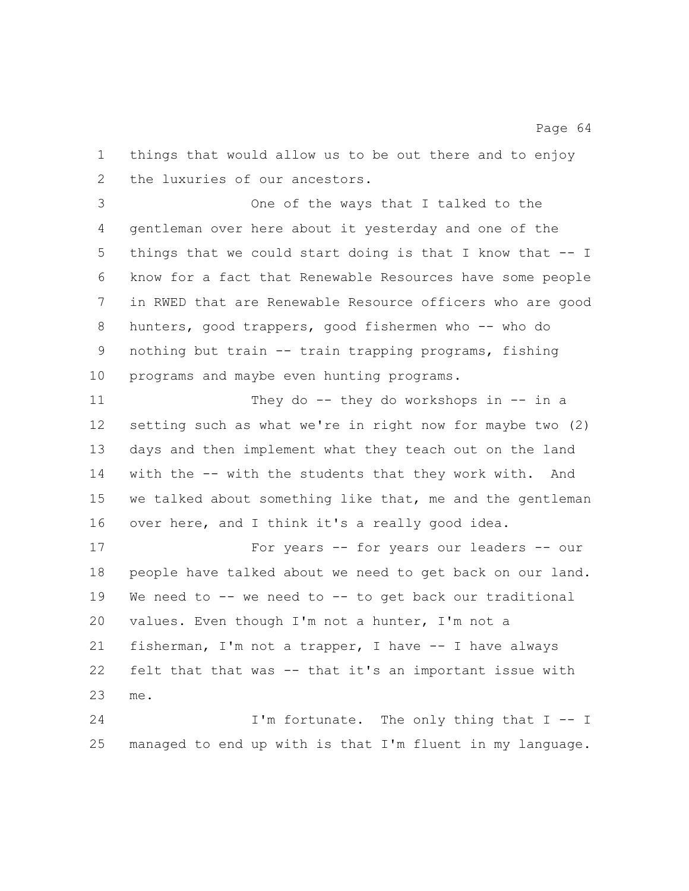things that would allow us to be out there and to enjoy the luxuries of our ancestors.

 One of the ways that I talked to the gentleman over here about it yesterday and one of the things that we could start doing is that I know that -- I know for a fact that Renewable Resources have some people in RWED that are Renewable Resource officers who are good hunters, good trappers, good fishermen who -- who do nothing but train -- train trapping programs, fishing programs and maybe even hunting programs.

11 They do -- they do workshops in -- in a setting such as what we're in right now for maybe two (2) days and then implement what they teach out on the land with the -- with the students that they work with. And we talked about something like that, me and the gentleman over here, and I think it's a really good idea.

 For years -- for years our leaders -- our people have talked about we need to get back on our land. We need to -- we need to -- to get back our traditional values. Even though I'm not a hunter, I'm not a fisherman, I'm not a trapper, I have -- I have always felt that that was -- that it's an important issue with me.

24 I'm fortunate. The only thing that I -- I managed to end up with is that I'm fluent in my language.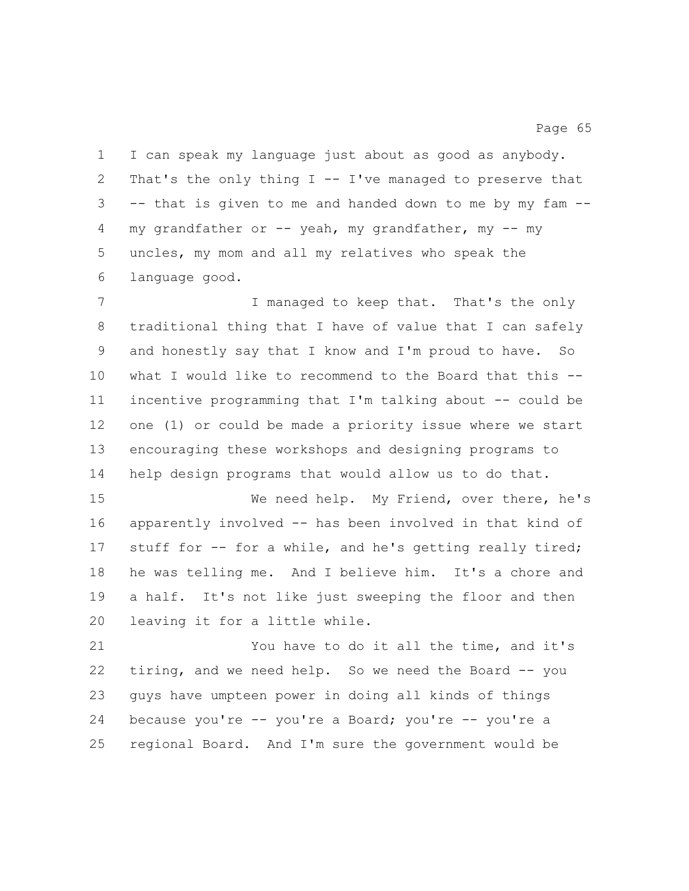I can speak my language just about as good as anybody. 2 That's the only thing  $I - - I'$  ve managed to preserve that -- that is given to me and handed down to me by my fam -- my grandfather or -- yeah, my grandfather, my -- my uncles, my mom and all my relatives who speak the language good.

7 I managed to keep that. That's the only traditional thing that I have of value that I can safely and honestly say that I know and I'm proud to have. So what I would like to recommend to the Board that this -- incentive programming that I'm talking about -- could be one (1) or could be made a priority issue where we start encouraging these workshops and designing programs to help design programs that would allow us to do that.

 We need help. My Friend, over there, he's apparently involved -- has been involved in that kind of stuff for -- for a while, and he's getting really tired; he was telling me. And I believe him. It's a chore and a half. It's not like just sweeping the floor and then leaving it for a little while.

 You have to do it all the time, and it's tiring, and we need help. So we need the Board -- you guys have umpteen power in doing all kinds of things because you're -- you're a Board; you're -- you're a regional Board. And I'm sure the government would be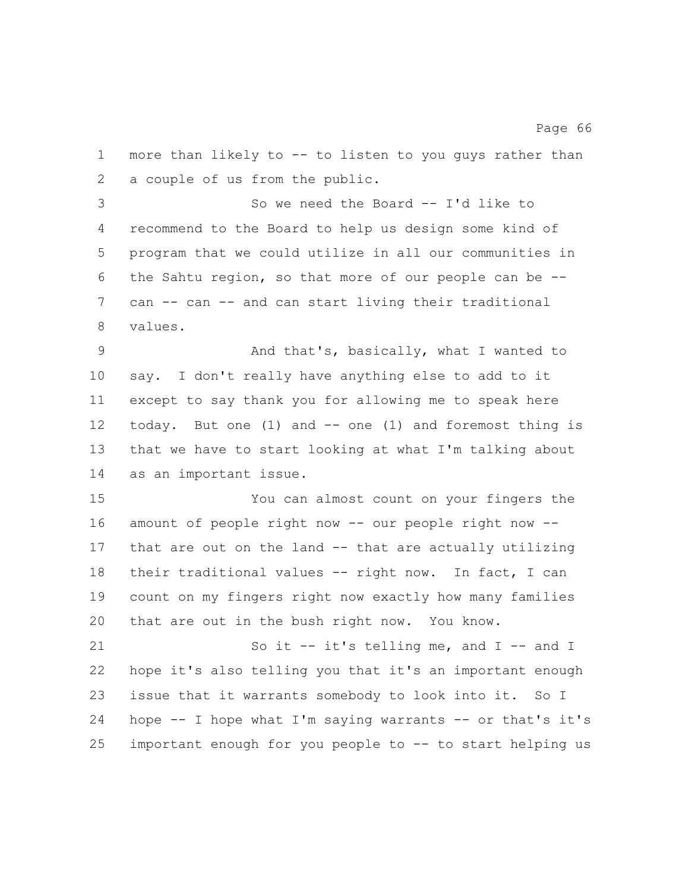more than likely to -- to listen to you guys rather than a couple of us from the public.

 So we need the Board -- I'd like to recommend to the Board to help us design some kind of program that we could utilize in all our communities in the Sahtu region, so that more of our people can be -- can -- can -- and can start living their traditional values.

 And that's, basically, what I wanted to say. I don't really have anything else to add to it except to say thank you for allowing me to speak here today. But one (1) and -- one (1) and foremost thing is that we have to start looking at what I'm talking about as an important issue.

 You can almost count on your fingers the amount of people right now -- our people right now -- that are out on the land -- that are actually utilizing their traditional values -- right now. In fact, I can count on my fingers right now exactly how many families that are out in the bush right now. You know.

21 So it -- it's telling me, and I -- and I hope it's also telling you that it's an important enough issue that it warrants somebody to look into it. So I hope -- I hope what I'm saying warrants -- or that's it's important enough for you people to -- to start helping us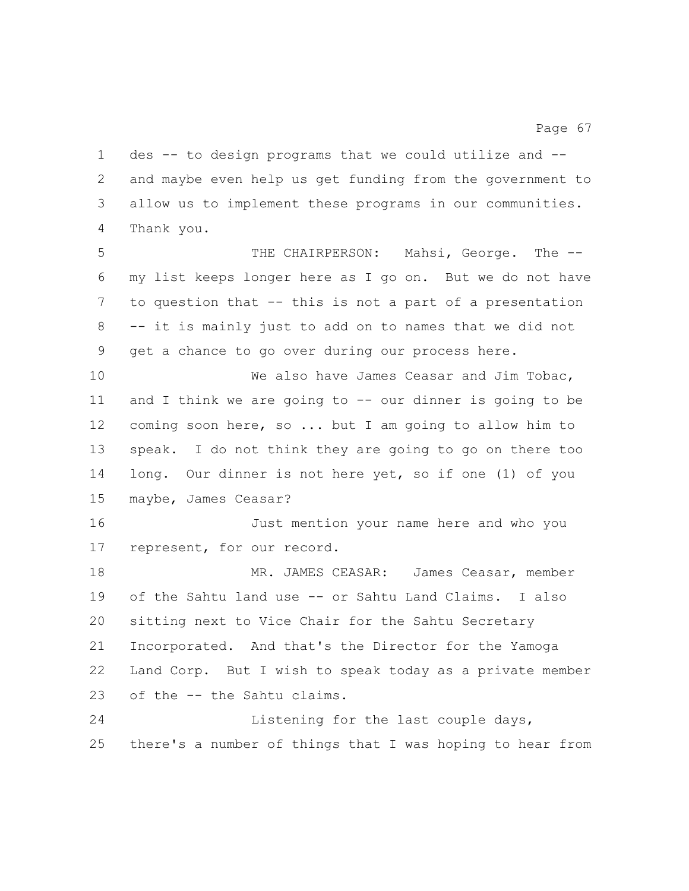and maybe even help us get funding from the government to allow us to implement these programs in our communities. Thank you. THE CHAIRPERSON: Mahsi, George. The -- my list keeps longer here as I go on. But we do not have to question that -- this is not a part of a presentation -- it is mainly just to add on to names that we did not get a chance to go over during our process here. 10 We also have James Ceasar and Jim Tobac, and I think we are going to -- our dinner is going to be coming soon here, so ... but I am going to allow him to speak. I do not think they are going to go on there too long. Our dinner is not here yet, so if one (1) of you maybe, James Ceasar? Just mention your name here and who you represent, for our record. MR. JAMES CEASAR: James Ceasar, member of the Sahtu land use -- or Sahtu Land Claims. I also sitting next to Vice Chair for the Sahtu Secretary Incorporated. And that's the Director for the Yamoga Land Corp. But I wish to speak today as a private member of the -- the Sahtu claims. 24 Listening for the last couple days, there's a number of things that I was hoping to hear from

des -- to design programs that we could utilize and --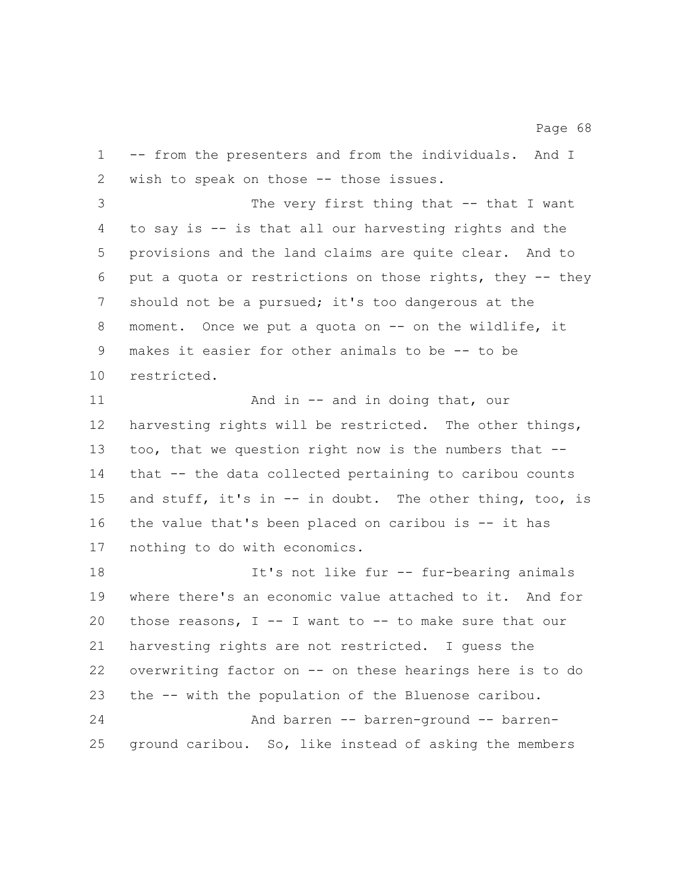-- from the presenters and from the individuals. And I wish to speak on those -- those issues.

 The very first thing that -- that I want to say is -- is that all our harvesting rights and the provisions and the land claims are quite clear. And to put a quota or restrictions on those rights, they -- they should not be a pursued; it's too dangerous at the moment. Once we put a quota on -- on the wildlife, it makes it easier for other animals to be -- to be restricted.

11 And in -- and in doing that, our harvesting rights will be restricted. The other things, too, that we question right now is the numbers that -- that -- the data collected pertaining to caribou counts 15 and stuff, it's in -- in doubt. The other thing, too, is the value that's been placed on caribou is -- it has nothing to do with economics.

 It's not like fur -- fur-bearing animals where there's an economic value attached to it. And for those reasons, I -- I want to -- to make sure that our harvesting rights are not restricted. I guess the overwriting factor on -- on these hearings here is to do the -- with the population of the Bluenose caribou. And barren -- barren-ground -- barren-ground caribou. So, like instead of asking the members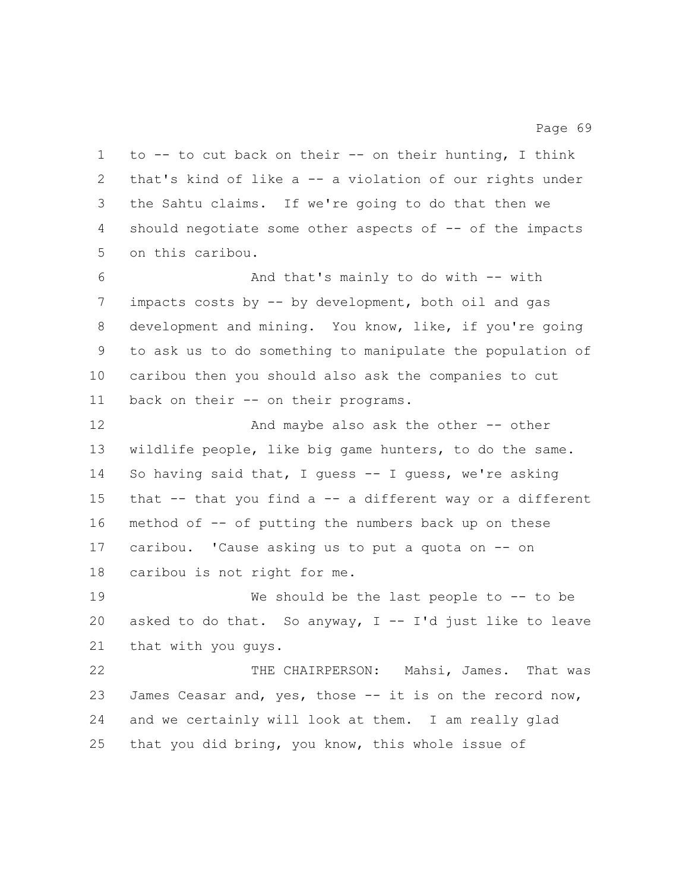to -- to cut back on their -- on their hunting, I think that's kind of like a -- a violation of our rights under the Sahtu claims. If we're going to do that then we should negotiate some other aspects of -- of the impacts on this caribou.

 And that's mainly to do with -- with impacts costs by -- by development, both oil and gas development and mining. You know, like, if you're going to ask us to do something to manipulate the population of caribou then you should also ask the companies to cut back on their -- on their programs.

 And maybe also ask the other -- other wildlife people, like big game hunters, to do the same. So having said that, I guess -- I guess, we're asking that -- that you find a -- a different way or a different method of -- of putting the numbers back up on these caribou. 'Cause asking us to put a quota on -- on caribou is not right for me.

 We should be the last people to -- to be 20 asked to do that. So anyway,  $I - I'd$  just like to leave that with you guys.

 THE CHAIRPERSON: Mahsi, James. That was James Ceasar and, yes, those -- it is on the record now, and we certainly will look at them. I am really glad that you did bring, you know, this whole issue of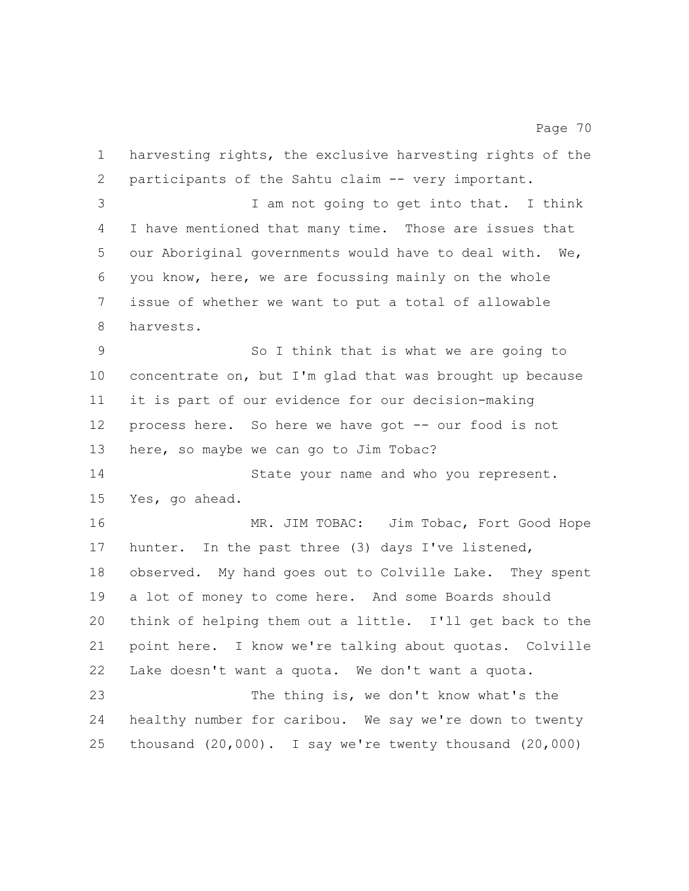harvesting rights, the exclusive harvesting rights of the participants of the Sahtu claim -- very important. I am not going to get into that. I think I have mentioned that many time. Those are issues that our Aboriginal governments would have to deal with. We, you know, here, we are focussing mainly on the whole issue of whether we want to put a total of allowable harvests. So I think that is what we are going to concentrate on, but I'm glad that was brought up because it is part of our evidence for our decision-making 12 process here. So here we have got -- our food is not here, so maybe we can go to Jim Tobac? 14 State your name and who you represent. Yes, go ahead. MR. JIM TOBAC: Jim Tobac, Fort Good Hope hunter. In the past three (3) days I've listened, observed. My hand goes out to Colville Lake. They spent a lot of money to come here. And some Boards should think of helping them out a little. I'll get back to the point here. I know we're talking about quotas. Colville Lake doesn't want a quota. We don't want a quota. The thing is, we don't know what's the healthy number for caribou. We say we're down to twenty thousand (20,000). I say we're twenty thousand (20,000)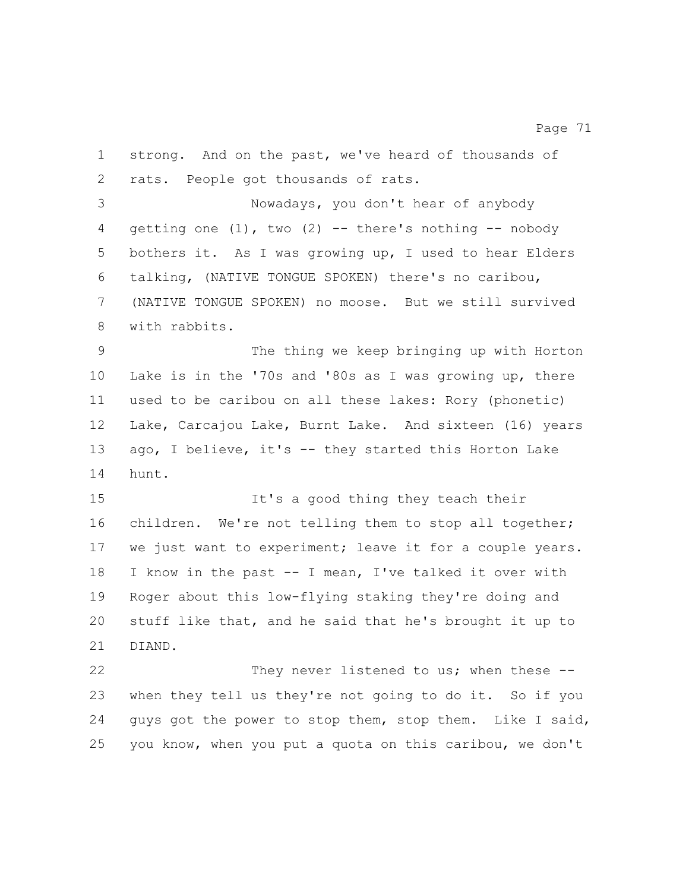strong. And on the past, we've heard of thousands of rats. People got thousands of rats.

 Nowadays, you don't hear of anybody 4 qetting one  $(1)$ , two  $(2)$  -- there's nothing -- nobody bothers it. As I was growing up, I used to hear Elders talking, (NATIVE TONGUE SPOKEN) there's no caribou, (NATIVE TONGUE SPOKEN) no moose. But we still survived with rabbits.

 The thing we keep bringing up with Horton Lake is in the '70s and '80s as I was growing up, there used to be caribou on all these lakes: Rory (phonetic) Lake, Carcajou Lake, Burnt Lake. And sixteen (16) years ago, I believe, it's -- they started this Horton Lake hunt.

 It's a good thing they teach their children. We're not telling them to stop all together; we just want to experiment; leave it for a couple years. I know in the past -- I mean, I've talked it over with Roger about this low-flying staking they're doing and stuff like that, and he said that he's brought it up to DIAND.

 They never listened to us; when these -- when they tell us they're not going to do it. So if you guys got the power to stop them, stop them. Like I said, you know, when you put a quota on this caribou, we don't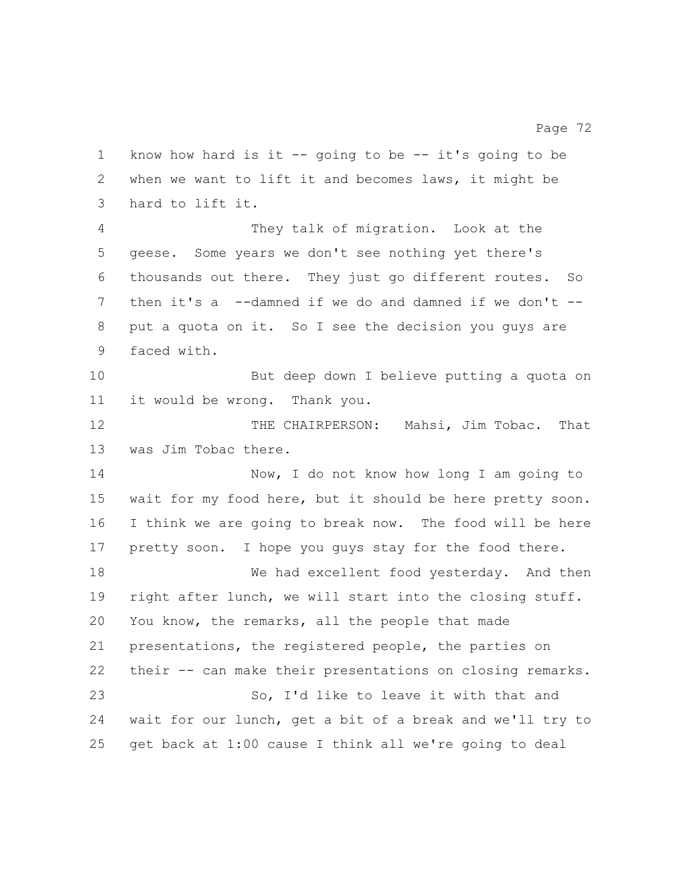know how hard is it -- going to be -- it's going to be when we want to lift it and becomes laws, it might be hard to lift it. They talk of migration. Look at the geese. Some years we don't see nothing yet there's thousands out there. They just go different routes. So then it's a --damned if we do and damned if we don't -- put a quota on it. So I see the decision you guys are faced with. But deep down I believe putting a quota on it would be wrong. Thank you. THE CHAIRPERSON: Mahsi, Jim Tobac. That was Jim Tobac there. Now, I do not know how long I am going to wait for my food here, but it should be here pretty soon. I think we are going to break now. The food will be here pretty soon. I hope you guys stay for the food there. We had excellent food yesterday. And then right after lunch, we will start into the closing stuff. You know, the remarks, all the people that made presentations, the registered people, the parties on their -- can make their presentations on closing remarks. So, I'd like to leave it with that and wait for our lunch, get a bit of a break and we'll try to get back at 1:00 cause I think all we're going to deal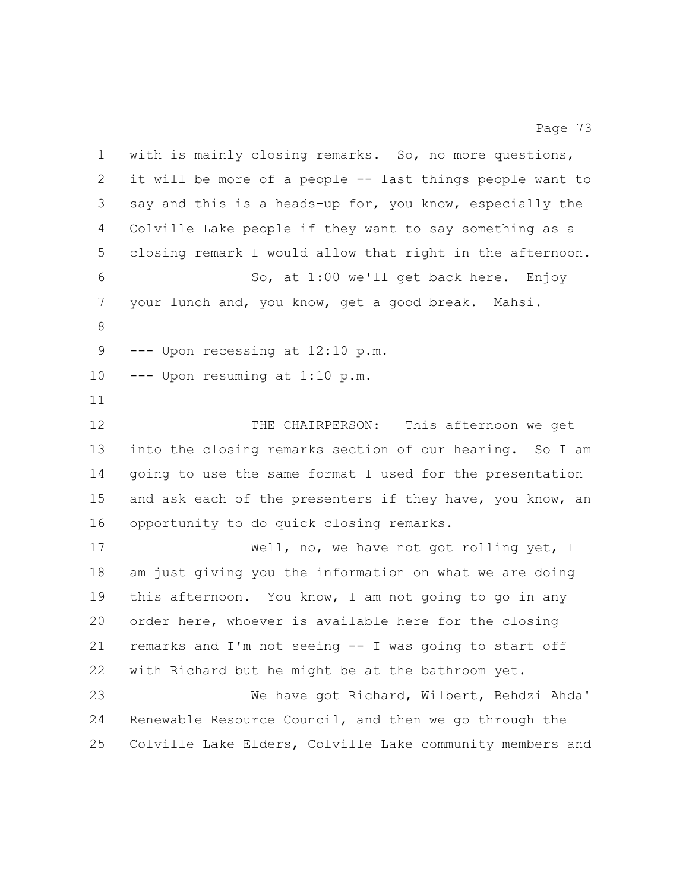with is mainly closing remarks. So, no more questions, it will be more of a people -- last things people want to say and this is a heads-up for, you know, especially the Colville Lake people if they want to say something as a closing remark I would allow that right in the afternoon. So, at 1:00 we'll get back here. Enjoy your lunch and, you know, get a good break. Mahsi. 9 --- Upon recessing at 12:10 p.m. --- Upon resuming at 1:10 p.m. THE CHAIRPERSON: This afternoon we get into the closing remarks section of our hearing. So I am going to use the same format I used for the presentation 15 and ask each of the presenters if they have, you know, an opportunity to do quick closing remarks. 17 Well, no, we have not got rolling yet, I am just giving you the information on what we are doing this afternoon. You know, I am not going to go in any order here, whoever is available here for the closing remarks and I'm not seeing -- I was going to start off with Richard but he might be at the bathroom yet. We have got Richard, Wilbert, Behdzi Ahda' Renewable Resource Council, and then we go through the Colville Lake Elders, Colville Lake community members and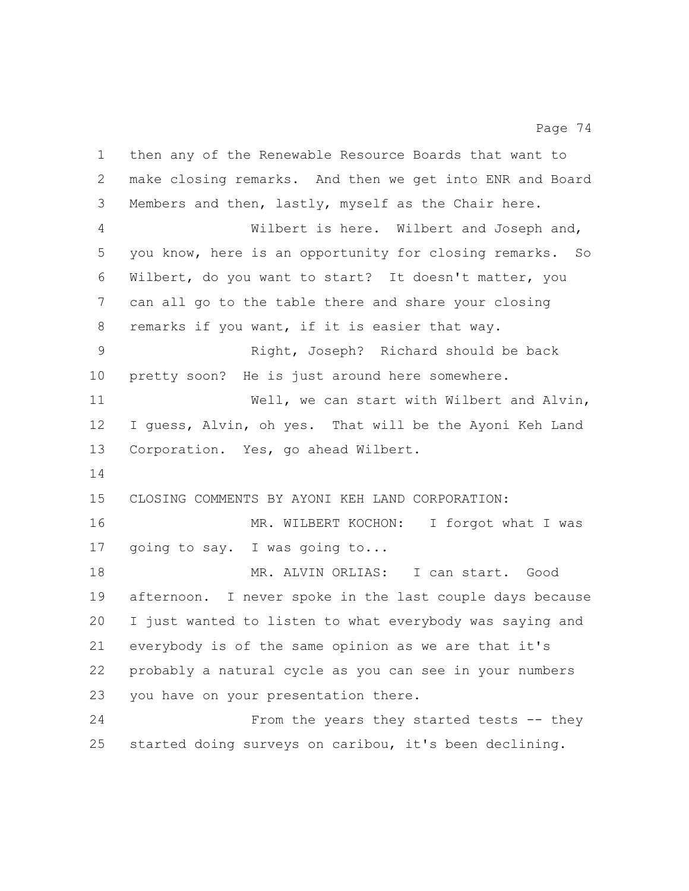then any of the Renewable Resource Boards that want to make closing remarks. And then we get into ENR and Board Members and then, lastly, myself as the Chair here. Wilbert is here. Wilbert and Joseph and, you know, here is an opportunity for closing remarks. So Wilbert, do you want to start? It doesn't matter, you can all go to the table there and share your closing remarks if you want, if it is easier that way. Right, Joseph? Richard should be back pretty soon? He is just around here somewhere. 11 Well, we can start with Wilbert and Alvin, I guess, Alvin, oh yes. That will be the Ayoni Keh Land Corporation. Yes, go ahead Wilbert. CLOSING COMMENTS BY AYONI KEH LAND CORPORATION: 16 MR. WILBERT KOCHON: I forgot what I was going to say. I was going to... MR. ALVIN ORLIAS: I can start. Good afternoon. I never spoke in the last couple days because I just wanted to listen to what everybody was saying and everybody is of the same opinion as we are that it's probably a natural cycle as you can see in your numbers you have on your presentation there. From the years they started tests -- they started doing surveys on caribou, it's been declining.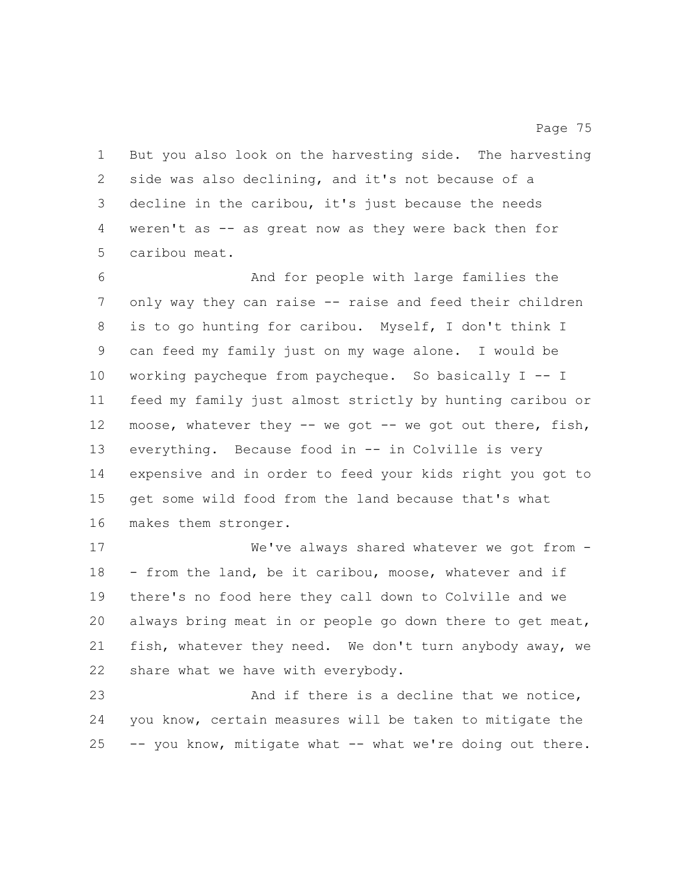But you also look on the harvesting side. The harvesting side was also declining, and it's not because of a decline in the caribou, it's just because the needs weren't as -- as great now as they were back then for caribou meat.

 And for people with large families the only way they can raise -- raise and feed their children is to go hunting for caribou. Myself, I don't think I can feed my family just on my wage alone. I would be working paycheque from paycheque. So basically I -- I feed my family just almost strictly by hunting caribou or moose, whatever they -- we got -- we got out there, fish, everything. Because food in -- in Colville is very expensive and in order to feed your kids right you got to get some wild food from the land because that's what makes them stronger.

 We've always shared whatever we got from - - from the land, be it caribou, moose, whatever and if there's no food here they call down to Colville and we always bring meat in or people go down there to get meat, fish, whatever they need. We don't turn anybody away, we share what we have with everybody.

 And if there is a decline that we notice, you know, certain measures will be taken to mitigate the -- you know, mitigate what -- what we're doing out there.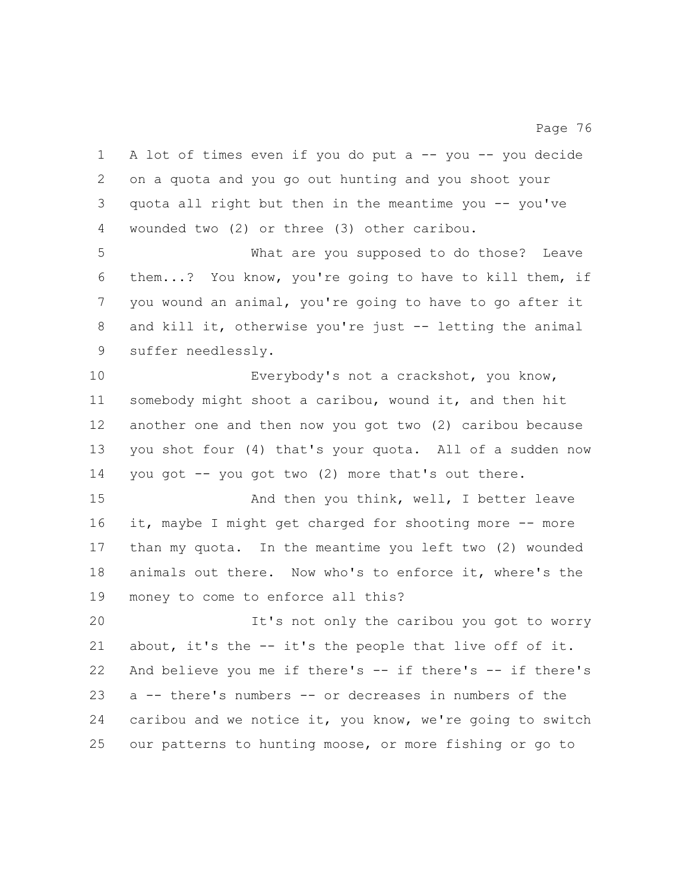A lot of times even if you do put a -- you -- you decide on a quota and you go out hunting and you shoot your quota all right but then in the meantime you -- you've wounded two (2) or three (3) other caribou. What are you supposed to do those? Leave them...? You know, you're going to have to kill them, if you wound an animal, you're going to have to go after it and kill it, otherwise you're just -- letting the animal suffer needlessly. Everybody's not a crackshot, you know, somebody might shoot a caribou, wound it, and then hit another one and then now you got two (2) caribou because you shot four (4) that's your quota. All of a sudden now you got -- you got two (2) more that's out there. And then you think, well, I better leave 16 it, maybe I might get charged for shooting more -- more than my quota. In the meantime you left two (2) wounded animals out there. Now who's to enforce it, where's the money to come to enforce all this? It's not only the caribou you got to worry about, it's the -- it's the people that live off of it. And believe you me if there's -- if there's -- if there's a -- there's numbers -- or decreases in numbers of the caribou and we notice it, you know, we're going to switch our patterns to hunting moose, or more fishing or go to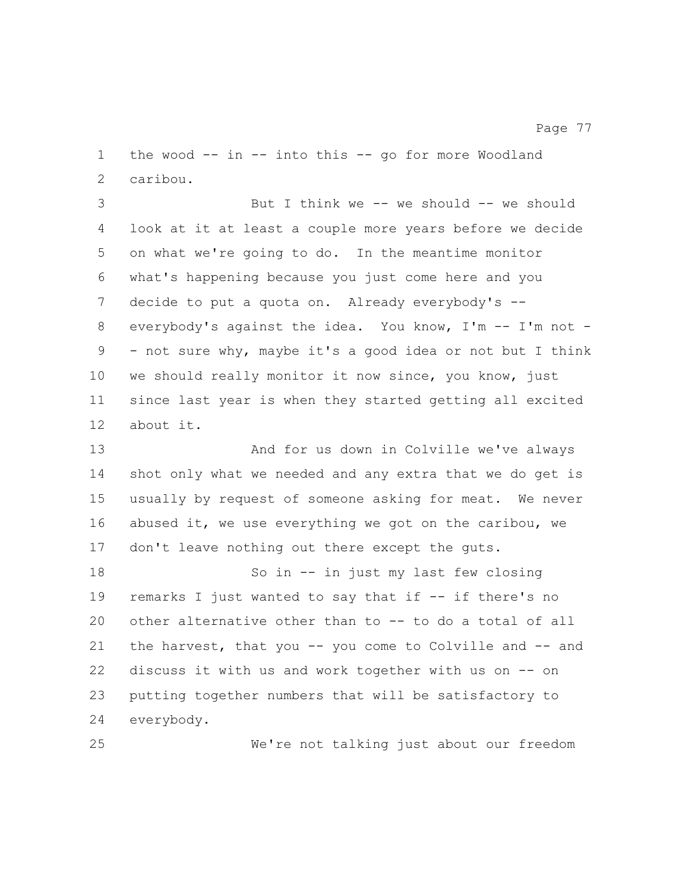the wood -- in -- into this -- go for more Woodland caribou.

 But I think we -- we should -- we should look at it at least a couple more years before we decide on what we're going to do. In the meantime monitor what's happening because you just come here and you decide to put a quota on. Already everybody's -- everybody's against the idea. You know, I'm -- I'm not - - not sure why, maybe it's a good idea or not but I think we should really monitor it now since, you know, just since last year is when they started getting all excited about it.

 And for us down in Colville we've always shot only what we needed and any extra that we do get is usually by request of someone asking for meat. We never abused it, we use everything we got on the caribou, we 17 don't leave nothing out there except the guts.

 So in -- in just my last few closing 19 remarks I just wanted to say that if -- if there's no other alternative other than to -- to do a total of all the harvest, that you -- you come to Colville and -- and discuss it with us and work together with us on -- on putting together numbers that will be satisfactory to everybody.

We're not talking just about our freedom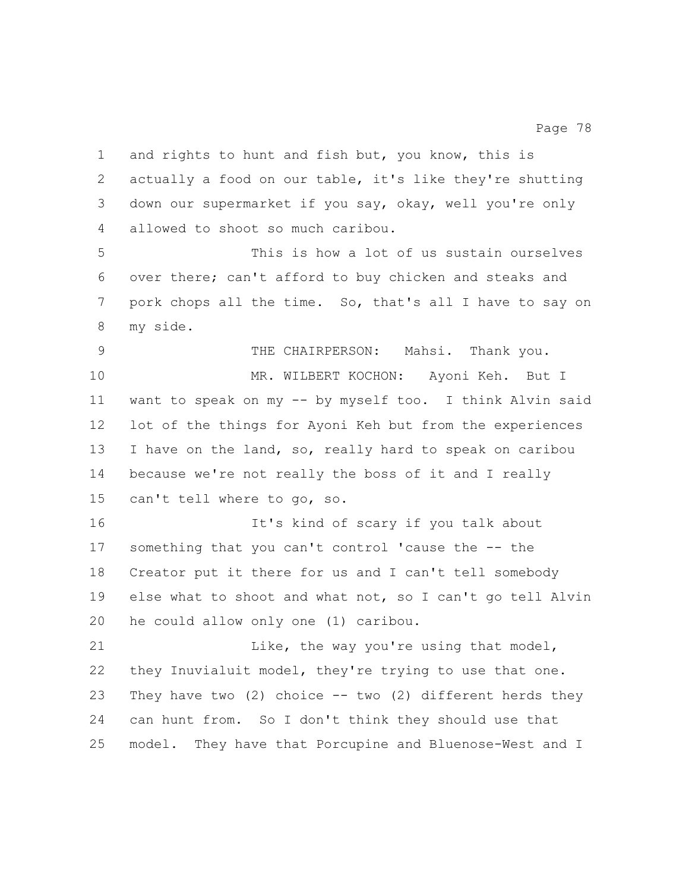and rights to hunt and fish but, you know, this is actually a food on our table, it's like they're shutting down our supermarket if you say, okay, well you're only allowed to shoot so much caribou. This is how a lot of us sustain ourselves over there; can't afford to buy chicken and steaks and pork chops all the time. So, that's all I have to say on my side. THE CHAIRPERSON: Mahsi. Thank you. MR. WILBERT KOCHON: Ayoni Keh. But I want to speak on my -- by myself too. I think Alvin said lot of the things for Ayoni Keh but from the experiences I have on the land, so, really hard to speak on caribou because we're not really the boss of it and I really can't tell where to go, so. It's kind of scary if you talk about something that you can't control 'cause the -- the Creator put it there for us and I can't tell somebody else what to shoot and what not, so I can't go tell Alvin he could allow only one (1) caribou. Like, the way you're using that model, they Inuvialuit model, they're trying to use that one. They have two (2) choice -- two (2) different herds they can hunt from. So I don't think they should use that model. They have that Porcupine and Bluenose-West and I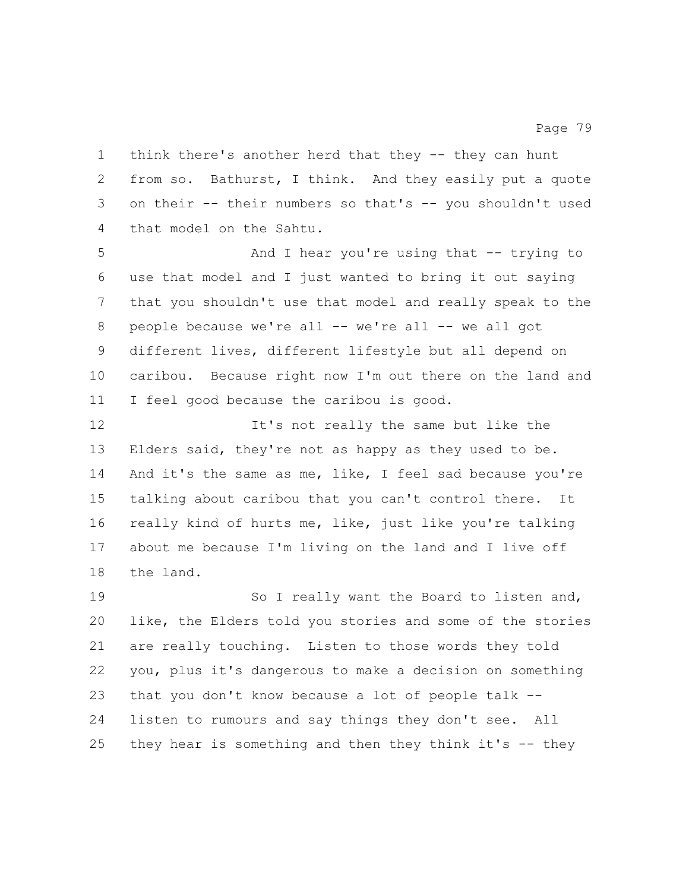think there's another herd that they -- they can hunt from so. Bathurst, I think. And they easily put a quote on their -- their numbers so that's -- you shouldn't used that model on the Sahtu.

 And I hear you're using that -- trying to use that model and I just wanted to bring it out saying that you shouldn't use that model and really speak to the 8 people because we're all -- we're all -- we all got different lives, different lifestyle but all depend on caribou. Because right now I'm out there on the land and I feel good because the caribou is good.

12 12 It's not really the same but like the Elders said, they're not as happy as they used to be. And it's the same as me, like, I feel sad because you're talking about caribou that you can't control there. It really kind of hurts me, like, just like you're talking about me because I'm living on the land and I live off the land.

19 So I really want the Board to listen and, like, the Elders told you stories and some of the stories are really touching. Listen to those words they told you, plus it's dangerous to make a decision on something that you don't know because a lot of people talk -- listen to rumours and say things they don't see. All they hear is something and then they think it's -- they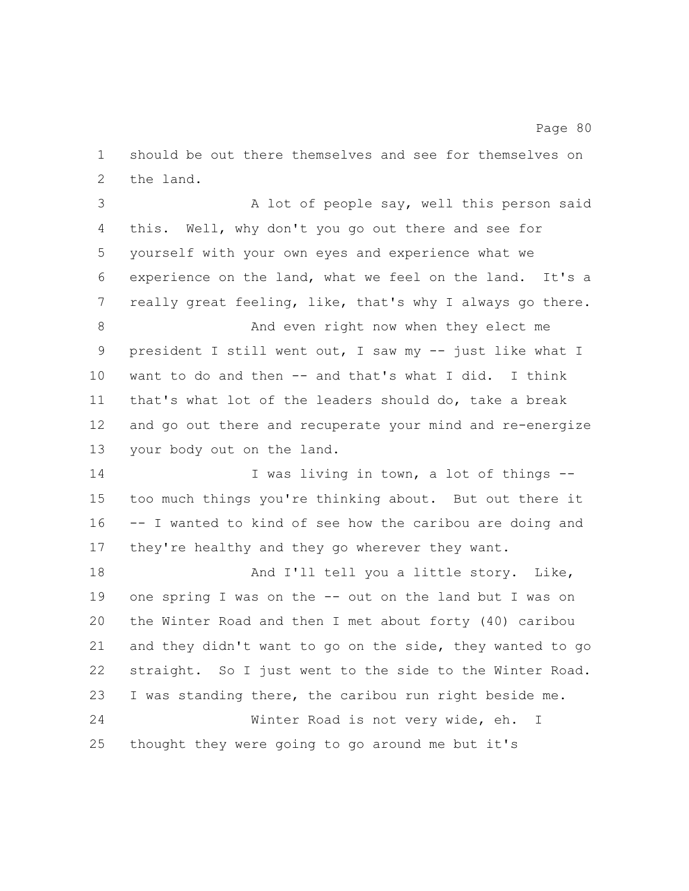should be out there themselves and see for themselves on the land.

3 A lot of people say, well this person said this. Well, why don't you go out there and see for yourself with your own eyes and experience what we experience on the land, what we feel on the land. It's a really great feeling, like, that's why I always go there. And even right now when they elect me president I still went out, I saw my -- just like what I want to do and then -- and that's what I did. I think that's what lot of the leaders should do, take a break and go out there and recuperate your mind and re-energize your body out on the land. 14 I was living in town, a lot of things -- too much things you're thinking about. But out there it -- I wanted to kind of see how the caribou are doing and 17 they're healthy and they go wherever they want. 18 And I'll tell you a little story. Like, one spring I was on the -- out on the land but I was on the Winter Road and then I met about forty (40) caribou and they didn't want to go on the side, they wanted to go

 straight. So I just went to the side to the Winter Road. I was standing there, the caribou run right beside me.

 Winter Road is not very wide, eh. I thought they were going to go around me but it's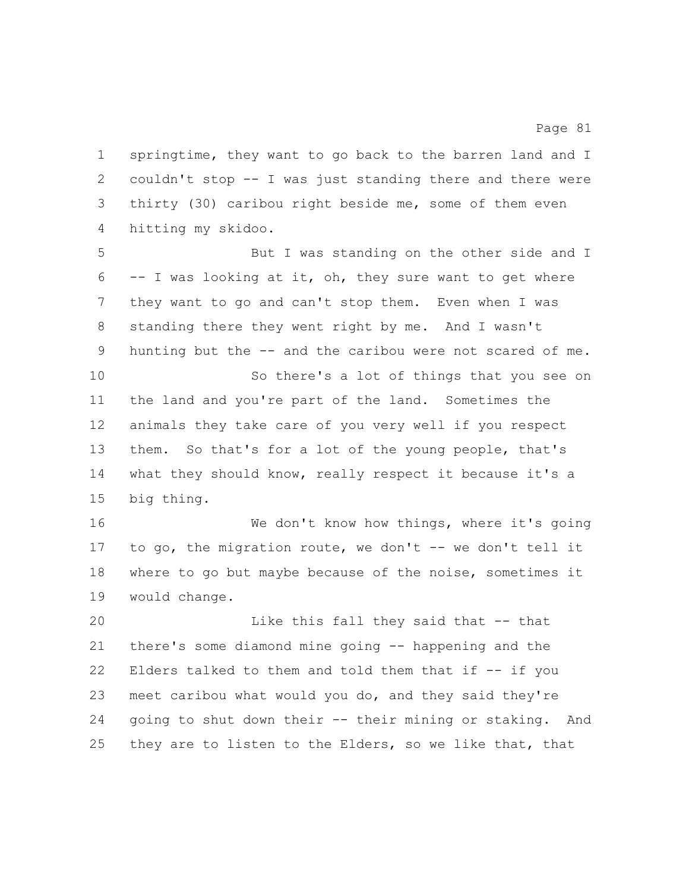springtime, they want to go back to the barren land and I couldn't stop -- I was just standing there and there were thirty (30) caribou right beside me, some of them even hitting my skidoo.

 But I was standing on the other side and I -- I was looking at it, oh, they sure want to get where they want to go and can't stop them. Even when I was standing there they went right by me. And I wasn't hunting but the -- and the caribou were not scared of me. So there's a lot of things that you see on the land and you're part of the land. Sometimes the animals they take care of you very well if you respect them. So that's for a lot of the young people, that's what they should know, really respect it because it's a big thing.

 We don't know how things, where it's going to go, the migration route, we don't -- we don't tell it where to go but maybe because of the noise, sometimes it would change.

 Like this fall they said that -- that there's some diamond mine going -- happening and the Elders talked to them and told them that if -- if you meet caribou what would you do, and they said they're going to shut down their -- their mining or staking. And they are to listen to the Elders, so we like that, that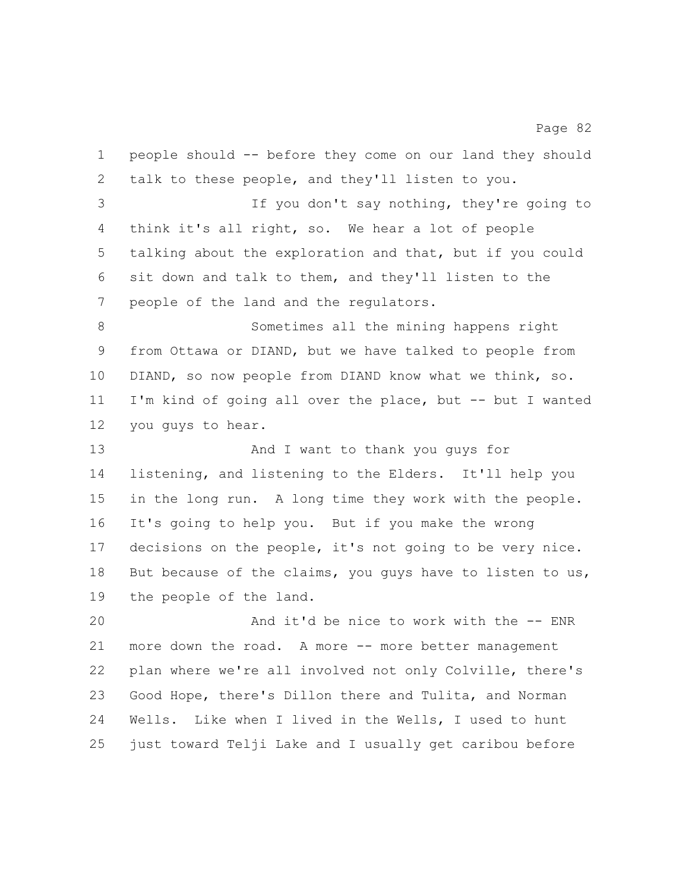people should -- before they come on our land they should talk to these people, and they'll listen to you. If you don't say nothing, they're going to think it's all right, so. We hear a lot of people talking about the exploration and that, but if you could sit down and talk to them, and they'll listen to the people of the land and the regulators. Sometimes all the mining happens right from Ottawa or DIAND, but we have talked to people from DIAND, so now people from DIAND know what we think, so. I'm kind of going all over the place, but -- but I wanted you guys to hear. And I want to thank you guys for listening, and listening to the Elders. It'll help you in the long run. A long time they work with the people. It's going to help you. But if you make the wrong decisions on the people, it's not going to be very nice. 18 But because of the claims, you guys have to listen to us, the people of the land. And it'd be nice to work with the -- ENR

Page 82

21 more down the road. A more -- more better management plan where we're all involved not only Colville, there's Good Hope, there's Dillon there and Tulita, and Norman Wells. Like when I lived in the Wells, I used to hunt just toward Telji Lake and I usually get caribou before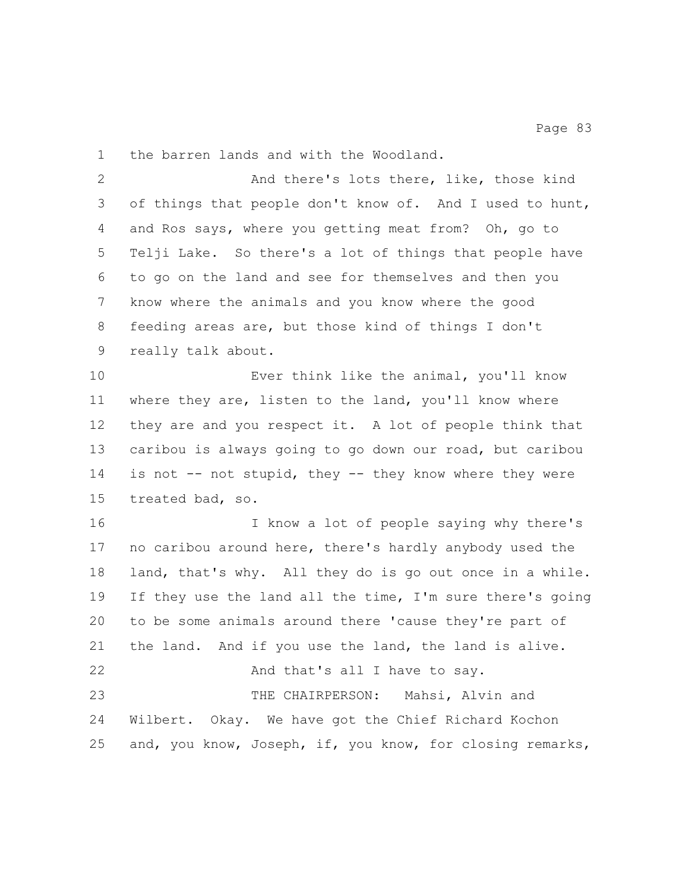the barren lands and with the Woodland.

 And there's lots there, like, those kind of things that people don't know of. And I used to hunt, and Ros says, where you getting meat from? Oh, go to Telji Lake. So there's a lot of things that people have to go on the land and see for themselves and then you know where the animals and you know where the good feeding areas are, but those kind of things I don't really talk about.

 Ever think like the animal, you'll know where they are, listen to the land, you'll know where they are and you respect it. A lot of people think that caribou is always going to go down our road, but caribou 14 is not -- not stupid, they -- they know where they were treated bad, so.

 I know a lot of people saying why there's no caribou around here, there's hardly anybody used the land, that's why. All they do is go out once in a while. If they use the land all the time, I'm sure there's going to be some animals around there 'cause they're part of the land. And if you use the land, the land is alive. 22 And that's all I have to say. THE CHAIRPERSON: Mahsi, Alvin and Wilbert. Okay. We have got the Chief Richard Kochon and, you know, Joseph, if, you know, for closing remarks,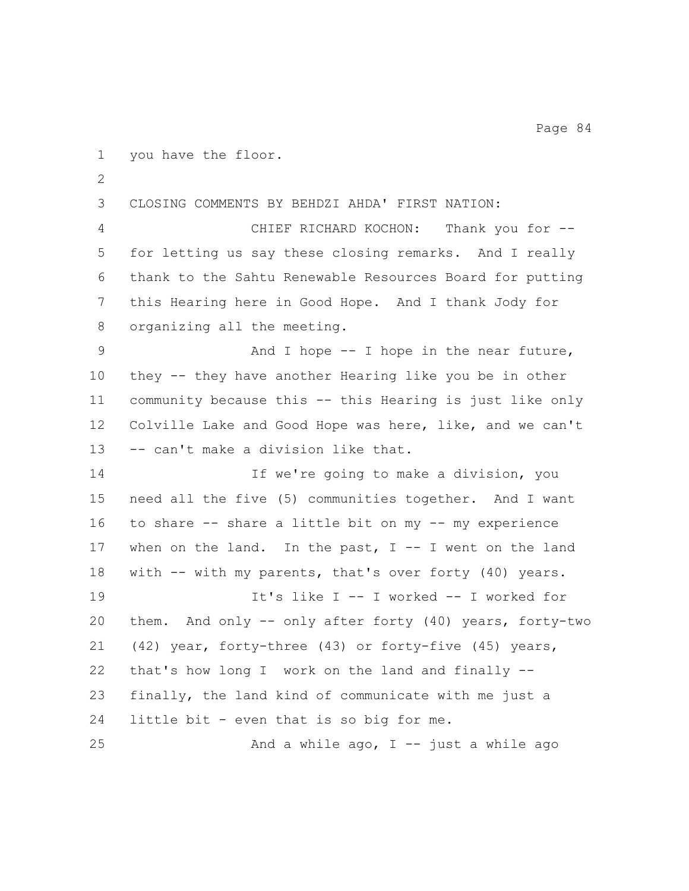CHIEF RICHARD KOCHON: Thank you for -- for letting us say these closing remarks. And I really thank to the Sahtu Renewable Resources Board for putting this Hearing here in Good Hope. And I thank Jody for organizing all the meeting. 9 And I hope -- I hope in the near future, they -- they have another Hearing like you be in other community because this -- this Hearing is just like only Colville Lake and Good Hope was here, like, and we can't -- can't make a division like that. If we're going to make a division, you need all the five (5) communities together. And I want to share -- share a little bit on my -- my experience when on the land. In the past, I -- I went on the land with -- with my parents, that's over forty (40) years. It's like I -- I worked -- I worked for them. And only -- only after forty (40) years, forty-two (42) year, forty-three (43) or forty-five (45) years, that's how long I work on the land and finally -- finally, the land kind of communicate with me just a

CLOSING COMMENTS BY BEHDZI AHDA' FIRST NATION:

you have the floor.

25 And a while  $a \circ a$ , I -- just a while  $a \circ a$ 

little bit - even that is so big for me.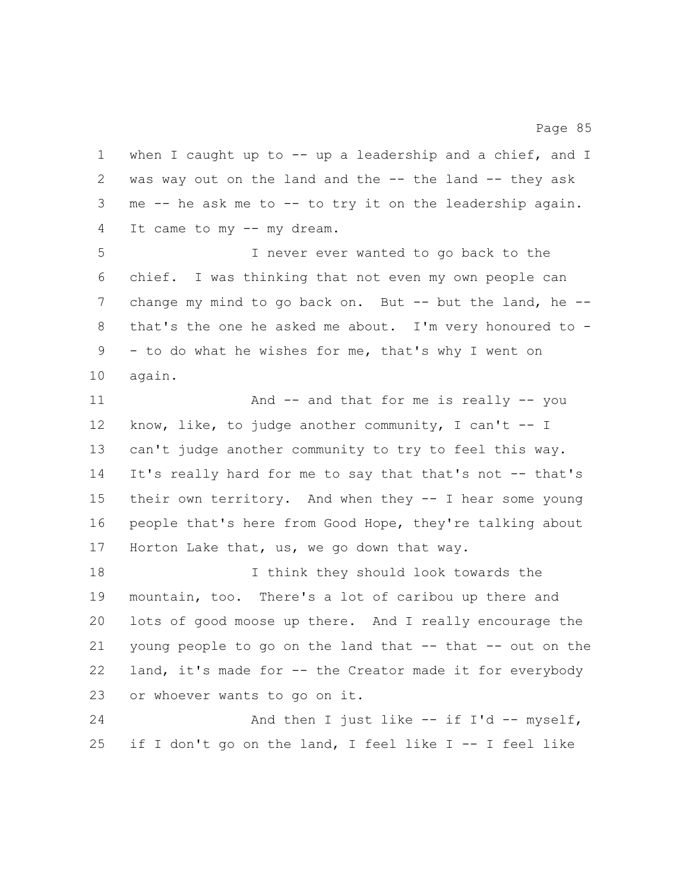when I caught up to -- up a leadership and a chief, and I was way out on the land and the -- the land -- they ask me -- he ask me to -- to try it on the leadership again. It came to my -- my dream. I never ever wanted to go back to the chief. I was thinking that not even my own people can 7 change my mind to go back on. But -- but the land, he -- that's the one he asked me about. I'm very honoured to - - to do what he wishes for me, that's why I went on again. 11 And -- and that for me is really -- you know, like, to judge another community, I can't -- I can't judge another community to try to feel this way. It's really hard for me to say that that's not -- that's their own territory. And when they -- I hear some young people that's here from Good Hope, they're talking about Horton Lake that, us, we go down that way. I think they should look towards the mountain, too. There's a lot of caribou up there and lots of good moose up there. And I really encourage the young people to go on the land that -- that -- out on the land, it's made for -- the Creator made it for everybody or whoever wants to go on it. 24 And then I just like -- if I'd -- myself, if I don't go on the land, I feel like I -- I feel like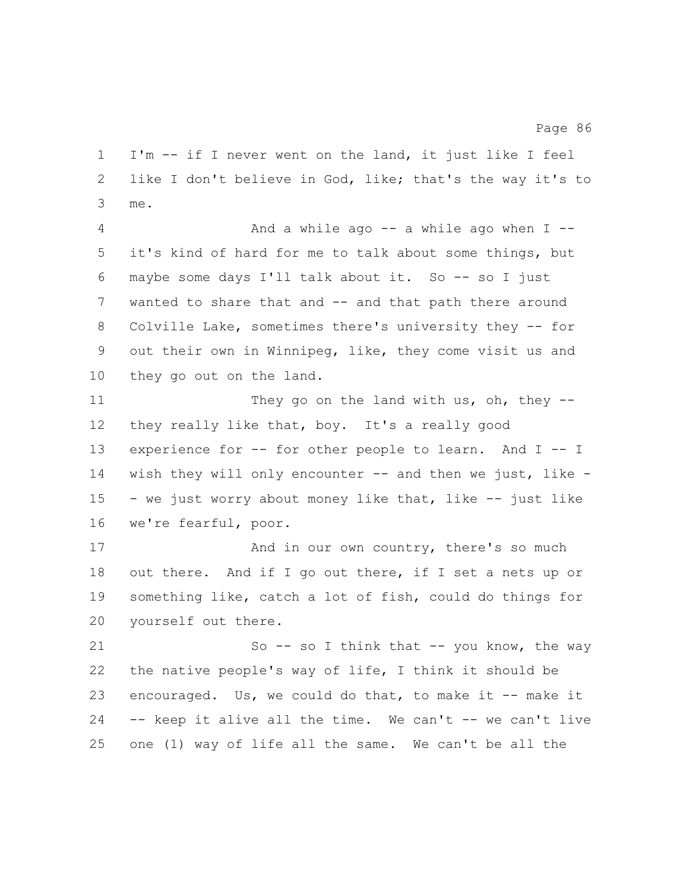I'm -- if I never went on the land, it just like I feel like I don't believe in God, like; that's the way it's to me. And a while ago -- a while ago when I -- it's kind of hard for me to talk about some things, but maybe some days I'll talk about it. So -- so I just wanted to share that and -- and that path there around 8 Colville Lake, sometimes there's university they -- for out their own in Winnipeg, like, they come visit us and they go out on the land.

11 They go on the land with us, oh, they -- they really like that, boy. It's a really good experience for -- for other people to learn. And I -- I wish they will only encounter -- and then we just, like - - we just worry about money like that, like -- just like we're fearful, poor.

17 And in our own country, there's so much out there. And if I go out there, if I set a nets up or something like, catch a lot of fish, could do things for yourself out there.

21 So -- so I think that -- you know, the way the native people's way of life, I think it should be encouraged. Us, we could do that, to make it -- make it -- keep it alive all the time. We can't -- we can't live one (1) way of life all the same. We can't be all the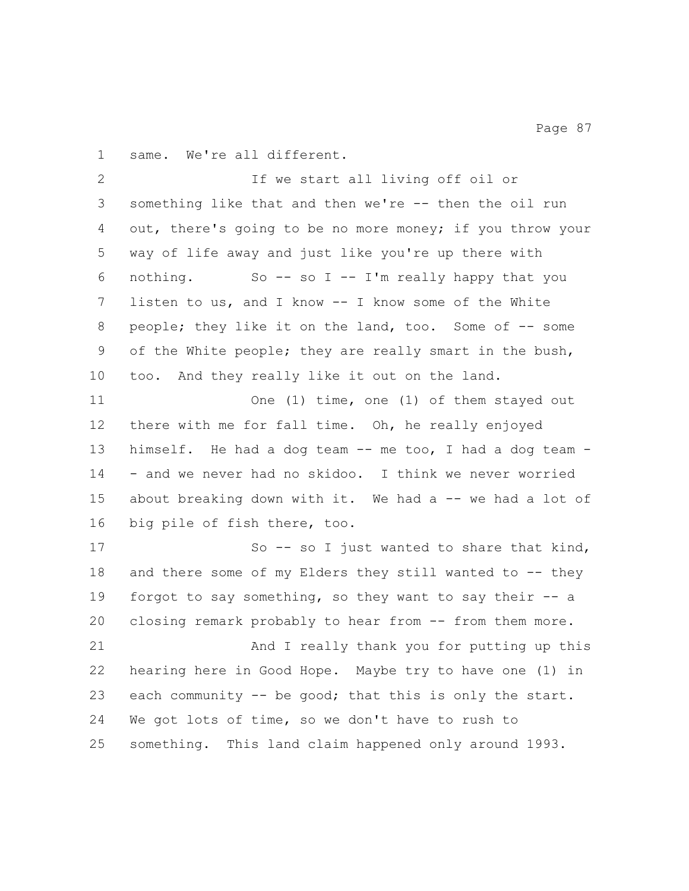same. We're all different.

 If we start all living off oil or something like that and then we're -- then the oil run out, there's going to be no more money; if you throw your way of life away and just like you're up there with nothing. So -- so I -- I'm really happy that you listen to us, and I know -- I know some of the White people; they like it on the land, too. Some of -- some of the White people; they are really smart in the bush, too. And they really like it out on the land. One (1) time, one (1) of them stayed out there with me for fall time. Oh, he really enjoyed himself. He had a dog team -- me too, I had a dog team - - and we never had no skidoo. I think we never worried 15 about breaking down with it. We had a -- we had a lot of big pile of fish there, too. 17 So -- so I just wanted to share that kind, 18 and there some of my Elders they still wanted to -- they forgot to say something, so they want to say their -- a closing remark probably to hear from -- from them more. And I really thank you for putting up this hearing here in Good Hope. Maybe try to have one (1) in each community -- be good; that this is only the start. We got lots of time, so we don't have to rush to something. This land claim happened only around 1993.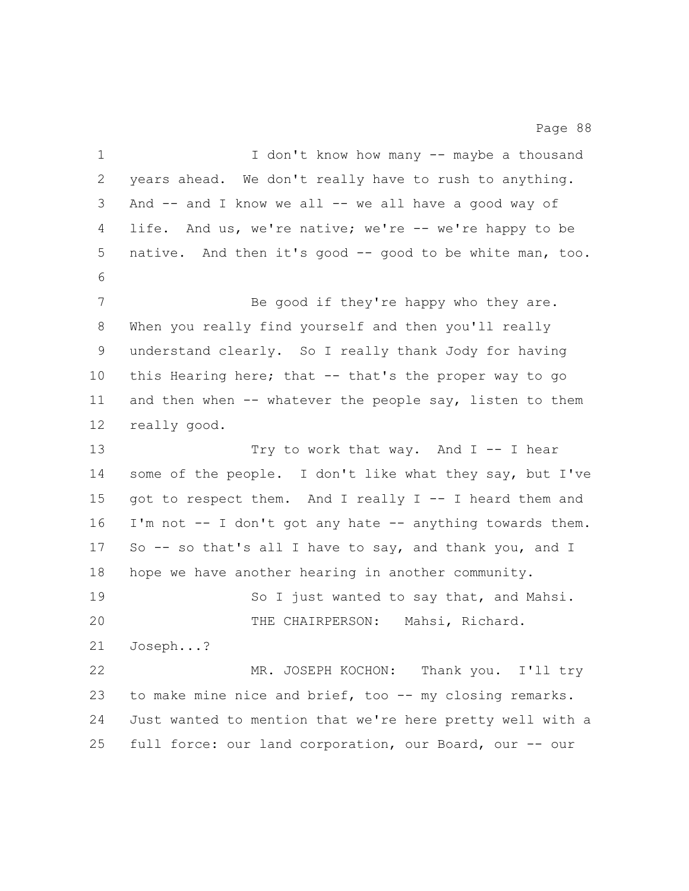1 I don't know how many -- maybe a thousand years ahead. We don't really have to rush to anything. And -- and I know we all -- we all have a good way of 4 life. And us, we're native; we're -- we're happy to be native. And then it's good -- good to be white man, too. 7 Be good if they're happy who they are. When you really find yourself and then you'll really understand clearly. So I really thank Jody for having this Hearing here; that -- that's the proper way to go 11 and then when -- whatever the people say, listen to them really good. 13 Try to work that way. And I -- I hear some of the people. I don't like what they say, but I've got to respect them. And I really I -- I heard them and I'm not -- I don't got any hate -- anything towards them. So -- so that's all I have to say, and thank you, and I hope we have another hearing in another community. 19 So I just wanted to say that, and Mahsi. THE CHAIRPERSON: Mahsi, Richard. Joseph...? MR. JOSEPH KOCHON: Thank you. I'll try 23 to make mine nice and brief, too -- my closing remarks. Just wanted to mention that we're here pretty well with a full force: our land corporation, our Board, our -- our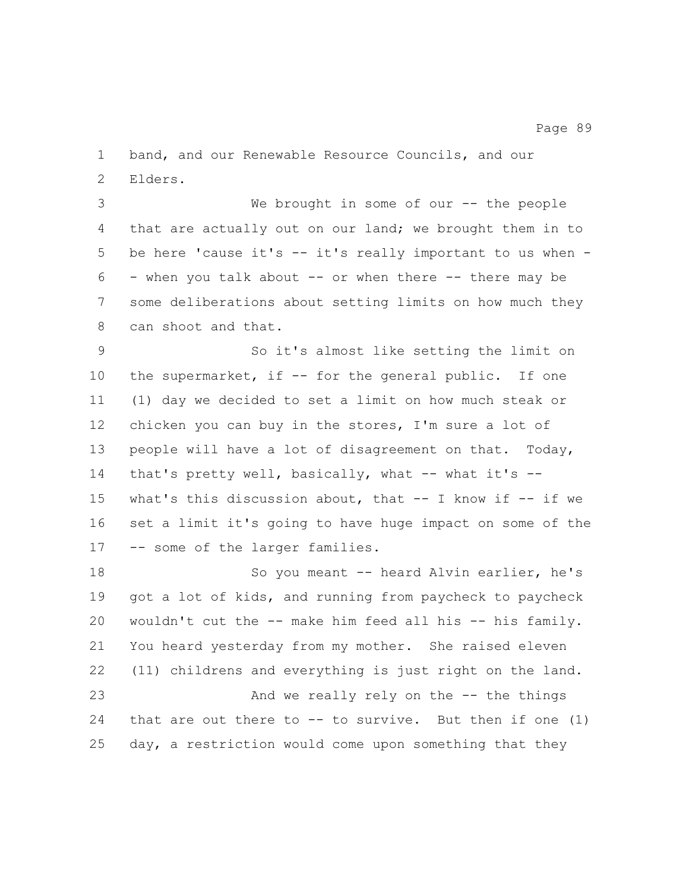band, and our Renewable Resource Councils, and our Elders.

 We brought in some of our -- the people that are actually out on our land; we brought them in to be here 'cause it's -- it's really important to us when -  $6 -$  when you talk about  $-$  or when there  $-$  there may be some deliberations about setting limits on how much they can shoot and that.

 So it's almost like setting the limit on 10 the supermarket, if -- for the general public. If one (1) day we decided to set a limit on how much steak or chicken you can buy in the stores, I'm sure a lot of people will have a lot of disagreement on that. Today, that's pretty well, basically, what -- what it's -- what's this discussion about, that -- I know if -- if we set a limit it's going to have huge impact on some of the -- some of the larger families.

 So you meant -- heard Alvin earlier, he's got a lot of kids, and running from paycheck to paycheck wouldn't cut the -- make him feed all his -- his family. You heard yesterday from my mother. She raised eleven (11) childrens and everything is just right on the land. And we really rely on the -- the things 24 that are out there to  $--$  to survive. But then if one  $(1)$ day, a restriction would come upon something that they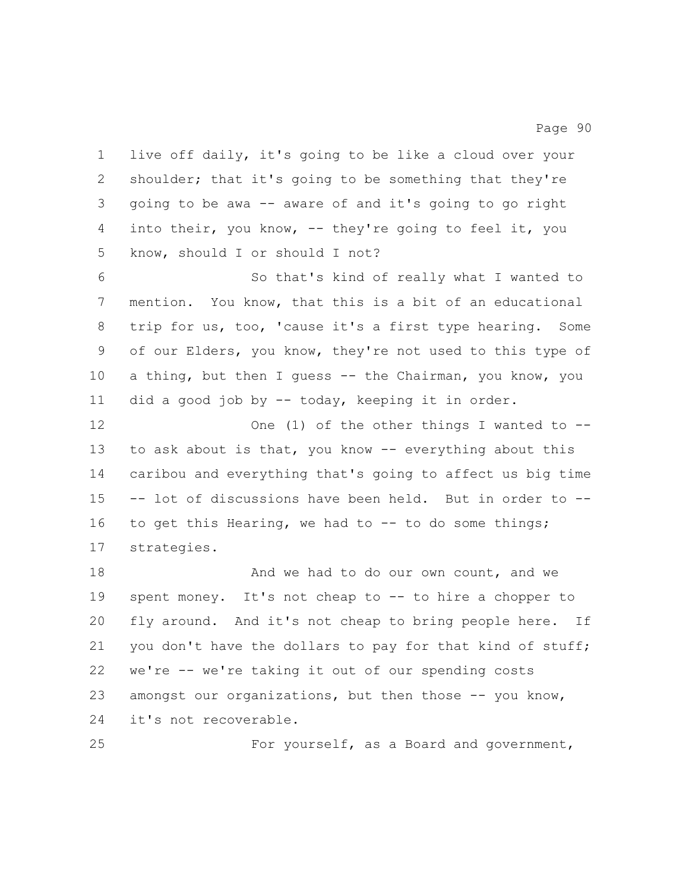live off daily, it's going to be like a cloud over your shoulder; that it's going to be something that they're going to be awa -- aware of and it's going to go right into their, you know, -- they're going to feel it, you know, should I or should I not?

 So that's kind of really what I wanted to mention. You know, that this is a bit of an educational trip for us, too, 'cause it's a first type hearing. Some of our Elders, you know, they're not used to this type of 10 a thing, but then I guess -- the Chairman, you know, you did a good job by -- today, keeping it in order.

12 One (1) of the other things I wanted to -- to ask about is that, you know -- everything about this caribou and everything that's going to affect us big time -- lot of discussions have been held. But in order to -- to get this Hearing, we had to -- to do some things; strategies.

18 And we had to do our own count, and we spent money. It's not cheap to -- to hire a chopper to fly around. And it's not cheap to bring people here. If 21 you don't have the dollars to pay for that kind of stuff; we're -- we're taking it out of our spending costs 23 amongst our organizations, but then those -- you know, it's not recoverable.

For yourself, as a Board and government,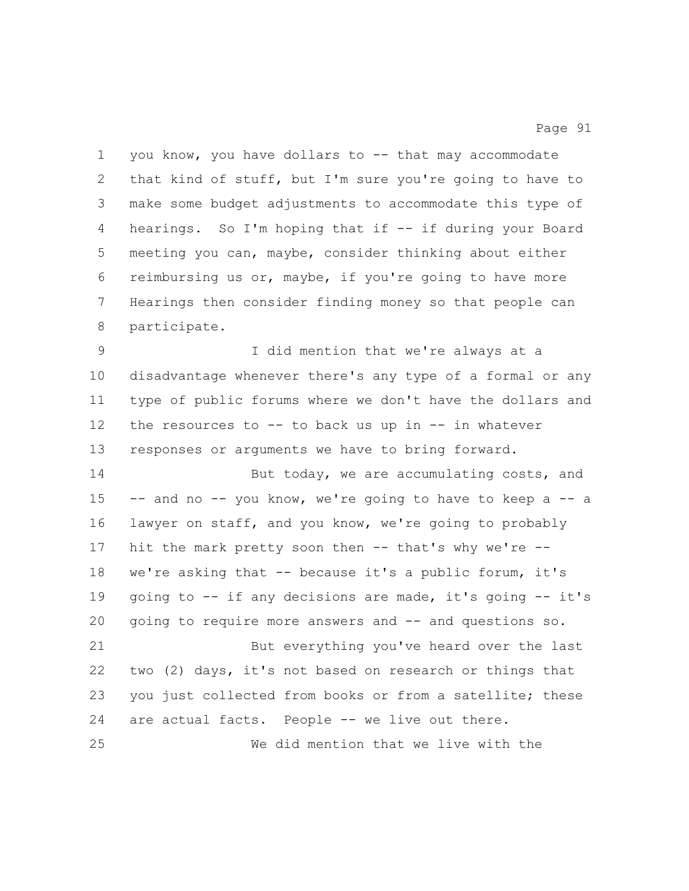you know, you have dollars to -- that may accommodate that kind of stuff, but I'm sure you're going to have to make some budget adjustments to accommodate this type of hearings. So I'm hoping that if -- if during your Board meeting you can, maybe, consider thinking about either reimbursing us or, maybe, if you're going to have more Hearings then consider finding money so that people can participate. I did mention that we're always at a disadvantage whenever there's any type of a formal or any type of public forums where we don't have the dollars and the resources to -- to back us up in -- in whatever responses or arguments we have to bring forward. 14 But today, we are accumulating costs, and -- and no -- you know, we're going to have to keep a -- a lawyer on staff, and you know, we're going to probably 17 hit the mark pretty soon then -- that's why we're -- we're asking that -- because it's a public forum, it's going to -- if any decisions are made, it's going -- it's going to require more answers and -- and questions so. But everything you've heard over the last two (2) days, it's not based on research or things that 23 you just collected from books or from a satellite; these are actual facts. People -- we live out there. We did mention that we live with the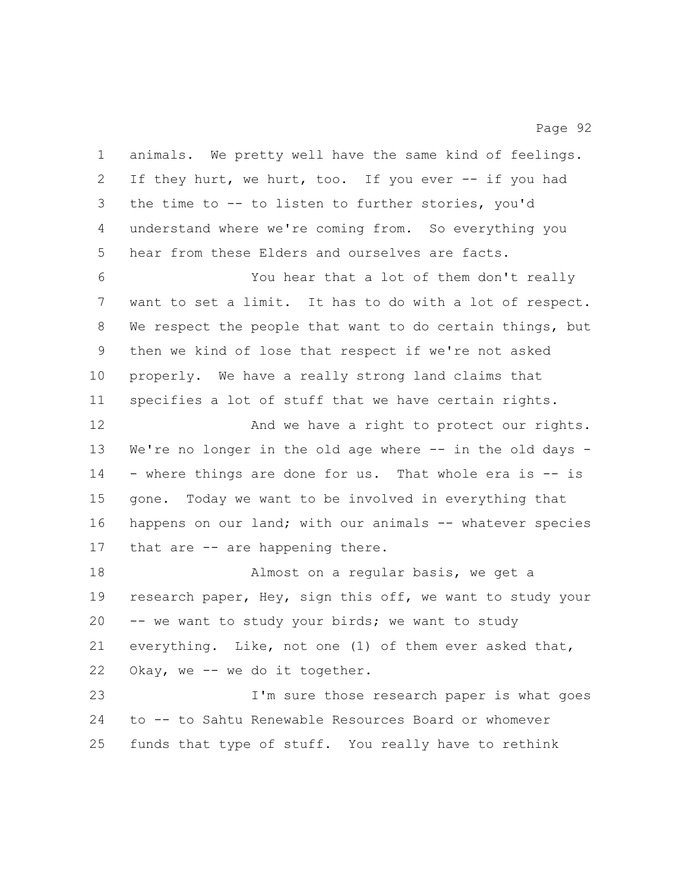| $\mathbf 1$ | animals. We pretty well have the same kind of feelings.   |
|-------------|-----------------------------------------------------------|
| 2           | If they hurt, we hurt, too. If you ever -- if you had     |
| 3           | the time to -- to listen to further stories, you'd        |
| 4           | understand where we're coming from. So everything you     |
| 5           | hear from these Elders and ourselves are facts.           |
| 6           | You hear that a lot of them don't really                  |
| 7           | want to set a limit. It has to do with a lot of respect.  |
| 8           | We respect the people that want to do certain things, but |
| 9           | then we kind of lose that respect if we're not asked      |
| 10          | properly. We have a really strong land claims that        |
| 11          | specifies a lot of stuff that we have certain rights.     |
| 12          | And we have a right to protect our rights.                |
| 13          | We're no longer in the old age where -- in the old days - |
| 14          | - where things are done for us. That whole era is -- is   |
| 15          | gone. Today we want to be involved in everything that     |
| 16          | happens on our land; with our animals -- whatever species |
| 17          | that are -- are happening there.                          |
| 18          | Almost on a regular basis, we get a                       |
| 19          | research paper, Hey, sign this off, we want to study your |
| 20          | -- we want to study your birds; we want to study          |
| 21          | everything. Like, not one (1) of them ever asked that,    |
| 22          | Okay, we -- we do it together.                            |
| 23          | I'm sure those research paper is what goes                |
| 24          | to -- to Sahtu Renewable Resources Board or whomever      |
| 25          | funds that type of stuff. You really have to rethink      |
|             |                                                           |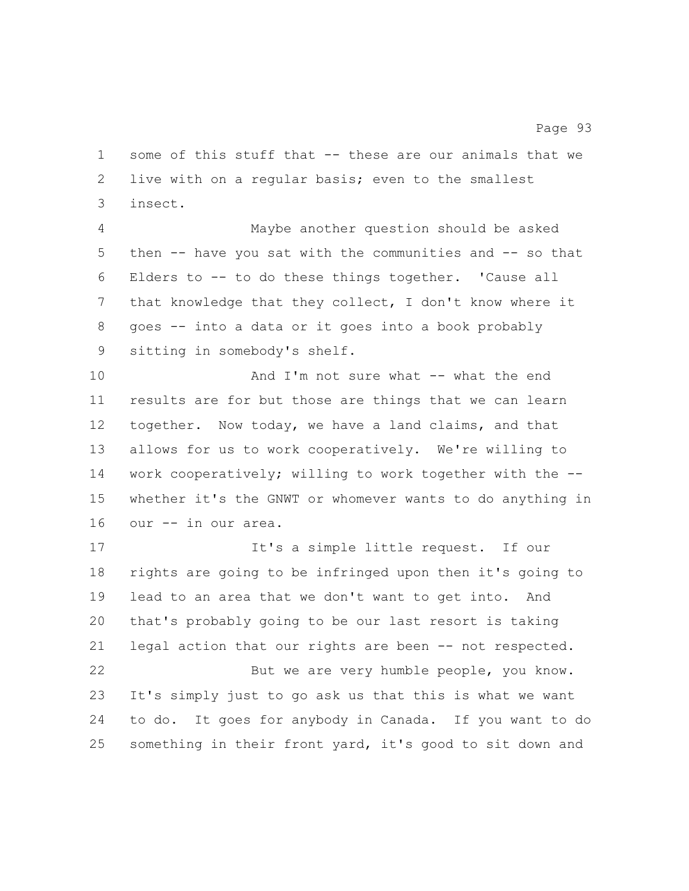some of this stuff that -- these are our animals that we live with on a regular basis; even to the smallest insect.

 Maybe another question should be asked then -- have you sat with the communities and -- so that Elders to -- to do these things together. 'Cause all that knowledge that they collect, I don't know where it goes -- into a data or it goes into a book probably sitting in somebody's shelf.

 And I'm not sure what -- what the end results are for but those are things that we can learn together. Now today, we have a land claims, and that allows for us to work cooperatively. We're willing to work cooperatively; willing to work together with the -- whether it's the GNWT or whomever wants to do anything in our -- in our area.

17 It's a simple little request. If our rights are going to be infringed upon then it's going to lead to an area that we don't want to get into. And that's probably going to be our last resort is taking legal action that our rights are been -- not respected. But we are very humble people, you know. It's simply just to go ask us that this is what we want to do. It goes for anybody in Canada. If you want to do something in their front yard, it's good to sit down and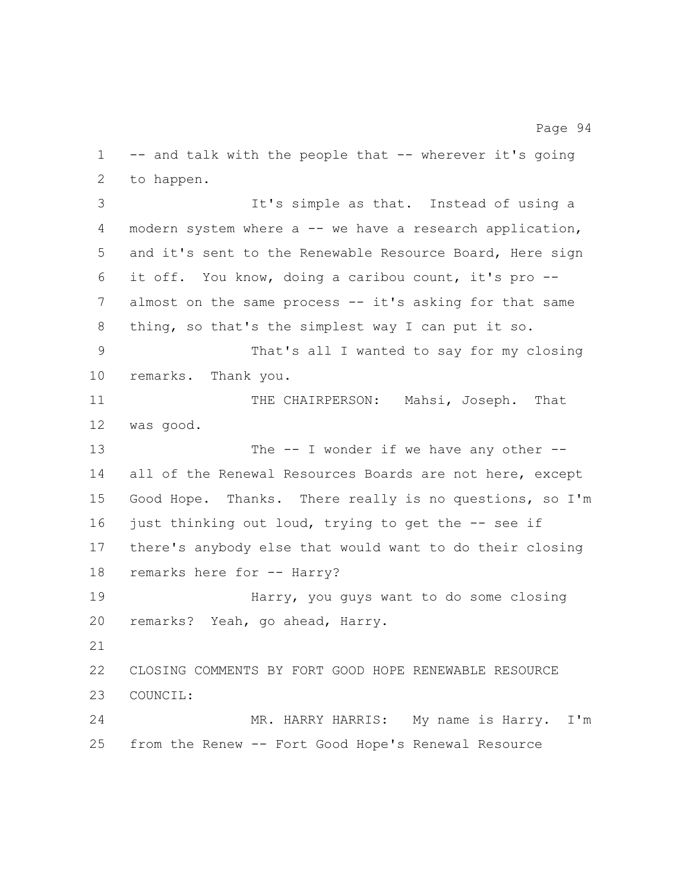-- and talk with the people that -- wherever it's going to happen.

 It's simple as that. Instead of using a modern system where a -- we have a research application, and it's sent to the Renewable Resource Board, Here sign it off. You know, doing a caribou count, it's pro -- almost on the same process -- it's asking for that same thing, so that's the simplest way I can put it so. That's all I wanted to say for my closing remarks. Thank you. 11 THE CHAIRPERSON: Mahsi, Joseph. That was good. 13 The -- I wonder if we have any other -- all of the Renewal Resources Boards are not here, except Good Hope. Thanks. There really is no questions, so I'm 16 just thinking out loud, trying to get the -- see if there's anybody else that would want to do their closing 18 remarks here for -- Harry? Harry, you guys want to do some closing remarks? Yeah, go ahead, Harry. CLOSING COMMENTS BY FORT GOOD HOPE RENEWABLE RESOURCE COUNCIL: MR. HARRY HARRIS: My name is Harry. I'm from the Renew -- Fort Good Hope's Renewal Resource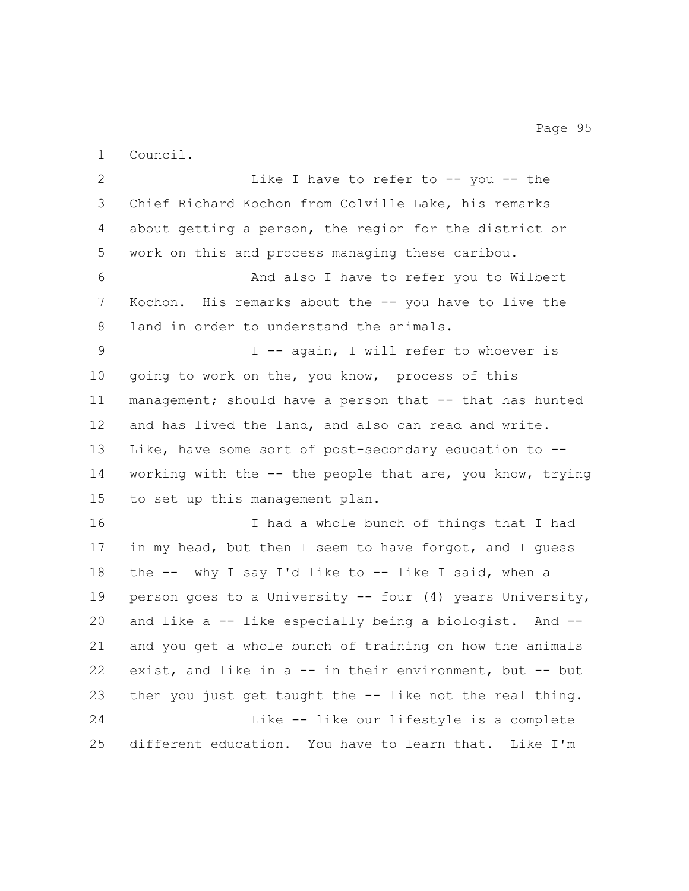Council.

2 Like I have to refer to -- you -- the Chief Richard Kochon from Colville Lake, his remarks about getting a person, the region for the district or work on this and process managing these caribou. And also I have to refer you to Wilbert Kochon. His remarks about the -- you have to live the land in order to understand the animals. I -- again, I will refer to whoever is going to work on the, you know, process of this management; should have a person that -- that has hunted and has lived the land, and also can read and write. Like, have some sort of post-secondary education to -- working with the -- the people that are, you know, trying to set up this management plan. I had a whole bunch of things that I had in my head, but then I seem to have forgot, and I guess the -- why I say I'd like to -- like I said, when a person goes to a University -- four (4) years University, and like a -- like especially being a biologist. And -- and you get a whole bunch of training on how the animals exist, and like in a -- in their environment, but -- but then you just get taught the -- like not the real thing. Like -- like our lifestyle is a complete different education. You have to learn that. Like I'm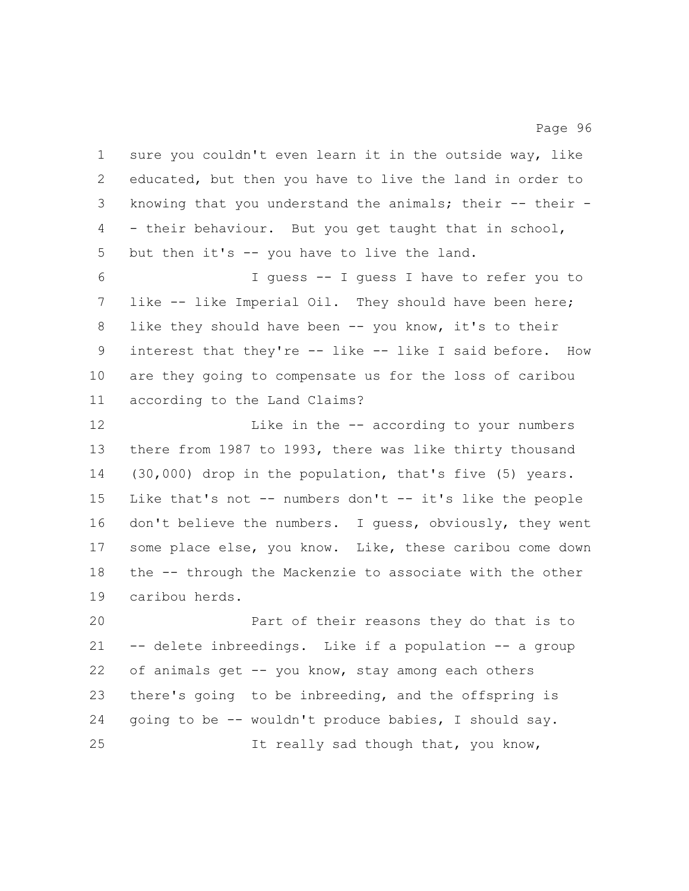sure you couldn't even learn it in the outside way, like educated, but then you have to live the land in order to knowing that you understand the animals; their -- their - - their behaviour. But you get taught that in school, but then it's -- you have to live the land.

 I guess -- I guess I have to refer you to like -- like Imperial Oil. They should have been here; like they should have been -- you know, it's to their interest that they're -- like -- like I said before. How are they going to compensate us for the loss of caribou according to the Land Claims?

 Like in the -- according to your numbers there from 1987 to 1993, there was like thirty thousand (30,000) drop in the population, that's five (5) years. Like that's not -- numbers don't -- it's like the people 16 don't believe the numbers. I guess, obviously, they went some place else, you know. Like, these caribou come down the -- through the Mackenzie to associate with the other caribou herds.

 Part of their reasons they do that is to -- delete inbreedings. Like if a population -- a group of animals get -- you know, stay among each others there's going to be inbreeding, and the offspring is going to be -- wouldn't produce babies, I should say. It really sad though that, you know,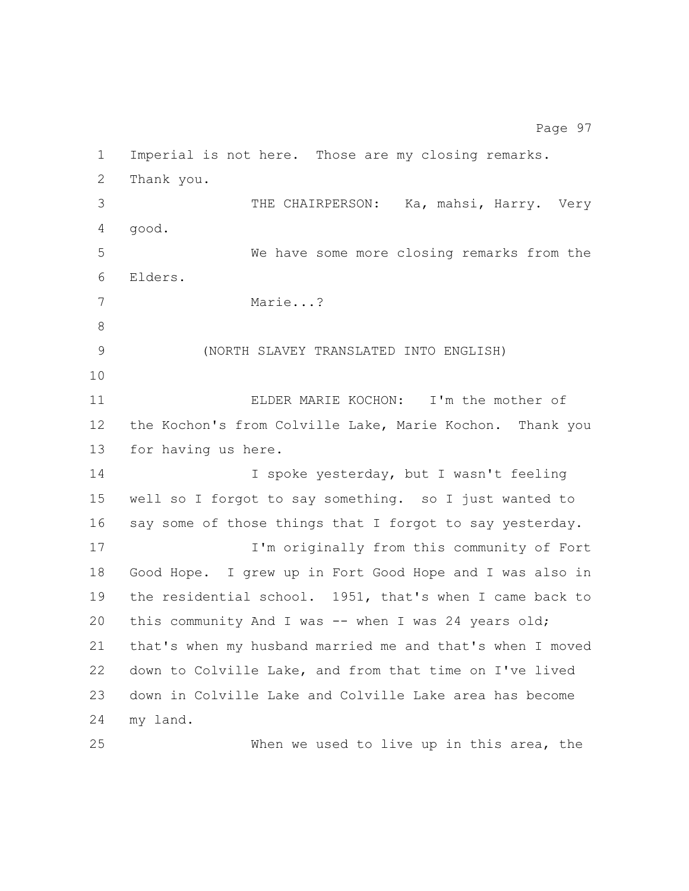Imperial is not here. Those are my closing remarks. Thank you. THE CHAIRPERSON: Ka, mahsi, Harry. Very good. We have some more closing remarks from the Elders. Marie...? (NORTH SLAVEY TRANSLATED INTO ENGLISH) ELDER MARIE KOCHON: I'm the mother of the Kochon's from Colville Lake, Marie Kochon. Thank you for having us here. 14 I spoke yesterday, but I wasn't feeling well so I forgot to say something. so I just wanted to say some of those things that I forgot to say yesterday. **I'm originally from this community of Fort**  Good Hope. I grew up in Fort Good Hope and I was also in the residential school. 1951, that's when I came back to this community And I was -- when I was 24 years old; that's when my husband married me and that's when I moved down to Colville Lake, and from that time on I've lived down in Colville Lake and Colville Lake area has become my land. When we used to live up in this area, the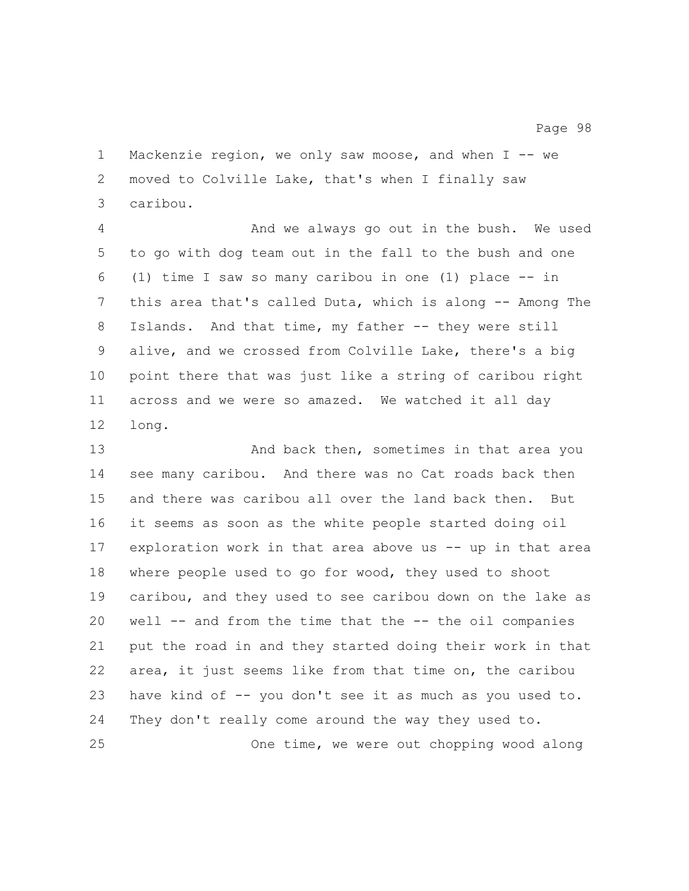Mackenzie region, we only saw moose, and when I -- we moved to Colville Lake, that's when I finally saw caribou.

 And we always go out in the bush. We used to go with dog team out in the fall to the bush and one (1) time I saw so many caribou in one (1) place -- in this area that's called Duta, which is along -- Among The 8 Islands. And that time, my father -- they were still alive, and we crossed from Colville Lake, there's a big point there that was just like a string of caribou right across and we were so amazed. We watched it all day long.

13 And back then, sometimes in that area you see many caribou. And there was no Cat roads back then and there was caribou all over the land back then. But it seems as soon as the white people started doing oil exploration work in that area above us -- up in that area where people used to go for wood, they used to shoot caribou, and they used to see caribou down on the lake as well -- and from the time that the -- the oil companies put the road in and they started doing their work in that area, it just seems like from that time on, the caribou have kind of -- you don't see it as much as you used to. They don't really come around the way they used to. One time, we were out chopping wood along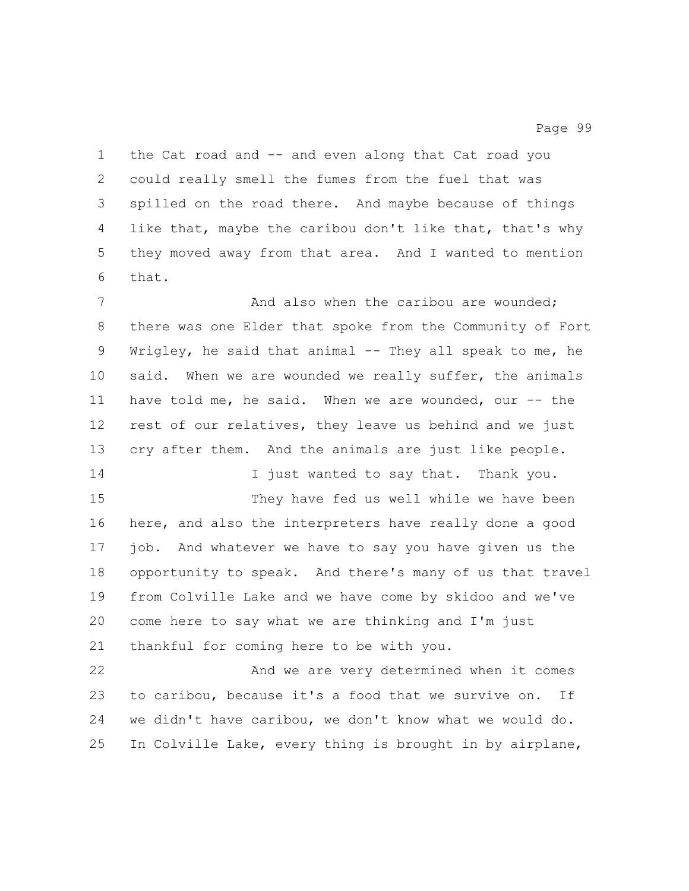the Cat road and -- and even along that Cat road you could really smell the fumes from the fuel that was spilled on the road there. And maybe because of things like that, maybe the caribou don't like that, that's why they moved away from that area. And I wanted to mention that.

7 And also when the caribou are wounded; there was one Elder that spoke from the Community of Fort Wrigley, he said that animal -- They all speak to me, he said. When we are wounded we really suffer, the animals 11 have told me, he said. When we are wounded, our -- the rest of our relatives, they leave us behind and we just cry after them. And the animals are just like people.

14 I just wanted to say that. Thank you. They have fed us well while we have been here, and also the interpreters have really done a good job. And whatever we have to say you have given us the opportunity to speak. And there's many of us that travel from Colville Lake and we have come by skidoo and we've come here to say what we are thinking and I'm just thankful for coming here to be with you.

 And we are very determined when it comes to caribou, because it's a food that we survive on. If we didn't have caribou, we don't know what we would do. In Colville Lake, every thing is brought in by airplane,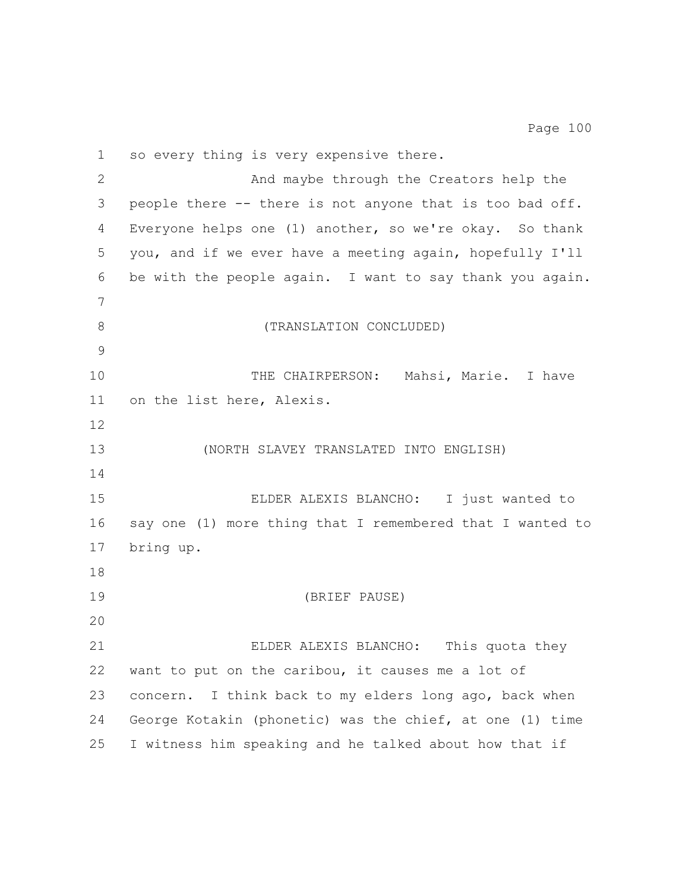so every thing is very expensive there. And maybe through the Creators help the people there -- there is not anyone that is too bad off. Everyone helps one (1) another, so we're okay. So thank you, and if we ever have a meeting again, hopefully I'll be with the people again. I want to say thank you again. 8 (TRANSLATION CONCLUDED) THE CHAIRPERSON: Mahsi, Marie. I have on the list here, Alexis. (NORTH SLAVEY TRANSLATED INTO ENGLISH) ELDER ALEXIS BLANCHO: I just wanted to say one (1) more thing that I remembered that I wanted to bring up. (BRIEF PAUSE) ELDER ALEXIS BLANCHO: This quota they want to put on the caribou, it causes me a lot of concern. I think back to my elders long ago, back when George Kotakin (phonetic) was the chief, at one (1) time I witness him speaking and he talked about how that if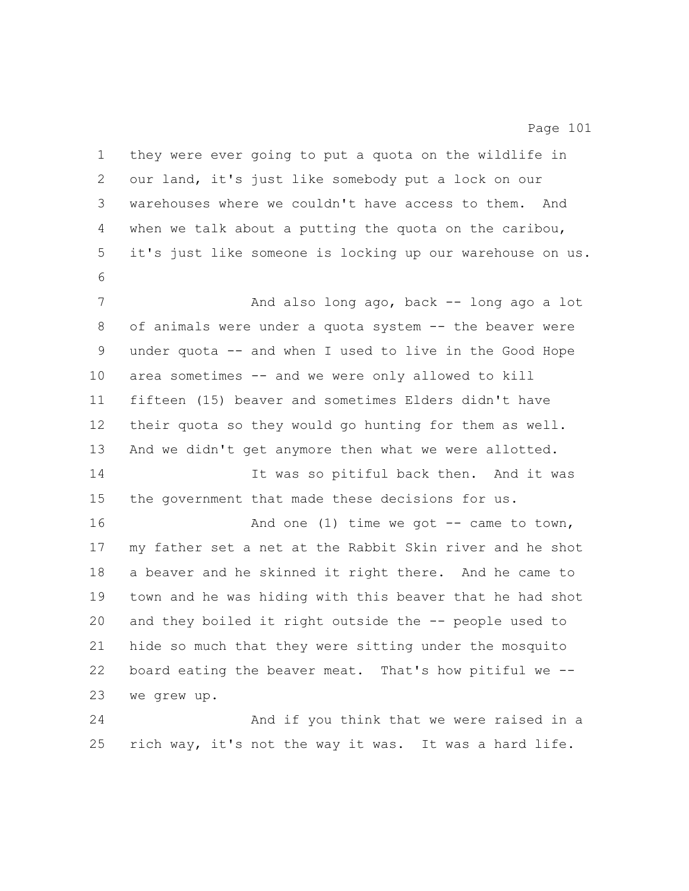they were ever going to put a quota on the wildlife in our land, it's just like somebody put a lock on our warehouses where we couldn't have access to them. And when we talk about a putting the quota on the caribou, it's just like someone is locking up our warehouse on us. 7 And also long ago, back -- long ago a lot of animals were under a quota system -- the beaver were under quota -- and when I used to live in the Good Hope area sometimes -- and we were only allowed to kill fifteen (15) beaver and sometimes Elders didn't have their quota so they would go hunting for them as well. And we didn't get anymore then what we were allotted. It was so pitiful back then. And it was the government that made these decisions for us. 16 And one (1) time we got -- came to town, my father set a net at the Rabbit Skin river and he shot a beaver and he skinned it right there. And he came to town and he was hiding with this beaver that he had shot and they boiled it right outside the -- people used to hide so much that they were sitting under the mosquito board eating the beaver meat. That's how pitiful we -- we grew up. And if you think that we were raised in a rich way, it's not the way it was. It was a hard life.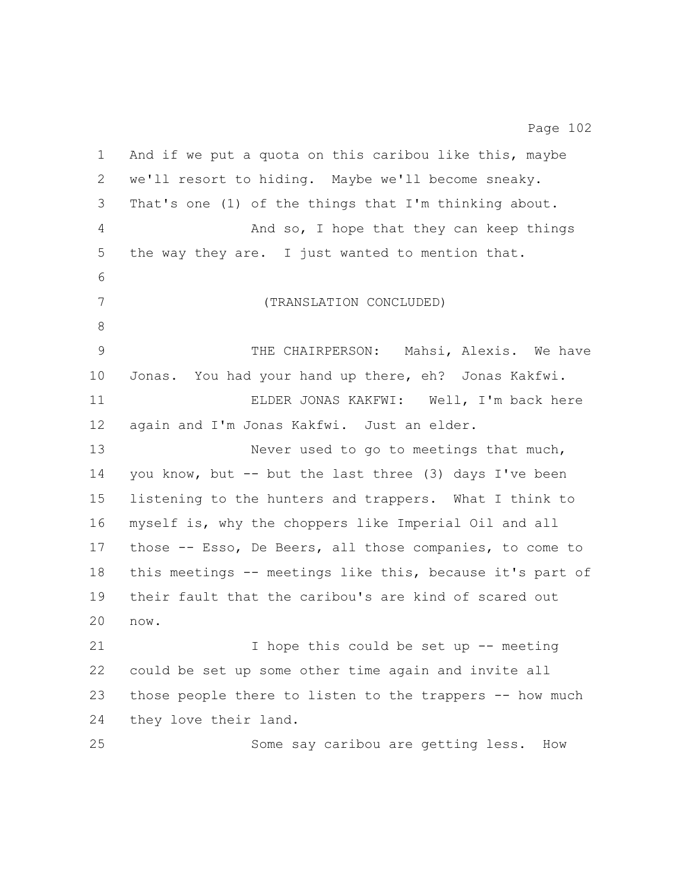And if we put a quota on this caribou like this, maybe we'll resort to hiding. Maybe we'll become sneaky. That's one (1) of the things that I'm thinking about. And so, I hope that they can keep things the way they are. I just wanted to mention that. (TRANSLATION CONCLUDED) THE CHAIRPERSON: Mahsi, Alexis. We have Jonas. You had your hand up there, eh? Jonas Kakfwi. ELDER JONAS KAKFWI: Well, I'm back here again and I'm Jonas Kakfwi. Just an elder. 13 Never used to go to meetings that much, you know, but -- but the last three (3) days I've been listening to the hunters and trappers. What I think to myself is, why the choppers like Imperial Oil and all those -- Esso, De Beers, all those companies, to come to this meetings -- meetings like this, because it's part of their fault that the caribou's are kind of scared out now. I hope this could be set up -- meeting could be set up some other time again and invite all those people there to listen to the trappers -- how much they love their land. Some say caribou are getting less. How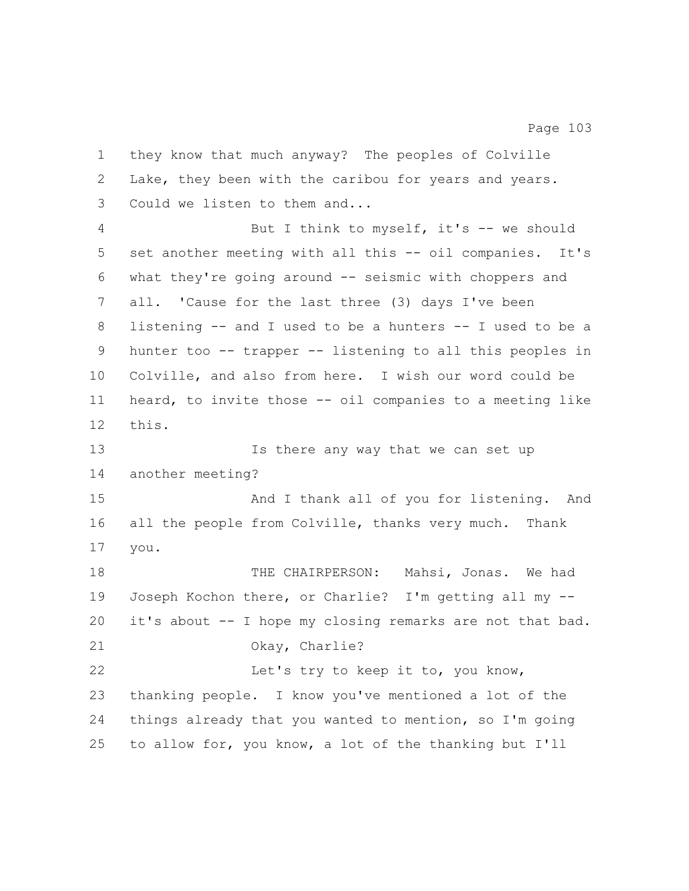they know that much anyway? The peoples of Colville Lake, they been with the caribou for years and years. Could we listen to them and... But I think to myself, it's -- we should set another meeting with all this -- oil companies. It's what they're going around -- seismic with choppers and all. 'Cause for the last three (3) days I've been listening -- and I used to be a hunters -- I used to be a hunter too -- trapper -- listening to all this peoples in Colville, and also from here. I wish our word could be heard, to invite those -- oil companies to a meeting like this. 13 Is there any way that we can set up another meeting? And I thank all of you for listening. And all the people from Colville, thanks very much. Thank you. THE CHAIRPERSON: Mahsi, Jonas. We had Joseph Kochon there, or Charlie? I'm getting all my -- it's about -- I hope my closing remarks are not that bad. Okay, Charlie? 22 Let's try to keep it to, you know, thanking people. I know you've mentioned a lot of the things already that you wanted to mention, so I'm going to allow for, you know, a lot of the thanking but I'll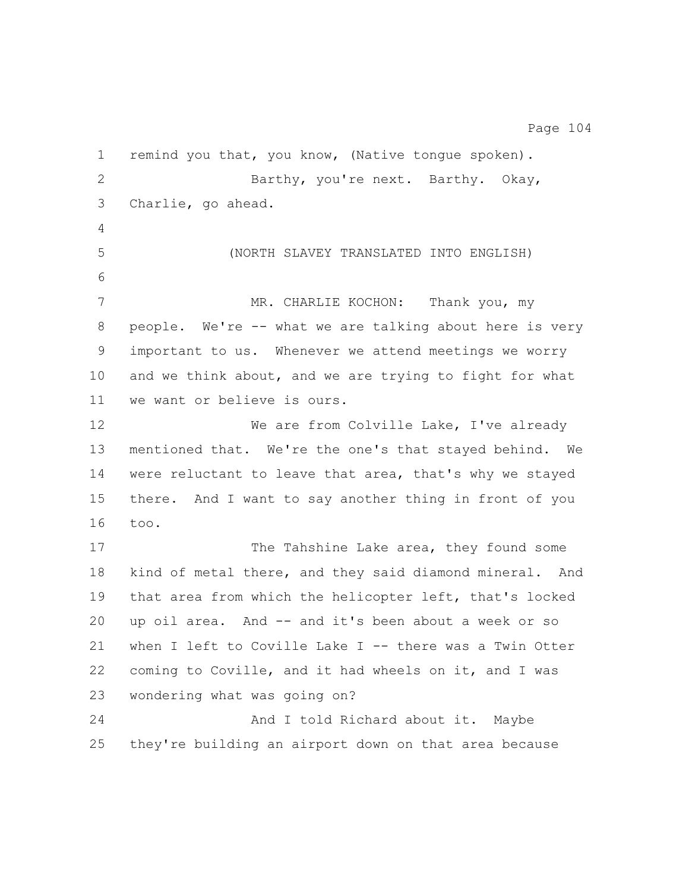remind you that, you know, (Native tongue spoken). Barthy, you're next. Barthy. Okay, Charlie, go ahead. 5 (NORTH SLAVEY TRANSLATED INTO ENGLISH) 7 MR. CHARLIE KOCHON: Thank you, my people. We're -- what we are talking about here is very important to us. Whenever we attend meetings we worry and we think about, and we are trying to fight for what we want or believe is ours. 12 We are from Colville Lake, I've already mentioned that. We're the one's that stayed behind. We were reluctant to leave that area, that's why we stayed there. And I want to say another thing in front of you too. 17 The Tahshine Lake area, they found some kind of metal there, and they said diamond mineral. And that area from which the helicopter left, that's locked up oil area. And -- and it's been about a week or so when I left to Coville Lake I -- there was a Twin Otter coming to Coville, and it had wheels on it, and I was wondering what was going on? 24 And I told Richard about it. Maybe they're building an airport down on that area because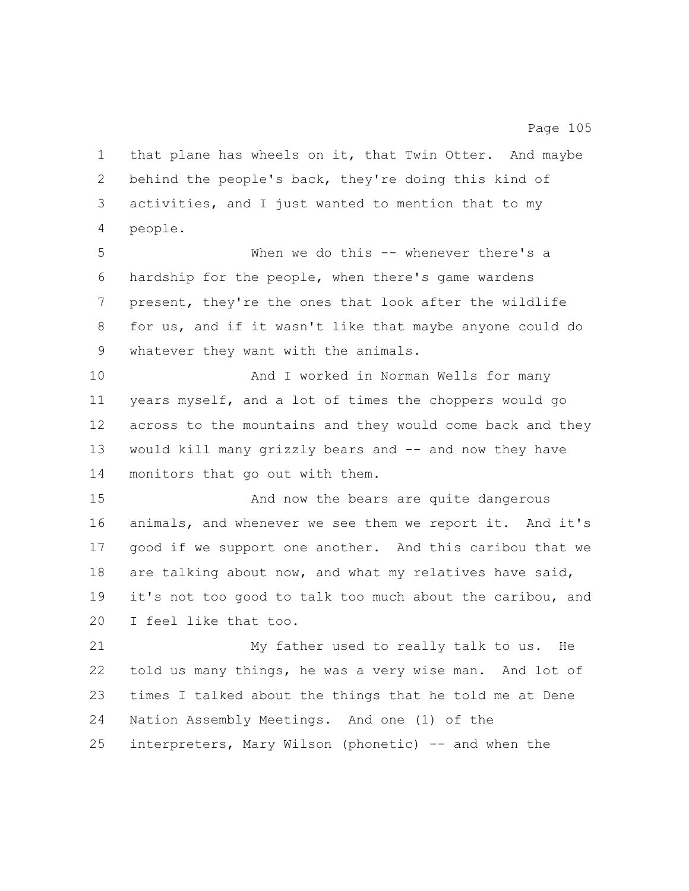that plane has wheels on it, that Twin Otter. And maybe behind the people's back, they're doing this kind of activities, and I just wanted to mention that to my people.

 When we do this -- whenever there's a hardship for the people, when there's game wardens present, they're the ones that look after the wildlife for us, and if it wasn't like that maybe anyone could do whatever they want with the animals.

 And I worked in Norman Wells for many years myself, and a lot of times the choppers would go across to the mountains and they would come back and they would kill many grizzly bears and -- and now they have monitors that go out with them.

 And now the bears are quite dangerous animals, and whenever we see them we report it. And it's good if we support one another. And this caribou that we are talking about now, and what my relatives have said, it's not too good to talk too much about the caribou, and I feel like that too.

 My father used to really talk to us. He told us many things, he was a very wise man. And lot of times I talked about the things that he told me at Dene Nation Assembly Meetings. And one (1) of the interpreters, Mary Wilson (phonetic) -- and when the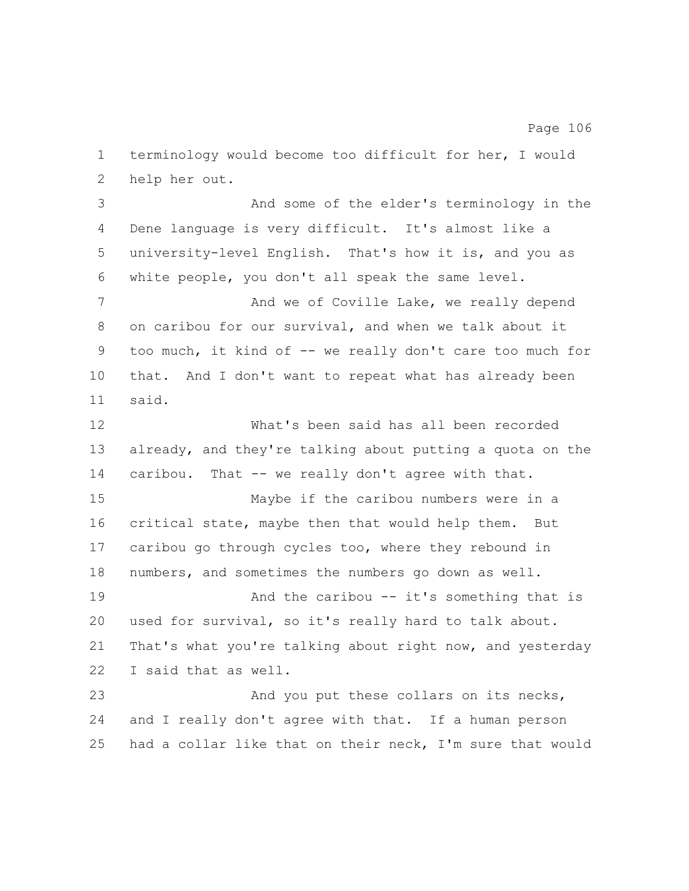help her out. And some of the elder's terminology in the Dene language is very difficult. It's almost like a university-level English. That's how it is, and you as white people, you don't all speak the same level. 7 And we of Coville Lake, we really depend on caribou for our survival, and when we talk about it too much, it kind of -- we really don't care too much for that. And I don't want to repeat what has already been said. What's been said has all been recorded already, and they're talking about putting a quota on the 14 caribou. That -- we really don't agree with that. Maybe if the caribou numbers were in a critical state, maybe then that would help them. But caribou go through cycles too, where they rebound in numbers, and sometimes the numbers go down as well. **And the caribou -- it's something that is**  used for survival, so it's really hard to talk about. That's what you're talking about right now, and yesterday I said that as well. And you put these collars on its necks, and I really don't agree with that. If a human person had a collar like that on their neck, I'm sure that would

terminology would become too difficult for her, I would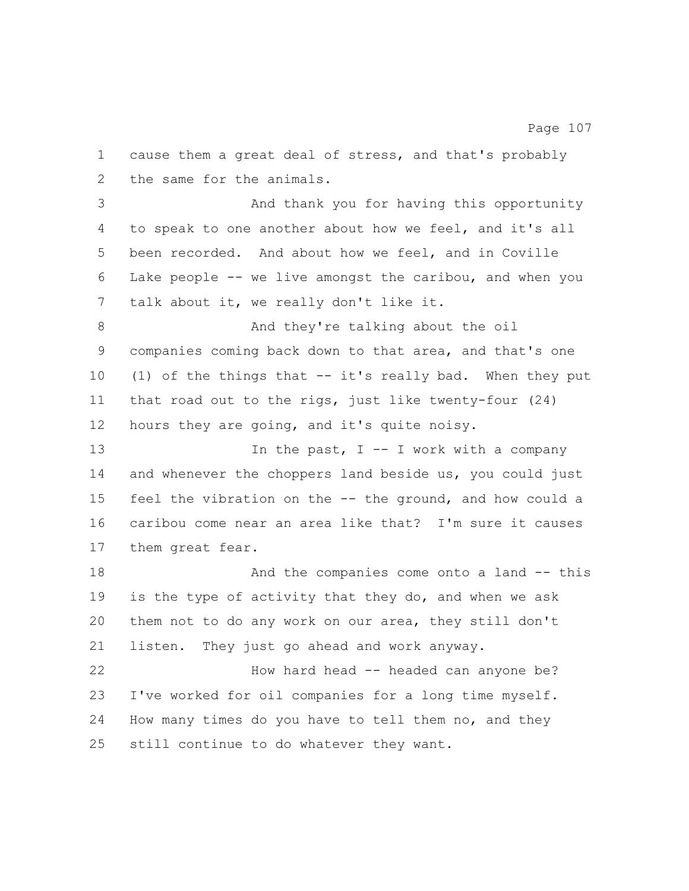cause them a great deal of stress, and that's probably the same for the animals. And thank you for having this opportunity to speak to one another about how we feel, and it's all been recorded. And about how we feel, and in Coville Lake people -- we live amongst the caribou, and when you talk about it, we really don't like it. 8 And they're talking about the oil companies coming back down to that area, and that's one (1) of the things that -- it's really bad. When they put that road out to the rigs, just like twenty-four (24) hours they are going, and it's quite noisy. 13 13 In the past, I -- I work with a company and whenever the choppers land beside us, you could just feel the vibration on the -- the ground, and how could a caribou come near an area like that? I'm sure it causes them great fear. 18 And the companies come onto a land -- this is the type of activity that they do, and when we ask them not to do any work on our area, they still don't listen. They just go ahead and work anyway. 22 How hard head -- headed can anyone be? I've worked for oil companies for a long time myself. How many times do you have to tell them no, and they still continue to do whatever they want.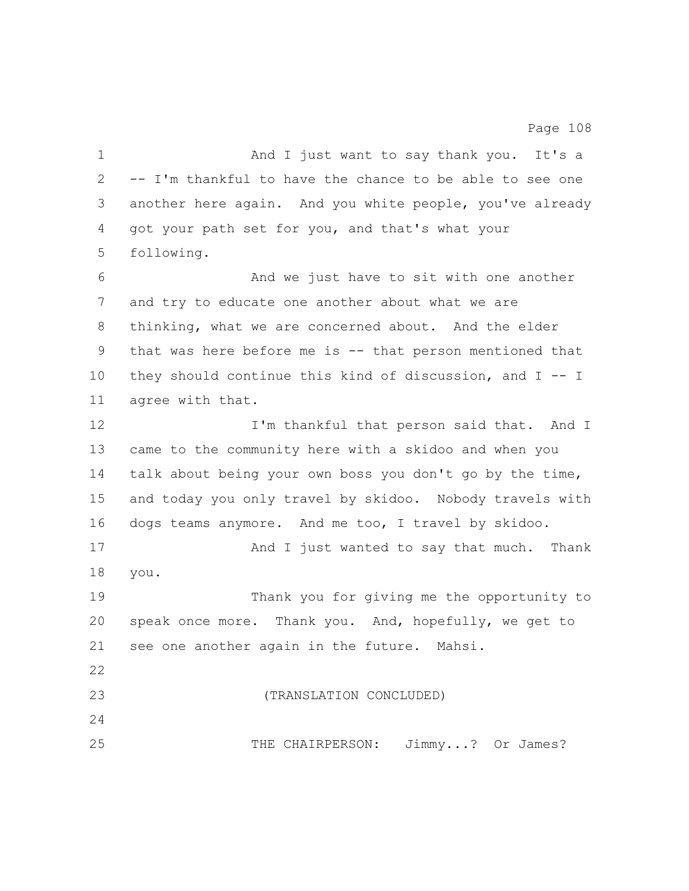1 And I just want to say thank you. It's a -- I'm thankful to have the chance to be able to see one another here again. And you white people, you've already got your path set for you, and that's what your following. And we just have to sit with one another and try to educate one another about what we are thinking, what we are concerned about. And the elder that was here before me is -- that person mentioned that they should continue this kind of discussion, and I -- I agree with that. 12 I'm thankful that person said that. And I came to the community here with a skidoo and when you talk about being your own boss you don't go by the time, and today you only travel by skidoo. Nobody travels with dogs teams anymore. And me too, I travel by skidoo. 17 And I just wanted to say that much. Thank you. Thank you for giving me the opportunity to speak once more. Thank you. And, hopefully, we get to see one another again in the future. Mahsi. (TRANSLATION CONCLUDED) THE CHAIRPERSON: Jimmy...? Or James?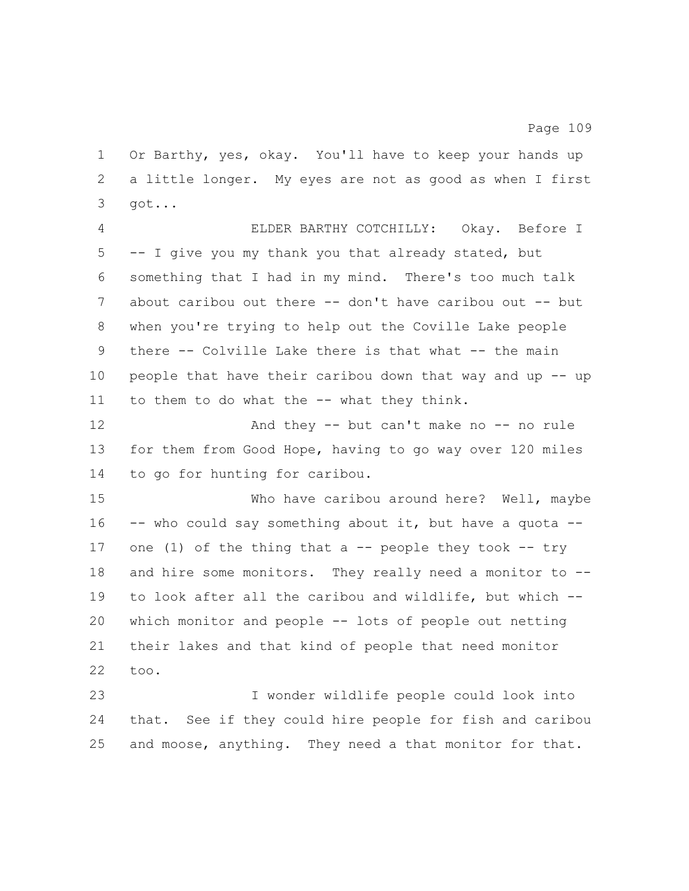Or Barthy, yes, okay. You'll have to keep your hands up a little longer. My eyes are not as good as when I first got...

 ELDER BARTHY COTCHILLY: Okay. Before I -- I give you my thank you that already stated, but something that I had in my mind. There's too much talk 7 about caribou out there -- don't have caribou out -- but when you're trying to help out the Coville Lake people there -- Colville Lake there is that what -- the main people that have their caribou down that way and up -- up 11 to them to do what the -- what they think.

12 And they -- but can't make no -- no rule for them from Good Hope, having to go way over 120 miles to go for hunting for caribou.

 Who have caribou around here? Well, maybe 16 -- who could say something about it, but have a quota --17 one (1) of the thing that a  $-$  people they took  $-$ - try 18 and hire some monitors. They really need a monitor to -- to look after all the caribou and wildlife, but which -- which monitor and people -- lots of people out netting their lakes and that kind of people that need monitor too.

 I wonder wildlife people could look into that. See if they could hire people for fish and caribou and moose, anything. They need a that monitor for that.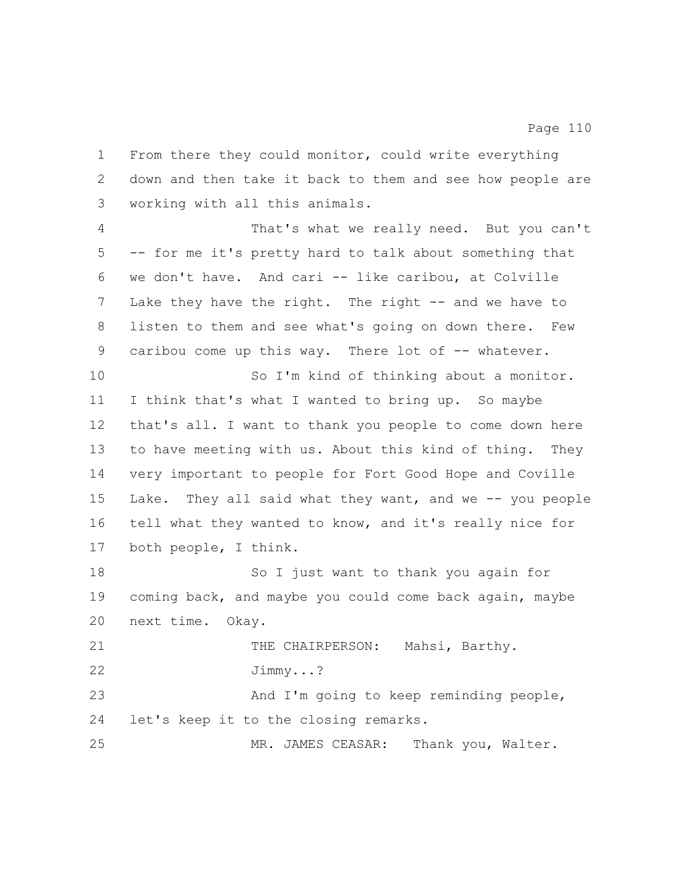down and then take it back to them and see how people are working with all this animals. That's what we really need. But you can't -- for me it's pretty hard to talk about something that we don't have. And cari -- like caribou, at Colville 7 Lake they have the right. The right -- and we have to listen to them and see what's going on down there. Few 9 caribou come up this way. There lot of -- whatever. So I'm kind of thinking about a monitor. I think that's what I wanted to bring up. So maybe that's all. I want to thank you people to come down here to have meeting with us. About this kind of thing. They very important to people for Fort Good Hope and Coville Lake. They all said what they want, and we -- you people tell what they wanted to know, and it's really nice for both people, I think. So I just want to thank you again for coming back, and maybe you could come back again, maybe next time. Okay. THE CHAIRPERSON: Mahsi, Barthy. Jimmy...? And I'm going to keep reminding people, let's keep it to the closing remarks. MR. JAMES CEASAR: Thank you, Walter.

From there they could monitor, could write everything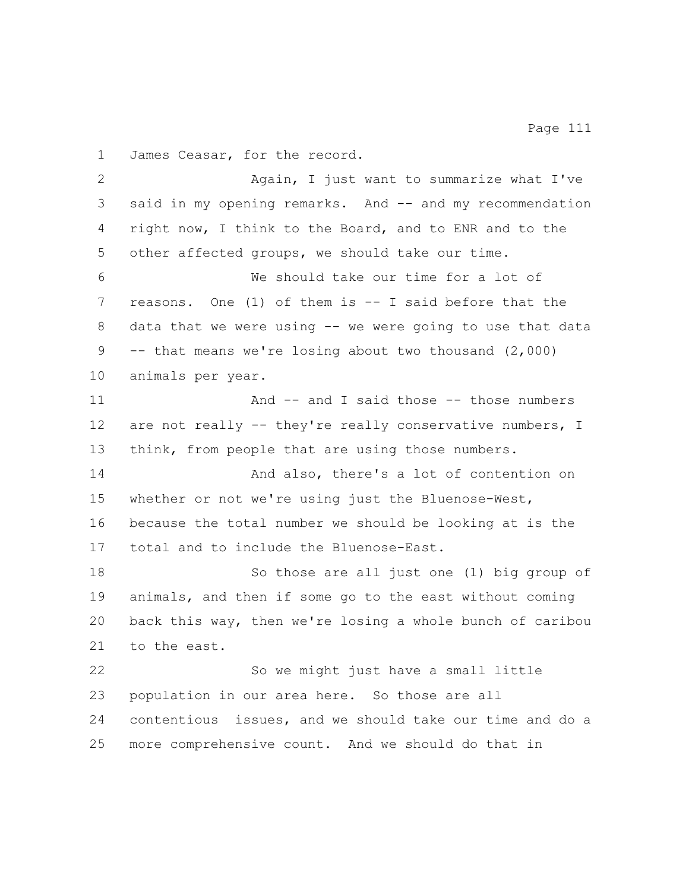James Ceasar, for the record.

 Again, I just want to summarize what I've said in my opening remarks. And -- and my recommendation right now, I think to the Board, and to ENR and to the other affected groups, we should take our time. We should take our time for a lot of reasons. One (1) of them is -- I said before that the data that we were using -- we were going to use that data -- that means we're losing about two thousand (2,000) animals per year. 11 And -- and I said those -- those numbers 12 are not really -- they're really conservative numbers, I 13 think, from people that are using those numbers. And also, there's a lot of contention on whether or not we're using just the Bluenose-West, because the total number we should be looking at is the total and to include the Bluenose-East. So those are all just one (1) big group of animals, and then if some go to the east without coming back this way, then we're losing a whole bunch of caribou to the east. So we might just have a small little population in our area here. So those are all contentious issues, and we should take our time and do a more comprehensive count. And we should do that in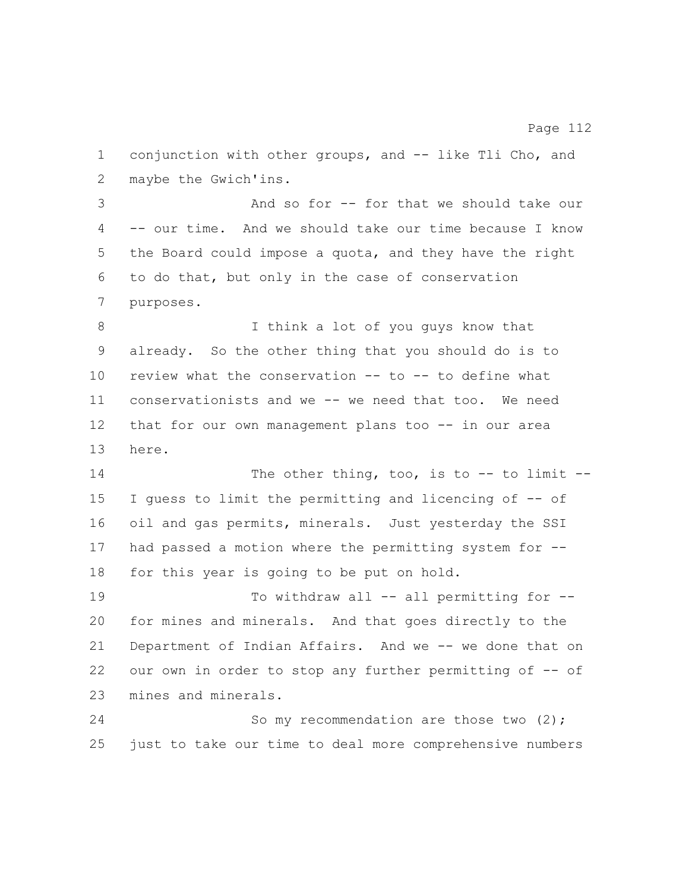conjunction with other groups, and -- like Tli Cho, and maybe the Gwich'ins. And so for -- for that we should take our -- our time. And we should take our time because I know the Board could impose a quota, and they have the right to do that, but only in the case of conservation purposes. I think a lot of you guys know that already. So the other thing that you should do is to review what the conservation -- to -- to define what conservationists and we -- we need that too. We need that for our own management plans too -- in our area here. 14 The other thing, too, is to -- to limit -- I guess to limit the permitting and licencing of -- of oil and gas permits, minerals. Just yesterday the SSI had passed a motion where the permitting system for -- for this year is going to be put on hold. 19 To withdraw all -- all permitting for -- for mines and minerals. And that goes directly to the Department of Indian Affairs. And we -- we done that on our own in order to stop any further permitting of -- of mines and minerals. 24 So my recommendation are those two (2); just to take our time to deal more comprehensive numbers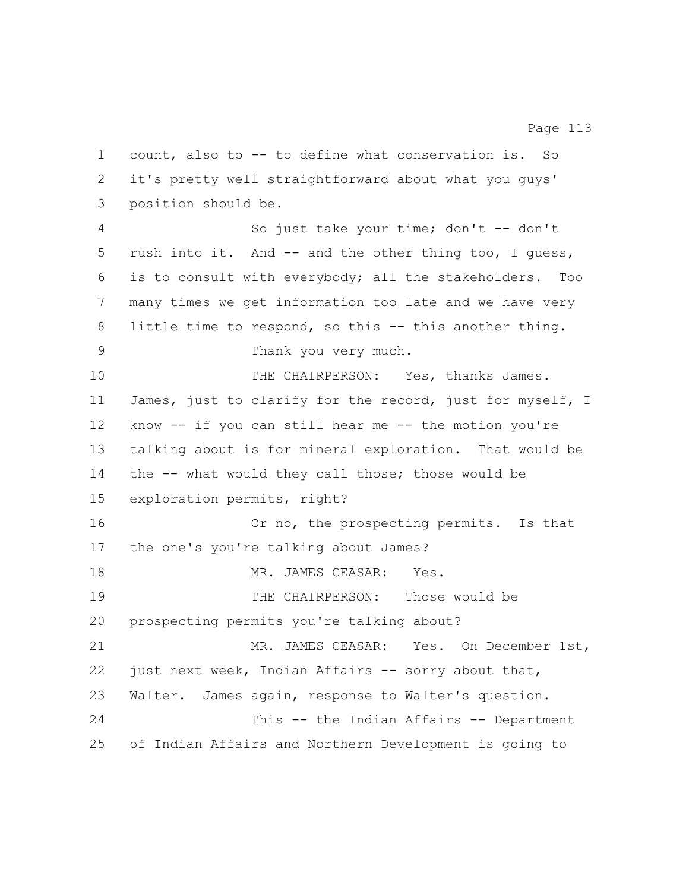count, also to -- to define what conservation is. So it's pretty well straightforward about what you guys' position should be. So just take your time; don't -- don't rush into it. And -- and the other thing too, I guess, is to consult with everybody; all the stakeholders. Too many times we get information too late and we have very 8 little time to respond, so this -- this another thing. Thank you very much. 10 THE CHAIRPERSON: Yes, thanks James. James, just to clarify for the record, just for myself, I know -- if you can still hear me -- the motion you're talking about is for mineral exploration. That would be the -- what would they call those; those would be exploration permits, right? 16 Or no, the prospecting permits. Is that the one's you're talking about James? 18 MR. JAMES CEASAR: Yes. THE CHAIRPERSON: Those would be prospecting permits you're talking about? MR. JAMES CEASAR: Yes. On December 1st, just next week, Indian Affairs -- sorry about that, Walter. James again, response to Walter's question. This -- the Indian Affairs -- Department of Indian Affairs and Northern Development is going to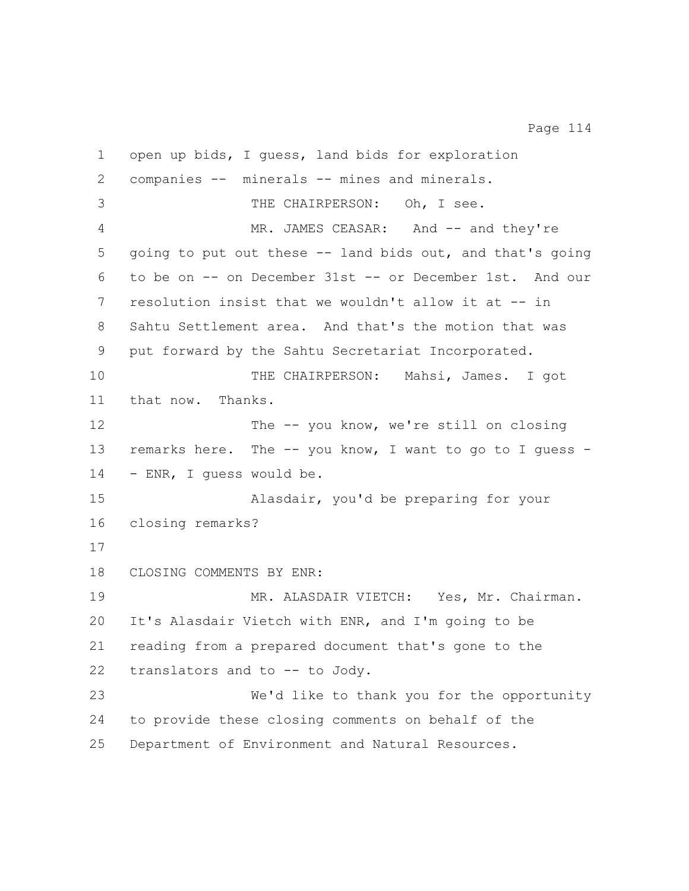open up bids, I guess, land bids for exploration companies -- minerals -- mines and minerals. THE CHAIRPERSON: Oh, I see. 4 MR. JAMES CEASAR: And -- and they're going to put out these -- land bids out, and that's going to be on -- on December 31st -- or December 1st. And our resolution insist that we wouldn't allow it at -- in Sahtu Settlement area. And that's the motion that was put forward by the Sahtu Secretariat Incorporated. THE CHAIRPERSON: Mahsi, James. I got that now. Thanks. 12 The -- you know, we're still on closing remarks here. The -- you know, I want to go to I guess - - ENR, I guess would be. Alasdair, you'd be preparing for your closing remarks? CLOSING COMMENTS BY ENR: 19 MR. ALASDAIR VIETCH: Yes, Mr. Chairman. It's Alasdair Vietch with ENR, and I'm going to be reading from a prepared document that's gone to the translators and to -- to Jody. We'd like to thank you for the opportunity to provide these closing comments on behalf of the Department of Environment and Natural Resources.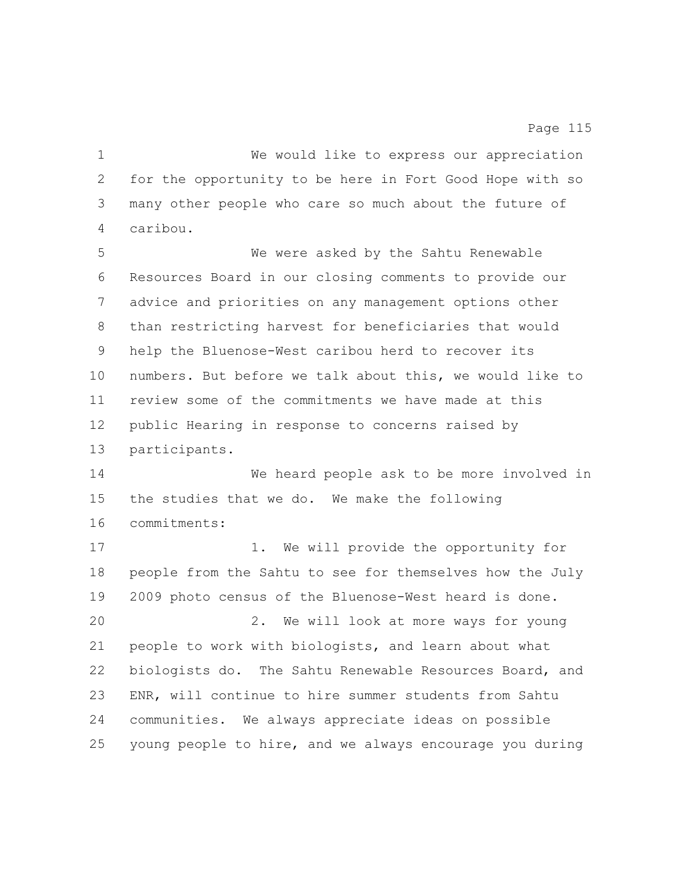We would like to express our appreciation for the opportunity to be here in Fort Good Hope with so many other people who care so much about the future of caribou. We were asked by the Sahtu Renewable Resources Board in our closing comments to provide our advice and priorities on any management options other than restricting harvest for beneficiaries that would help the Bluenose-West caribou herd to recover its numbers. But before we talk about this, we would like to review some of the commitments we have made at this public Hearing in response to concerns raised by participants. We heard people ask to be more involved in the studies that we do. We make the following commitments: 17 1. We will provide the opportunity for people from the Sahtu to see for themselves how the July 2009 photo census of the Bluenose-West heard is done. 2. We will look at more ways for young people to work with biologists, and learn about what biologists do. The Sahtu Renewable Resources Board, and ENR, will continue to hire summer students from Sahtu

young people to hire, and we always encourage you during

communities. We always appreciate ideas on possible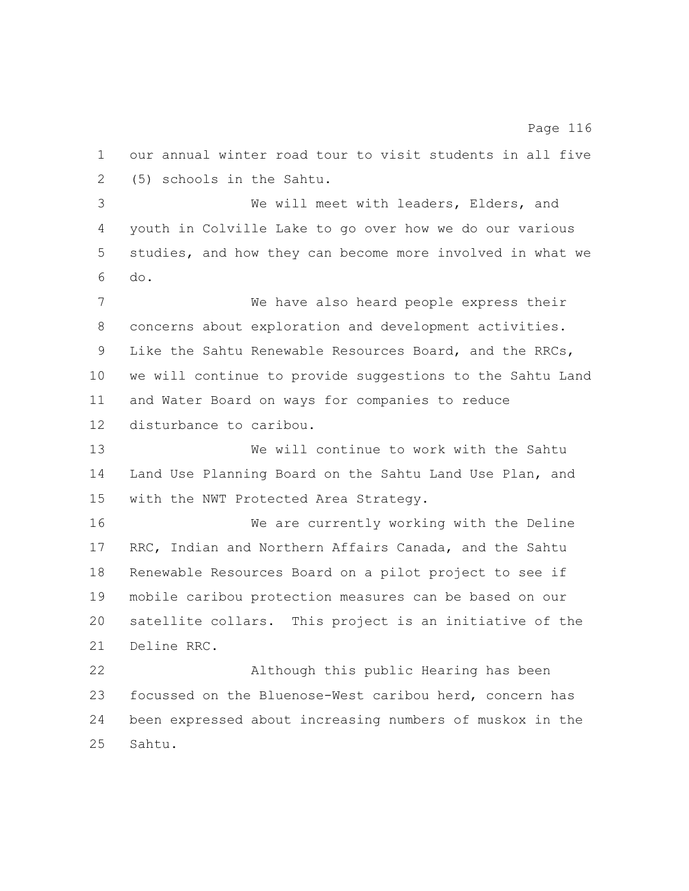our annual winter road tour to visit students in all five (5) schools in the Sahtu.

 We will meet with leaders, Elders, and youth in Colville Lake to go over how we do our various studies, and how they can become more involved in what we do.

 We have also heard people express their concerns about exploration and development activities. Like the Sahtu Renewable Resources Board, and the RRCs, we will continue to provide suggestions to the Sahtu Land and Water Board on ways for companies to reduce disturbance to caribou.

 We will continue to work with the Sahtu Land Use Planning Board on the Sahtu Land Use Plan, and with the NWT Protected Area Strategy.

 We are currently working with the Deline RRC, Indian and Northern Affairs Canada, and the Sahtu Renewable Resources Board on a pilot project to see if mobile caribou protection measures can be based on our satellite collars. This project is an initiative of the Deline RRC.

 Although this public Hearing has been focussed on the Bluenose-West caribou herd, concern has been expressed about increasing numbers of muskox in the Sahtu.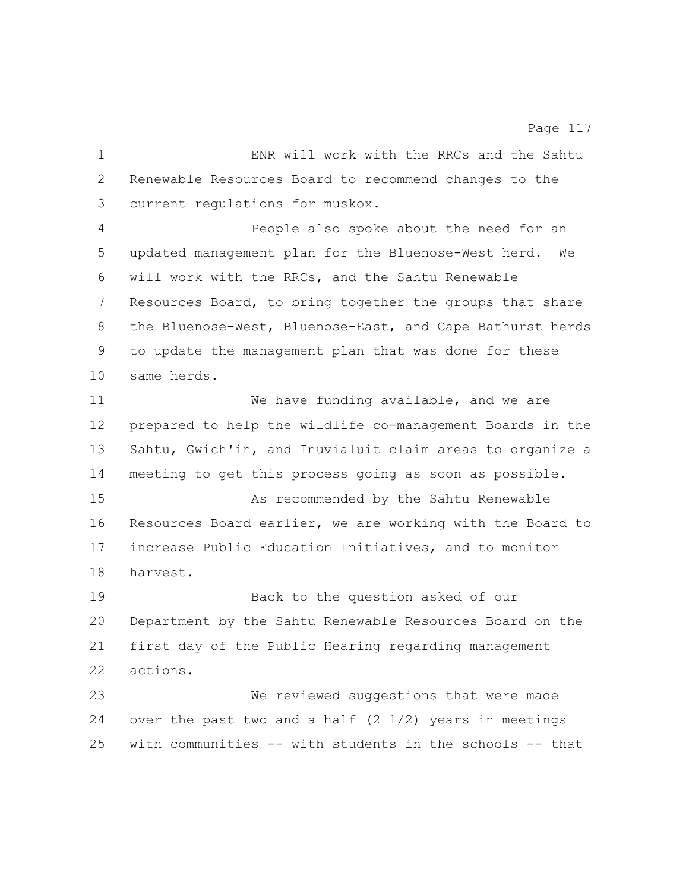ENR will work with the RRCs and the Sahtu Renewable Resources Board to recommend changes to the current regulations for muskox. People also spoke about the need for an updated management plan for the Bluenose-West herd. We will work with the RRCs, and the Sahtu Renewable Resources Board, to bring together the groups that share the Bluenose-West, Bluenose-East, and Cape Bathurst herds to update the management plan that was done for these same herds. We have funding available, and we are prepared to help the wildlife co-management Boards in the Sahtu, Gwich'in, and Inuvialuit claim areas to organize a meeting to get this process going as soon as possible. As recommended by the Sahtu Renewable Resources Board earlier, we are working with the Board to increase Public Education Initiatives, and to monitor harvest. Back to the question asked of our Department by the Sahtu Renewable Resources Board on the first day of the Public Hearing regarding management actions. We reviewed suggestions that were made over the past two and a half (2 1/2) years in meetings with communities -- with students in the schools -- that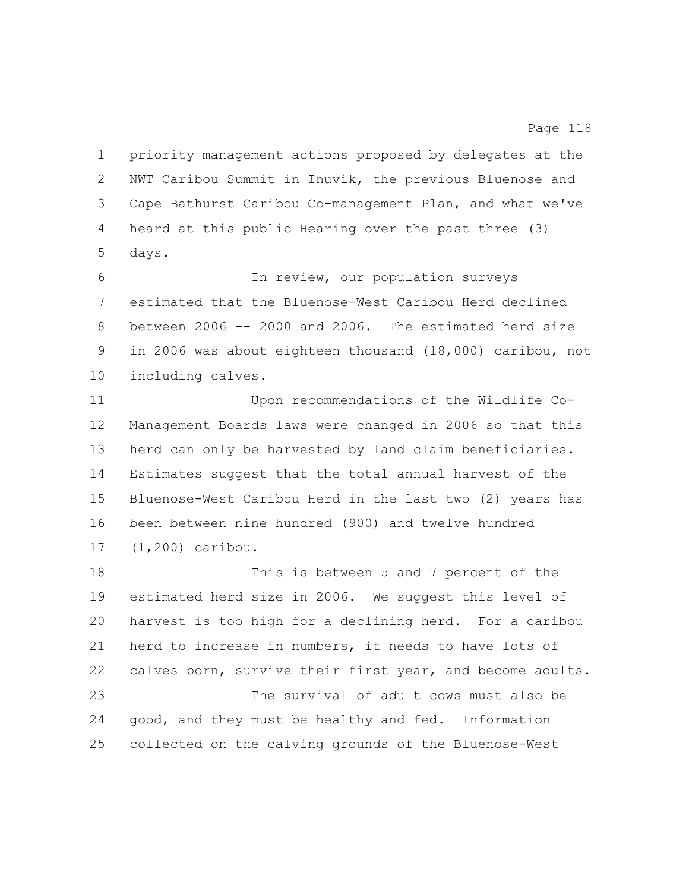priority management actions proposed by delegates at the NWT Caribou Summit in Inuvik, the previous Bluenose and Cape Bathurst Caribou Co-management Plan, and what we've heard at this public Hearing over the past three (3) days.

 In review, our population surveys estimated that the Bluenose-West Caribou Herd declined between 2006 -- 2000 and 2006. The estimated herd size in 2006 was about eighteen thousand (18,000) caribou, not including calves.

 Upon recommendations of the Wildlife Co- Management Boards laws were changed in 2006 so that this herd can only be harvested by land claim beneficiaries. Estimates suggest that the total annual harvest of the Bluenose-West Caribou Herd in the last two (2) years has been between nine hundred (900) and twelve hundred (1,200) caribou.

 This is between 5 and 7 percent of the estimated herd size in 2006. We suggest this level of harvest is too high for a declining herd. For a caribou herd to increase in numbers, it needs to have lots of calves born, survive their first year, and become adults. The survival of adult cows must also be good, and they must be healthy and fed. Information collected on the calving grounds of the Bluenose-West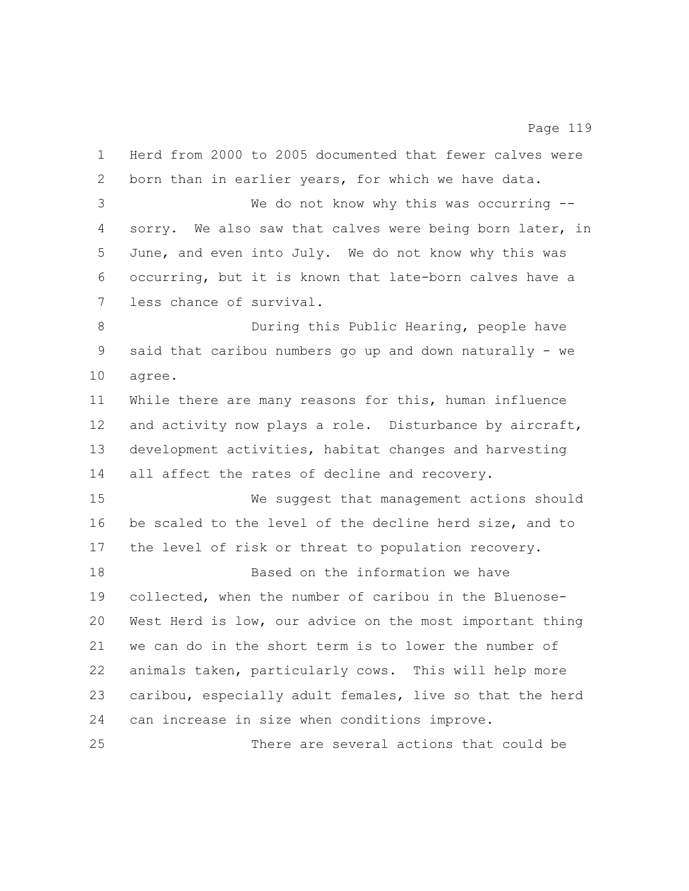Herd from 2000 to 2005 documented that fewer calves were born than in earlier years, for which we have data. We do not know why this was occurring -- sorry. We also saw that calves were being born later, in June, and even into July. We do not know why this was occurring, but it is known that late-born calves have a less chance of survival. During this Public Hearing, people have said that caribou numbers go up and down naturally - we agree. While there are many reasons for this, human influence 12 and activity now plays a role. Disturbance by aircraft, development activities, habitat changes and harvesting all affect the rates of decline and recovery. We suggest that management actions should be scaled to the level of the decline herd size, and to the level of risk or threat to population recovery. Based on the information we have collected, when the number of caribou in the Bluenose- West Herd is low, our advice on the most important thing we can do in the short term is to lower the number of animals taken, particularly cows. This will help more caribou, especially adult females, live so that the herd can increase in size when conditions improve. There are several actions that could be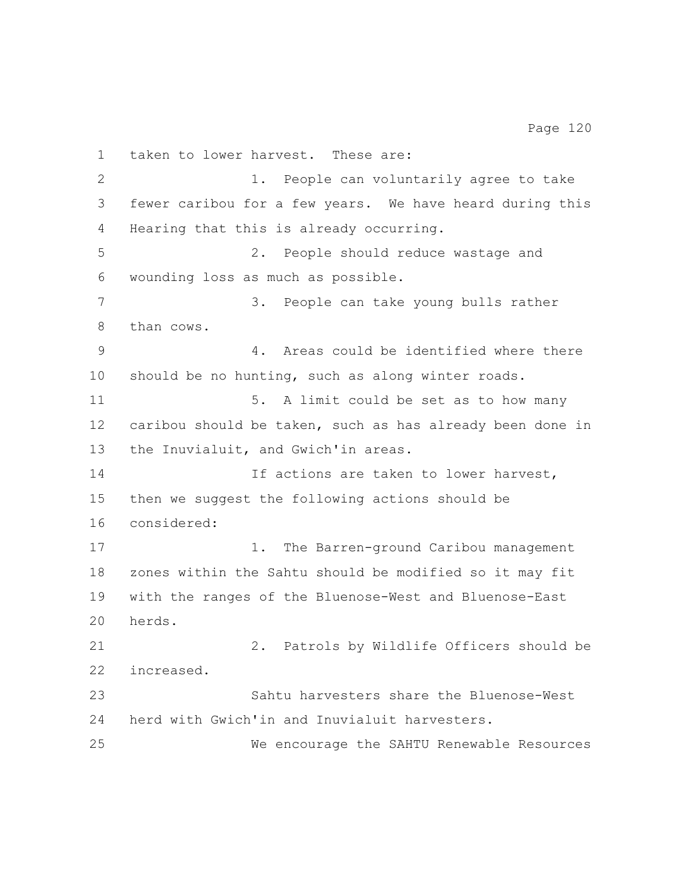taken to lower harvest. These are: 1. People can voluntarily agree to take fewer caribou for a few years. We have heard during this Hearing that this is already occurring. 2. People should reduce wastage and wounding loss as much as possible. 3. People can take young bulls rather than cows. 4. Areas could be identified where there should be no hunting, such as along winter roads. 5. A limit could be set as to how many caribou should be taken, such as has already been done in the Inuvialuit, and Gwich'in areas. 14 14 If actions are taken to lower harvest, then we suggest the following actions should be considered: 17 1. The Barren-ground Caribou management zones within the Sahtu should be modified so it may fit with the ranges of the Bluenose-West and Bluenose-East herds. 2. Patrols by Wildlife Officers should be increased. Sahtu harvesters share the Bluenose-West herd with Gwich'in and Inuvialuit harvesters. We encourage the SAHTU Renewable Resources

Page 120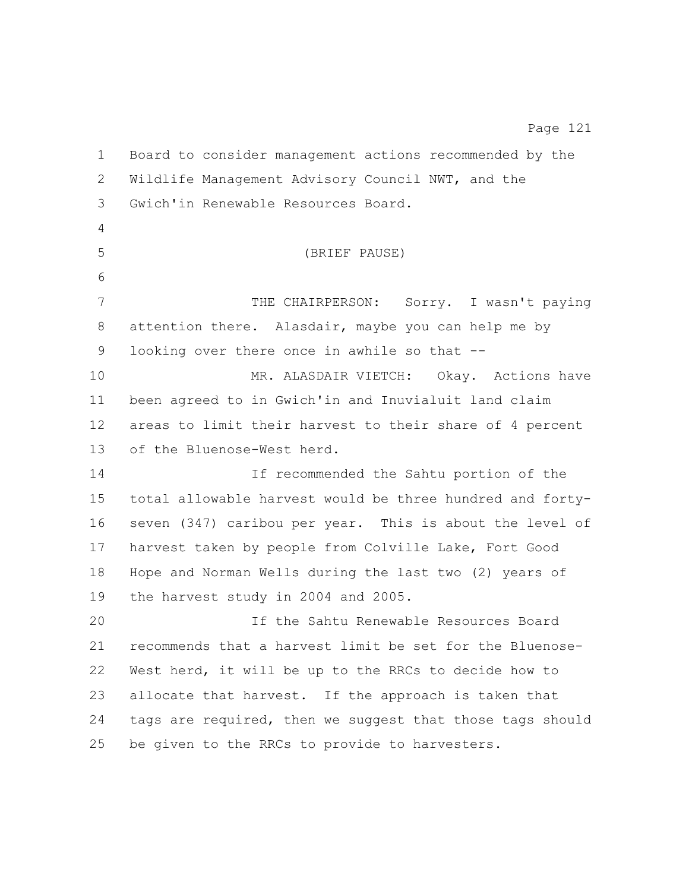Board to consider management actions recommended by the Wildlife Management Advisory Council NWT, and the Gwich'in Renewable Resources Board. (BRIEF PAUSE) 7 THE CHAIRPERSON: Sorry. I wasn't paying attention there. Alasdair, maybe you can help me by looking over there once in awhile so that -- MR. ALASDAIR VIETCH: Okay. Actions have been agreed to in Gwich'in and Inuvialuit land claim areas to limit their harvest to their share of 4 percent of the Bluenose-West herd. If recommended the Sahtu portion of the total allowable harvest would be three hundred and forty- seven (347) caribou per year. This is about the level of harvest taken by people from Colville Lake, Fort Good Hope and Norman Wells during the last two (2) years of the harvest study in 2004 and 2005. If the Sahtu Renewable Resources Board recommends that a harvest limit be set for the Bluenose- West herd, it will be up to the RRCs to decide how to allocate that harvest. If the approach is taken that tags are required, then we suggest that those tags should be given to the RRCs to provide to harvesters.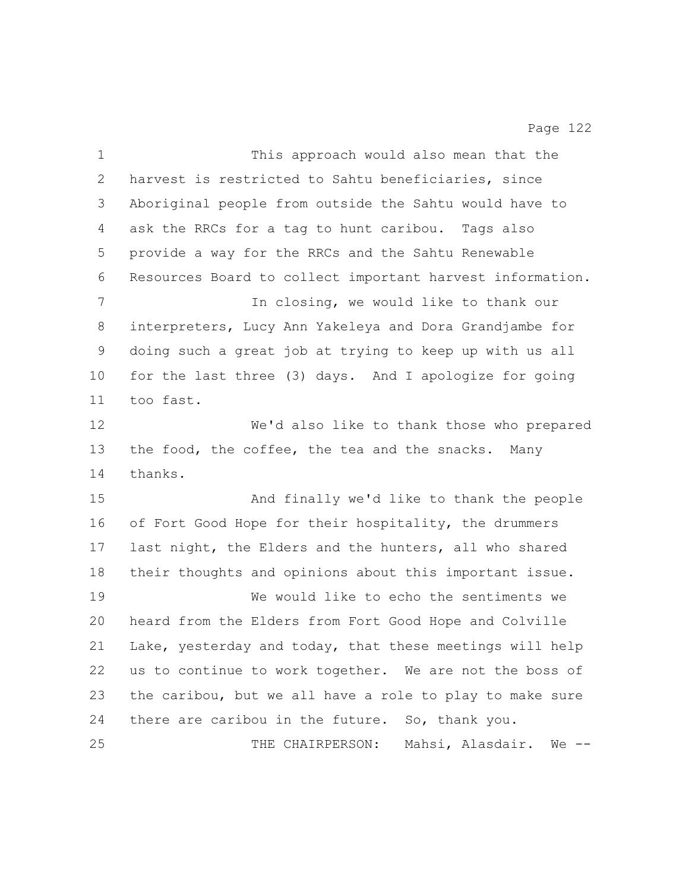| $\mathbf 1$ | This approach would also mean that the                    |
|-------------|-----------------------------------------------------------|
| 2           | harvest is restricted to Sahtu beneficiaries, since       |
| 3           | Aboriginal people from outside the Sahtu would have to    |
| 4           | ask the RRCs for a tag to hunt caribou. Tags also         |
| 5           | provide a way for the RRCs and the Sahtu Renewable        |
| 6           | Resources Board to collect important harvest information. |
| 7           | In closing, we would like to thank our                    |
| 8           | interpreters, Lucy Ann Yakeleya and Dora Grandjambe for   |
| 9           | doing such a great job at trying to keep up with us all   |
| 10          | for the last three (3) days. And I apologize for going    |
| 11          | too fast.                                                 |
| 12          | We'd also like to thank those who prepared                |
| 13          | the food, the coffee, the tea and the snacks.<br>Many     |
| 14          | thanks.                                                   |
| 15          | And finally we'd like to thank the people                 |
| 16          | of Fort Good Hope for their hospitality, the drummers     |
| 17          | last night, the Elders and the hunters, all who shared    |
| 18          | their thoughts and opinions about this important issue.   |
| 19          | We would like to echo the sentiments we                   |
| 20          | heard from the Elders from Fort Good Hope and Colville    |
| 21          | Lake, yesterday and today, that these meetings will help  |
| 22          | us to continue to work together. We are not the boss of   |
| 23          | the caribou, but we all have a role to play to make sure  |
| 24          | there are caribou in the future. So, thank you.           |
| 25          | THE CHAIRPERSON: Mahsi, Alasdair.<br>$We$ $--$            |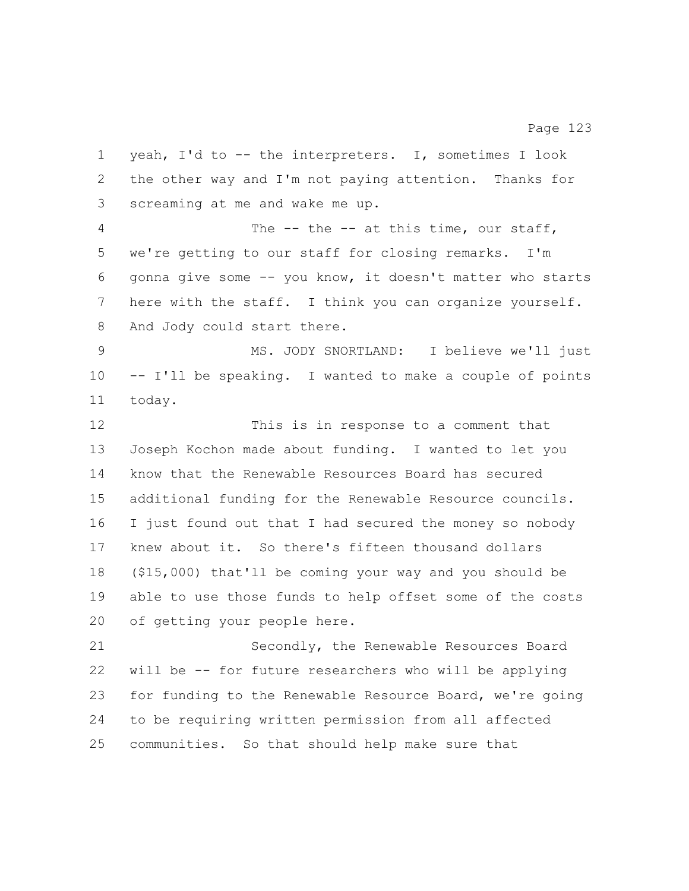yeah, I'd to -- the interpreters. I, sometimes I look the other way and I'm not paying attention. Thanks for screaming at me and wake me up. The -- the -- at this time, our staff, we're getting to our staff for closing remarks. I'm gonna give some -- you know, it doesn't matter who starts here with the staff. I think you can organize yourself. 8 And Jody could start there. MS. JODY SNORTLAND: I believe we'll just -- I'll be speaking. I wanted to make a couple of points today. This is in response to a comment that Joseph Kochon made about funding. I wanted to let you know that the Renewable Resources Board has secured additional funding for the Renewable Resource councils. I just found out that I had secured the money so nobody knew about it. So there's fifteen thousand dollars (\$15,000) that'll be coming your way and you should be able to use those funds to help offset some of the costs of getting your people here. Secondly, the Renewable Resources Board will be -- for future researchers who will be applying for funding to the Renewable Resource Board, we're going to be requiring written permission from all affected communities. So that should help make sure that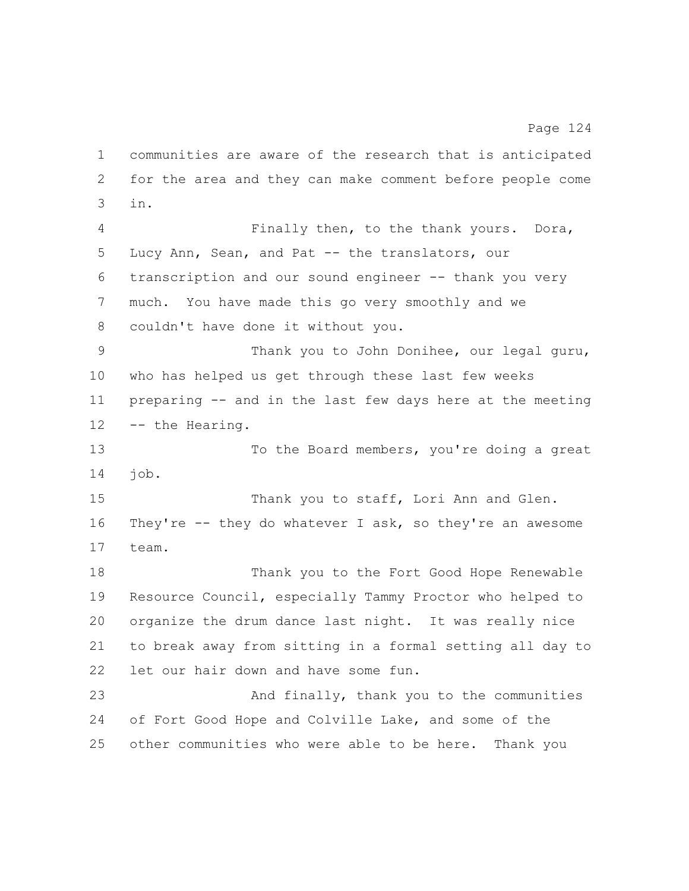communities are aware of the research that is anticipated for the area and they can make comment before people come in.

 Finally then, to the thank yours. Dora, Lucy Ann, Sean, and Pat -- the translators, our transcription and our sound engineer -- thank you very much. You have made this go very smoothly and we couldn't have done it without you.

 Thank you to John Donihee, our legal guru, who has helped us get through these last few weeks preparing -- and in the last few days here at the meeting -- the Hearing.

 To the Board members, you're doing a great job.

15 Thank you to staff, Lori Ann and Glen. They're -- they do whatever I ask, so they're an awesome team.

 Thank you to the Fort Good Hope Renewable Resource Council, especially Tammy Proctor who helped to organize the drum dance last night. It was really nice to break away from sitting in a formal setting all day to let our hair down and have some fun.

 And finally, thank you to the communities of Fort Good Hope and Colville Lake, and some of the other communities who were able to be here. Thank you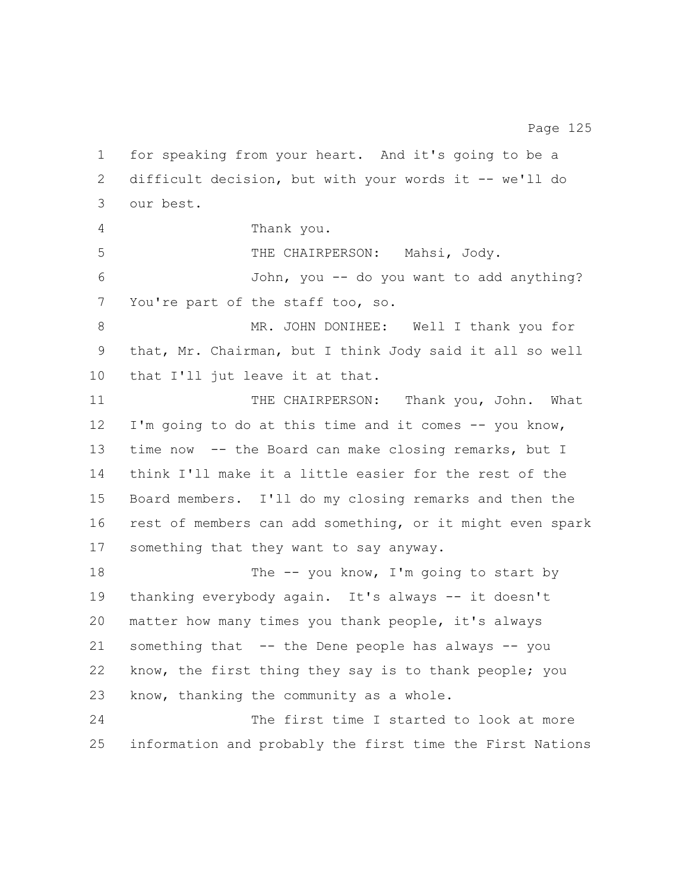for speaking from your heart. And it's going to be a difficult decision, but with your words it -- we'll do our best. Thank you. THE CHAIRPERSON: Mahsi, Jody. John, you -- do you want to add anything? You're part of the staff too, so. MR. JOHN DONIHEE: Well I thank you for that, Mr. Chairman, but I think Jody said it all so well that I'll jut leave it at that. 11 THE CHAIRPERSON: Thank you, John. What I'm going to do at this time and it comes -- you know, time now -- the Board can make closing remarks, but I think I'll make it a little easier for the rest of the Board members. I'll do my closing remarks and then the rest of members can add something, or it might even spark something that they want to say anyway. 18 The -- you know, I'm going to start by thanking everybody again. It's always -- it doesn't matter how many times you thank people, it's always something that -- the Dene people has always -- you know, the first thing they say is to thank people; you know, thanking the community as a whole. The first time I started to look at more information and probably the first time the First Nations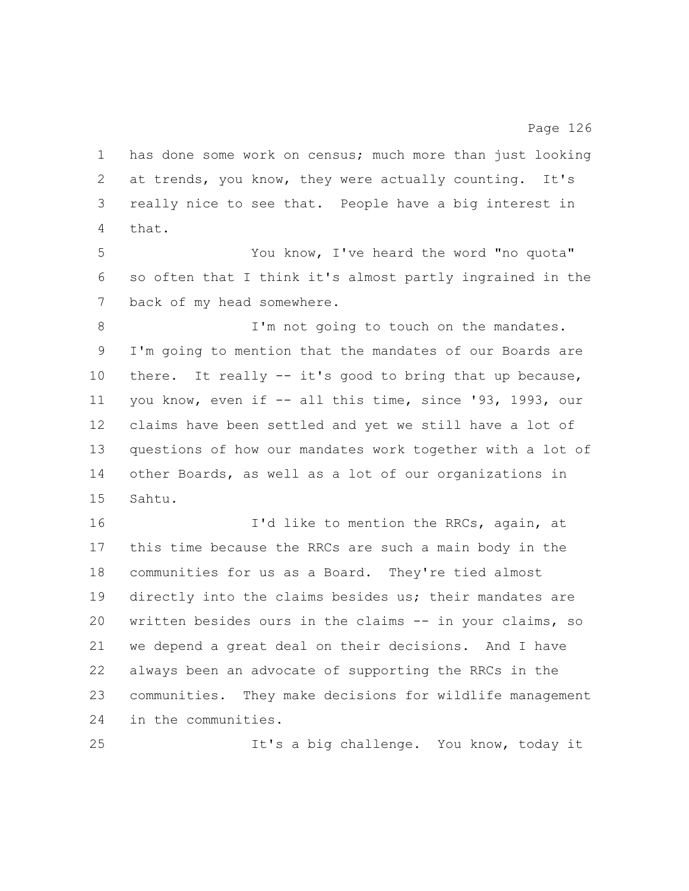has done some work on census; much more than just looking at trends, you know, they were actually counting. It's really nice to see that. People have a big interest in that.

Page 126

 You know, I've heard the word "no quota" so often that I think it's almost partly ingrained in the 7 back of my head somewhere.

8 I'm not going to touch on the mandates. I'm going to mention that the mandates of our Boards are there. It really -- it's good to bring that up because, you know, even if -- all this time, since '93, 1993, our claims have been settled and yet we still have a lot of questions of how our mandates work together with a lot of other Boards, as well as a lot of our organizations in Sahtu.

**I'd like to mention the RRCs, again, at**  this time because the RRCs are such a main body in the communities for us as a Board. They're tied almost directly into the claims besides us; their mandates are written besides ours in the claims -- in your claims, so we depend a great deal on their decisions. And I have always been an advocate of supporting the RRCs in the communities. They make decisions for wildlife management in the communities.

It's a big challenge. You know, today it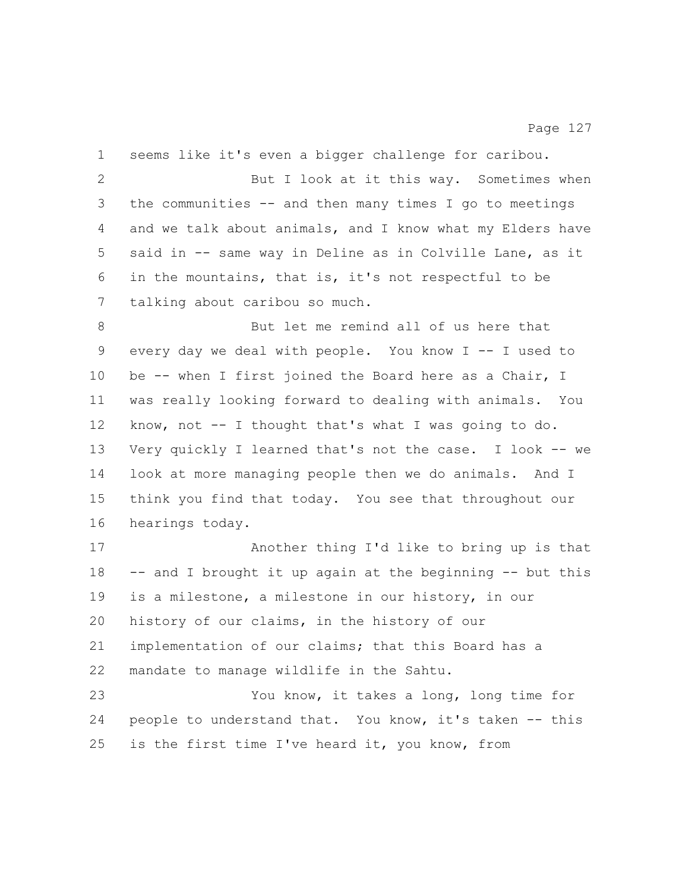seems like it's even a bigger challenge for caribou. 2 But I look at it this way. Sometimes when the communities -- and then many times I go to meetings and we talk about animals, and I know what my Elders have said in -- same way in Deline as in Colville Lane, as it in the mountains, that is, it's not respectful to be talking about caribou so much. But let me remind all of us here that every day we deal with people. You know I -- I used to 10 be -- when I first joined the Board here as a Chair, I was really looking forward to dealing with animals. You know, not -- I thought that's what I was going to do. Very quickly I learned that's not the case. I look -- we look at more managing people then we do animals. And I think you find that today. You see that throughout our hearings today. Another thing I'd like to bring up is that -- and I brought it up again at the beginning -- but this is a milestone, a milestone in our history, in our history of our claims, in the history of our implementation of our claims; that this Board has a mandate to manage wildlife in the Sahtu. You know, it takes a long, long time for people to understand that. You know, it's taken -- this is the first time I've heard it, you know, from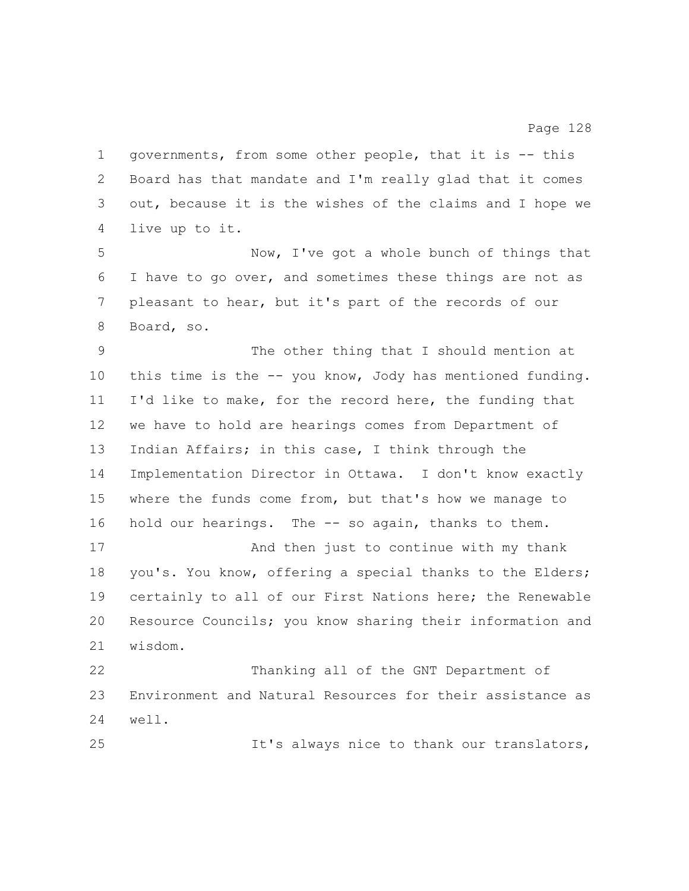governments, from some other people, that it is -- this Board has that mandate and I'm really glad that it comes out, because it is the wishes of the claims and I hope we live up to it.

 Now, I've got a whole bunch of things that I have to go over, and sometimes these things are not as pleasant to hear, but it's part of the records of our Board, so.

 The other thing that I should mention at this time is the -- you know, Jody has mentioned funding. I'd like to make, for the record here, the funding that we have to hold are hearings comes from Department of Indian Affairs; in this case, I think through the Implementation Director in Ottawa. I don't know exactly where the funds come from, but that's how we manage to hold our hearings. The -- so again, thanks to them.

 And then just to continue with my thank you's. You know, offering a special thanks to the Elders; certainly to all of our First Nations here; the Renewable Resource Councils; you know sharing their information and wisdom.

 Thanking all of the GNT Department of Environment and Natural Resources for their assistance as well.

It's always nice to thank our translators,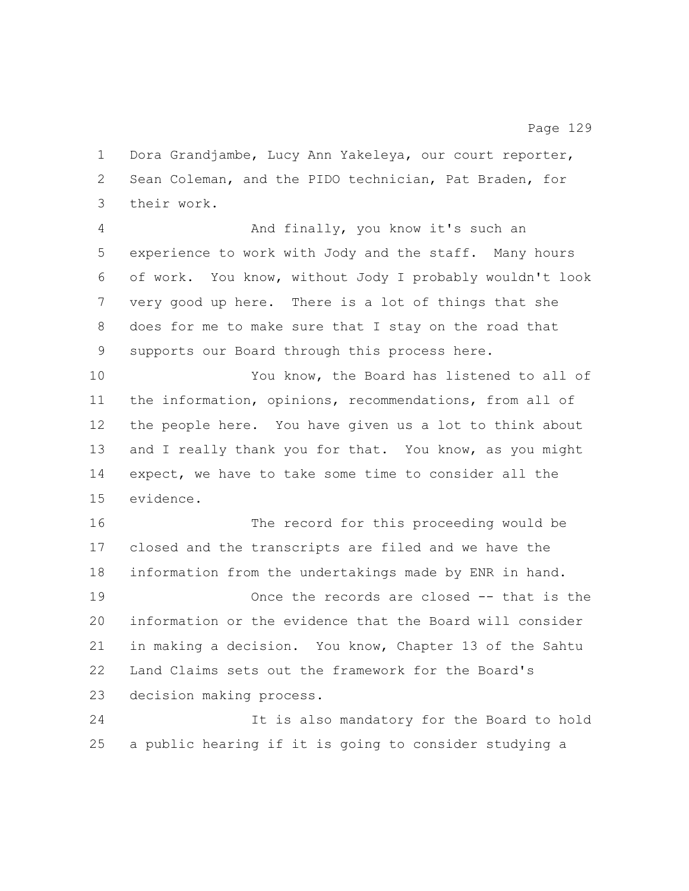Dora Grandjambe, Lucy Ann Yakeleya, our court reporter, Sean Coleman, and the PIDO technician, Pat Braden, for their work.

 And finally, you know it's such an experience to work with Jody and the staff. Many hours of work. You know, without Jody I probably wouldn't look very good up here. There is a lot of things that she does for me to make sure that I stay on the road that supports our Board through this process here.

 You know, the Board has listened to all of the information, opinions, recommendations, from all of the people here. You have given us a lot to think about 13 and I really thank you for that. You know, as you might expect, we have to take some time to consider all the evidence.

 The record for this proceeding would be closed and the transcripts are filed and we have the information from the undertakings made by ENR in hand. Once the records are closed -- that is the information or the evidence that the Board will consider in making a decision. You know, Chapter 13 of the Sahtu Land Claims sets out the framework for the Board's decision making process.

 It is also mandatory for the Board to hold a public hearing if it is going to consider studying a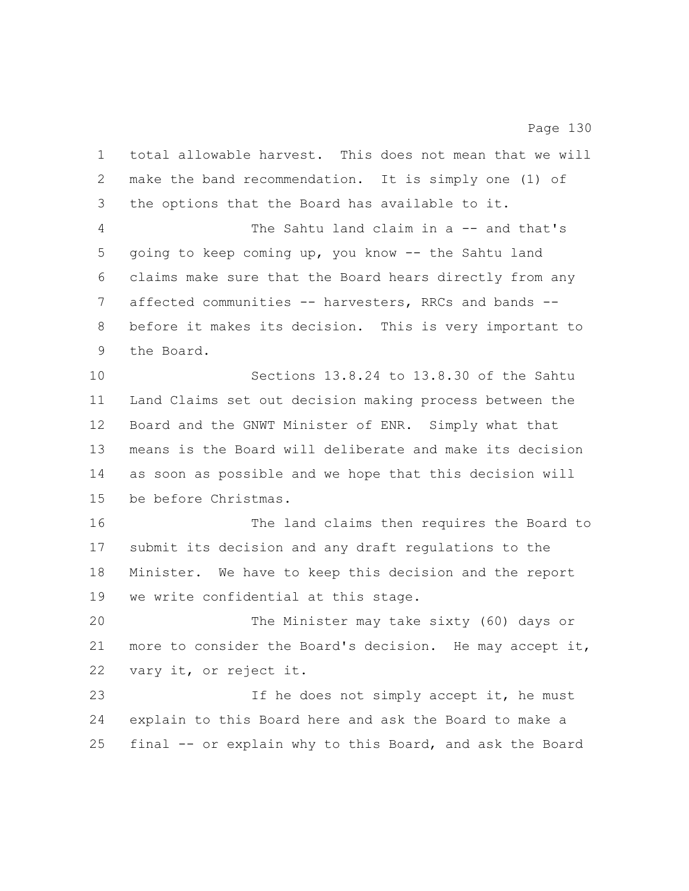total allowable harvest. This does not mean that we will make the band recommendation. It is simply one (1) of the options that the Board has available to it. The Sahtu land claim in a -- and that's going to keep coming up, you know -- the Sahtu land claims make sure that the Board hears directly from any affected communities -- harvesters, RRCs and bands -- before it makes its decision. This is very important to the Board. Sections 13.8.24 to 13.8.30 of the Sahtu Land Claims set out decision making process between the Board and the GNWT Minister of ENR. Simply what that means is the Board will deliberate and make its decision as soon as possible and we hope that this decision will be before Christmas. The land claims then requires the Board to submit its decision and any draft regulations to the Minister. We have to keep this decision and the report we write confidential at this stage. The Minister may take sixty (60) days or more to consider the Board's decision. He may accept it, vary it, or reject it. 23 1f he does not simply accept it, he must explain to this Board here and ask the Board to make a final -- or explain why to this Board, and ask the Board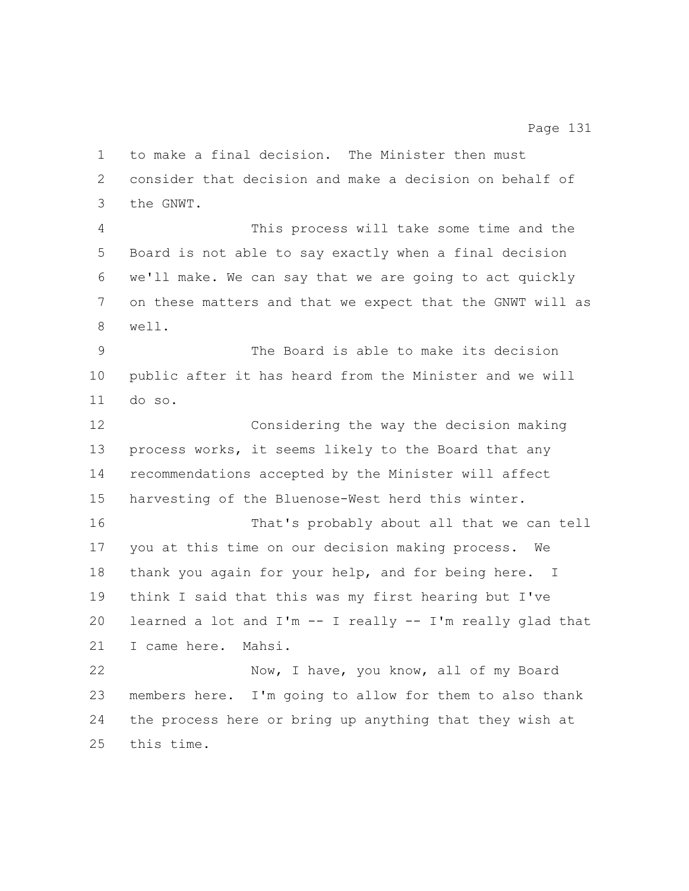consider that decision and make a decision on behalf of the GNWT. This process will take some time and the Board is not able to say exactly when a final decision we'll make. We can say that we are going to act quickly on these matters and that we expect that the GNWT will as well. The Board is able to make its decision public after it has heard from the Minister and we will do so. Considering the way the decision making process works, it seems likely to the Board that any recommendations accepted by the Minister will affect harvesting of the Bluenose-West herd this winter. That's probably about all that we can tell you at this time on our decision making process. We thank you again for your help, and for being here. I think I said that this was my first hearing but I've 20 learned a lot and  $I'm - I$  really  $-I'm$  really glad that I came here. Mahsi. Now, I have, you know, all of my Board members here. I'm going to allow for them to also thank the process here or bring up anything that they wish at this time.

to make a final decision. The Minister then must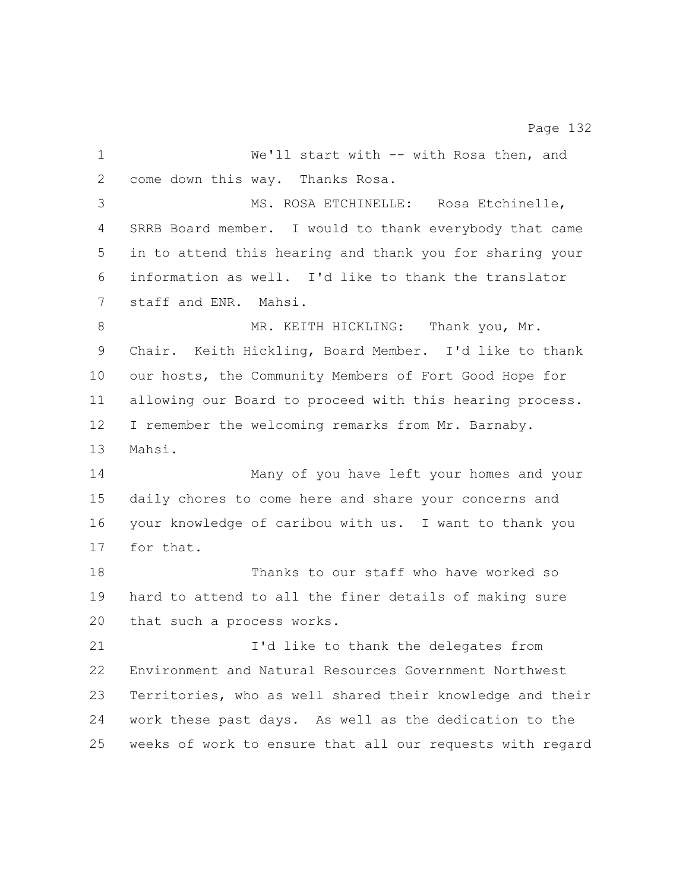1 We'll start with -- with Rosa then, and come down this way. Thanks Rosa. MS. ROSA ETCHINELLE: Rosa Etchinelle, SRRB Board member. I would to thank everybody that came in to attend this hearing and thank you for sharing your information as well. I'd like to thank the translator staff and ENR. Mahsi. 8 MR. KEITH HICKLING: Thank you, Mr. Chair. Keith Hickling, Board Member. I'd like to thank our hosts, the Community Members of Fort Good Hope for allowing our Board to proceed with this hearing process. I remember the welcoming remarks from Mr. Barnaby. Mahsi. Many of you have left your homes and your daily chores to come here and share your concerns and your knowledge of caribou with us. I want to thank you for that. Thanks to our staff who have worked so hard to attend to all the finer details of making sure that such a process works. I'd like to thank the delegates from Environment and Natural Resources Government Northwest Territories, who as well shared their knowledge and their work these past days. As well as the dedication to the weeks of work to ensure that all our requests with regard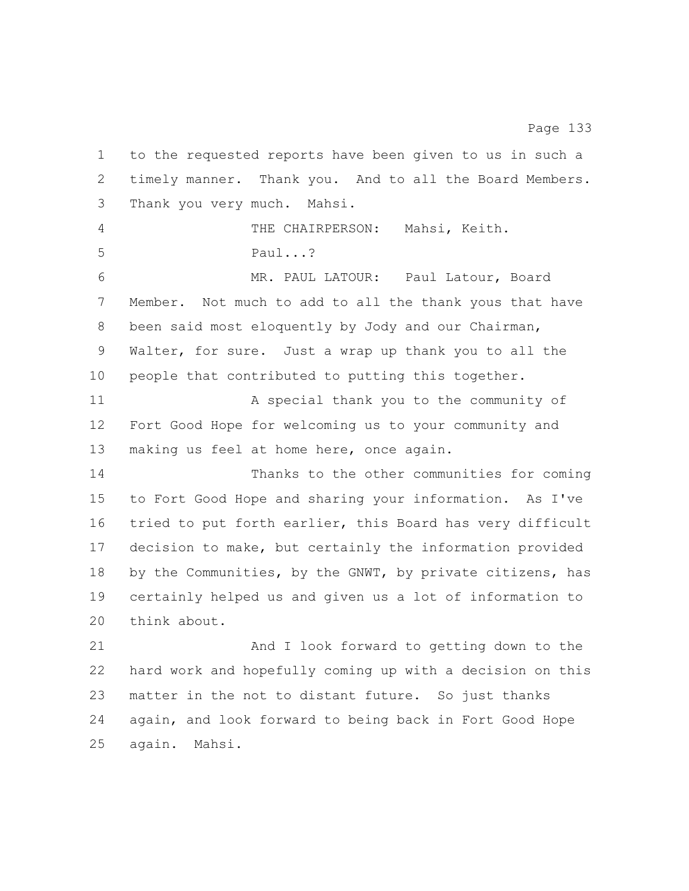to the requested reports have been given to us in such a timely manner. Thank you. And to all the Board Members. Thank you very much. Mahsi. THE CHAIRPERSON: Mahsi, Keith. Paul...? MR. PAUL LATOUR: Paul Latour, Board Member. Not much to add to all the thank yous that have been said most eloquently by Jody and our Chairman, Walter, for sure. Just a wrap up thank you to all the people that contributed to putting this together. 11 A special thank you to the community of Fort Good Hope for welcoming us to your community and making us feel at home here, once again. Thanks to the other communities for coming to Fort Good Hope and sharing your information. As I've tried to put forth earlier, this Board has very difficult decision to make, but certainly the information provided 18 by the Communities, by the GNWT, by private citizens, has certainly helped us and given us a lot of information to 20 think about. And I look forward to getting down to the hard work and hopefully coming up with a decision on this matter in the not to distant future. So just thanks again, and look forward to being back in Fort Good Hope again. Mahsi.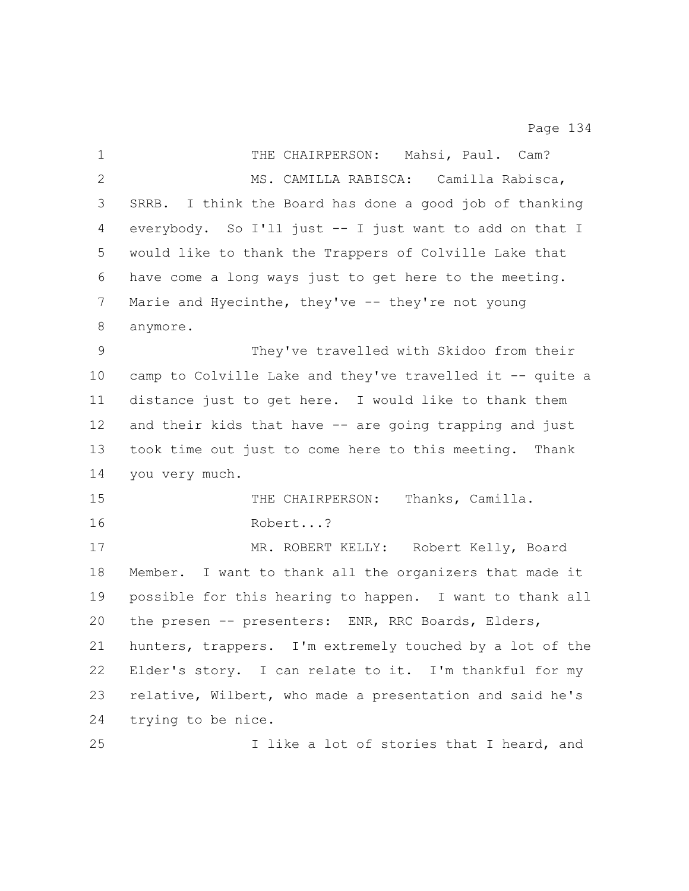| $\mathbf{1}$  | THE CHAIRPERSON: Mahsi, Paul. Cam?                        |
|---------------|-----------------------------------------------------------|
| 2             | MS. CAMILLA RABISCA: Camilla Rabisca,                     |
| 3             | SRRB. I think the Board has done a good job of thanking   |
| 4             | everybody. So I'll just -- I just want to add on that I   |
| 5             | would like to thank the Trappers of Colville Lake that    |
| 6             | have come a long ways just to get here to the meeting.    |
| 7             | Marie and Hyecinthe, they've -- they're not young         |
| 8             | anymore.                                                  |
| $\mathcal{G}$ | They've travelled with Skidoo from their                  |
| $10 \,$       | camp to Colville Lake and they've travelled it -- quite a |
| 11            | distance just to get here. I would like to thank them     |
| 12            | and their kids that have -- are going trapping and just   |
| 13            | took time out just to come here to this meeting. Thank    |
| 14            | you very much.                                            |
| 15            | THE CHAIRPERSON: Thanks, Camilla.                         |
| 16            | Robert?                                                   |
| 17            | MR. ROBERT KELLY: Robert Kelly, Board                     |
| 18            | Member. I want to thank all the organizers that made it   |
| 19            | possible for this hearing to happen. I want to thank all  |
| 20            | the presen -- presenters: ENR, RRC Boards, Elders,        |
| 21            | hunters, trappers. I'm extremely touched by a lot of the  |
| 22            | Elder's story. I can relate to it. I'm thankful for my    |
| 23            | relative, Wilbert, who made a presentation and said he's  |
| 24            | trying to be nice.                                        |
| 25            | I like a lot of stories that I heard, and                 |